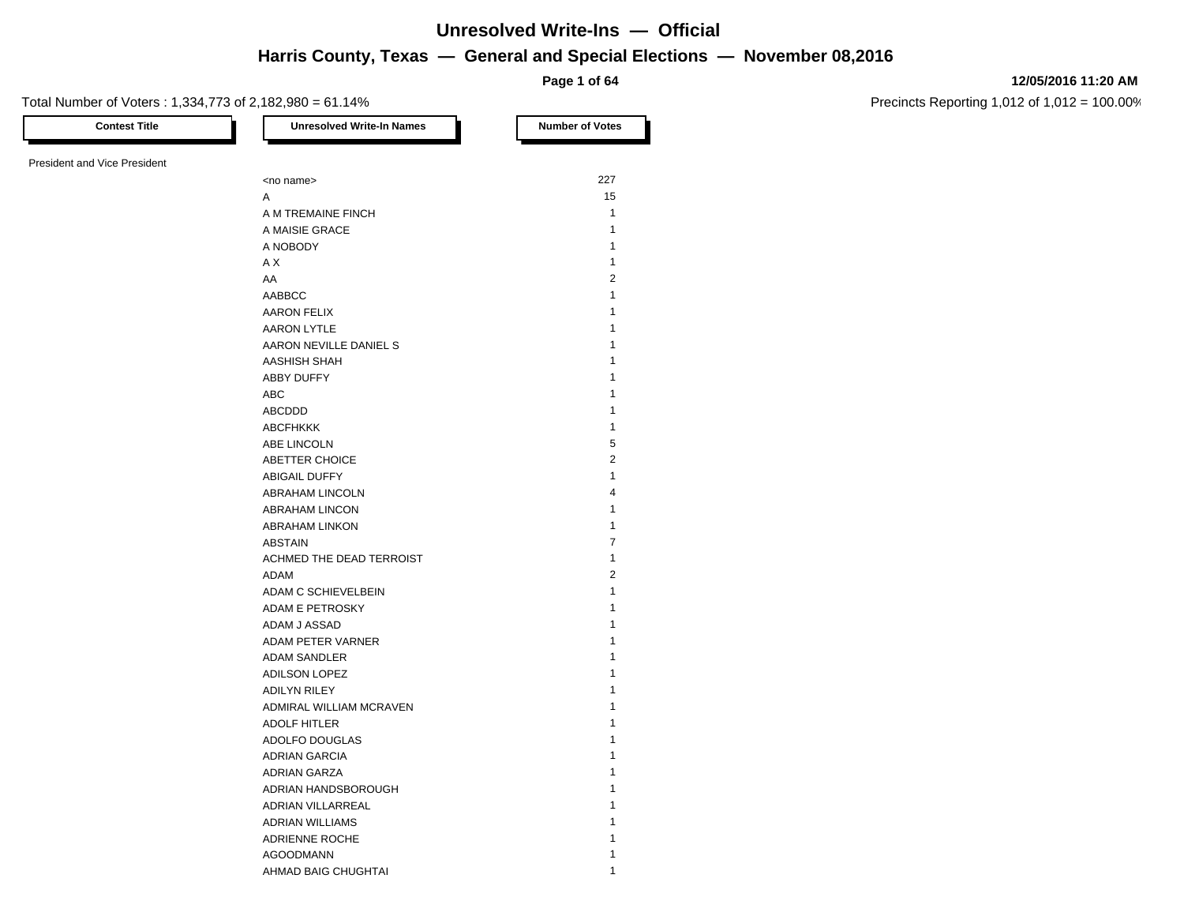**Page 1 of 64**

#### **12/05/2016 11:20 AM**

Precincts Reporting 1,012 of 1,012 = 100.00%

Total Number of Voters : 1,334,773 of 2,182,980 = 61.14%

| <b>Contest Title</b>         | <b>Unresolved Write-In Names</b> | <b>Number of Votes</b> |
|------------------------------|----------------------------------|------------------------|
| President and Vice President |                                  |                        |
|                              | <no name=""></no>                | 227                    |
|                              | A                                | 15                     |
|                              | A M TREMAINE FINCH               | $\mathbf{1}$           |
|                              | A MAISIE GRACE                   | $\mathbf{1}$           |
|                              | A NOBODY                         | $\mathbf{1}$           |
|                              | ΑX                               | 1                      |
|                              | AA                               | $\overline{2}$         |
|                              | AABBCC                           | $\mathbf{1}$           |
|                              | <b>AARON FELIX</b>               | 1                      |
|                              | AARON LYTLE                      | 1                      |
|                              | AARON NEVILLE DANIEL S           | 1                      |
|                              | AASHISH SHAH                     | 1                      |
|                              | ABBY DUFFY                       | 1                      |
|                              | ABC                              | 1                      |
|                              | ABCDDD                           | 1                      |
|                              |                                  | 1                      |
|                              | <b>ABCFHKKK</b>                  | 5                      |
|                              | ABE LINCOLN                      | $\overline{2}$         |
|                              | ABETTER CHOICE                   | 1                      |
|                              | ABIGAIL DUFFY                    | $\overline{4}$         |
|                              | ABRAHAM LINCOLN                  | 1                      |
|                              | ABRAHAM LINCON                   |                        |
|                              | <b>ABRAHAM LINKON</b>            | 1<br>$\overline{7}$    |
|                              | <b>ABSTAIN</b>                   |                        |
|                              | ACHMED THE DEAD TERROIST         | $\mathbf{1}$           |
|                              | ADAM                             | $\boldsymbol{2}$       |
|                              | ADAM C SCHIEVELBEIN              | $\mathbf{1}$           |
|                              | <b>ADAM E PETROSKY</b>           | 1                      |
|                              | ADAM J ASSAD                     | 1                      |
|                              | ADAM PETER VARNER                | 1                      |
|                              | ADAM SANDLER                     | 1                      |
|                              | ADILSON LOPEZ                    | 1                      |
|                              | <b>ADILYN RILEY</b>              | 1                      |
|                              | ADMIRAL WILLIAM MCRAVEN          | 1                      |
|                              | <b>ADOLF HITLER</b>              | 1                      |
|                              | ADOLFO DOUGLAS                   | 1                      |
|                              | <b>ADRIAN GARCIA</b>             | 1                      |
|                              | ADRIAN GARZA                     | 1                      |
|                              | ADRIAN HANDSBOROUGH              | 1                      |
|                              | ADRIAN VILLARREAL                | 1                      |
|                              | <b>ADRIAN WILLIAMS</b>           | 1                      |
|                              | ADRIENNE ROCHE                   | 1                      |
|                              | <b>AGOODMANN</b>                 | 1                      |
|                              | AHMAD BAIG CHUGHTAI              |                        |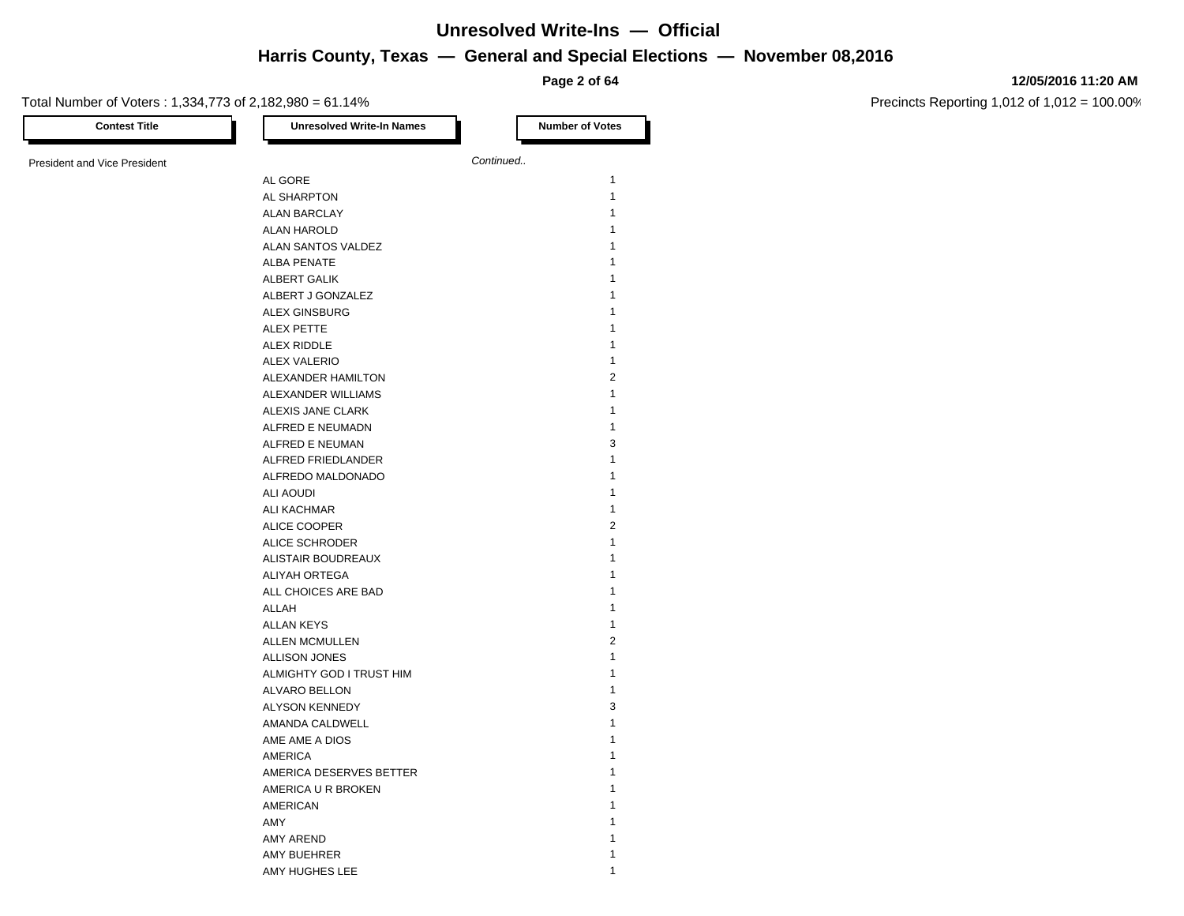**Page 2 of 64**

#### **12/05/2016 11:20 AM**

| <b>Contest Title</b>                | <b>Unresolved Write-In Names</b> | <b>Number of Votes</b> |
|-------------------------------------|----------------------------------|------------------------|
| <b>President and Vice President</b> |                                  | Continued              |
|                                     | AL GORE                          | $\mathbf{1}$           |
|                                     | AL SHARPTON                      | $\mathbf{1}$           |
|                                     | <b>ALAN BARCLAY</b>              | 1                      |
|                                     | ALAN HAROLD                      | 1                      |
|                                     | ALAN SANTOS VALDEZ               | 1                      |
|                                     | <b>ALBA PENATE</b>               | 1                      |
|                                     | ALBERT GALIK                     | 1                      |
|                                     | ALBERT J GONZALEZ                | 1                      |
|                                     | <b>ALEX GINSBURG</b>             | 1                      |
|                                     | <b>ALEX PETTE</b>                | 1                      |
|                                     | ALEX RIDDLE                      | 1                      |
|                                     | <b>ALEX VALERIO</b>              | 1                      |
|                                     | ALEXANDER HAMILTON               | $\overline{2}$         |
|                                     | ALEXANDER WILLIAMS               | $\mathbf{1}$           |
|                                     | ALEXIS JANE CLARK                | 1                      |
|                                     | ALFRED E NEUMADN                 | $\mathbf{1}$           |
|                                     | ALFRED E NEUMAN                  | 3                      |
|                                     | ALFRED FRIEDLANDER               | $\mathbf{1}$           |
|                                     | ALFREDO MALDONADO                | 1                      |
|                                     | ALI AOUDI                        | 1                      |
|                                     | ALI KACHMAR                      | 1                      |
|                                     | ALICE COOPER                     | $\overline{2}$         |
|                                     | <b>ALICE SCHRODER</b>            | 1                      |
|                                     | ALISTAIR BOUDREAUX               | 1                      |
|                                     | <b>ALIYAH ORTEGA</b>             | 1                      |
|                                     | ALL CHOICES ARE BAD              | 1                      |
|                                     | ALLAH                            | 1                      |
|                                     | <b>ALLAN KEYS</b>                | 1                      |
|                                     | <b>ALLEN MCMULLEN</b>            | $\overline{2}$         |
|                                     | <b>ALLISON JONES</b>             | $\mathbf{1}$           |
|                                     | ALMIGHTY GOD I TRUST HIM         | 1                      |
|                                     | ALVARO BELLON                    | 1                      |
|                                     | <b>ALYSON KENNEDY</b>            | 3                      |
|                                     | AMANDA CALDWELL                  | 1                      |
|                                     | AME AME A DIOS                   | 1                      |
|                                     | AMERICA                          | 1                      |
|                                     | AMERICA DESERVES BETTER          | 1                      |
|                                     | AMERICA U R BROKEN               | 1                      |
|                                     | <b>AMERICAN</b>                  | 1                      |
|                                     | AMY                              | 1                      |
|                                     | <b>AMY AREND</b>                 | 1                      |
|                                     | AMY BUEHRER                      | 1                      |
|                                     | AMY HUGHES LEE                   | 1                      |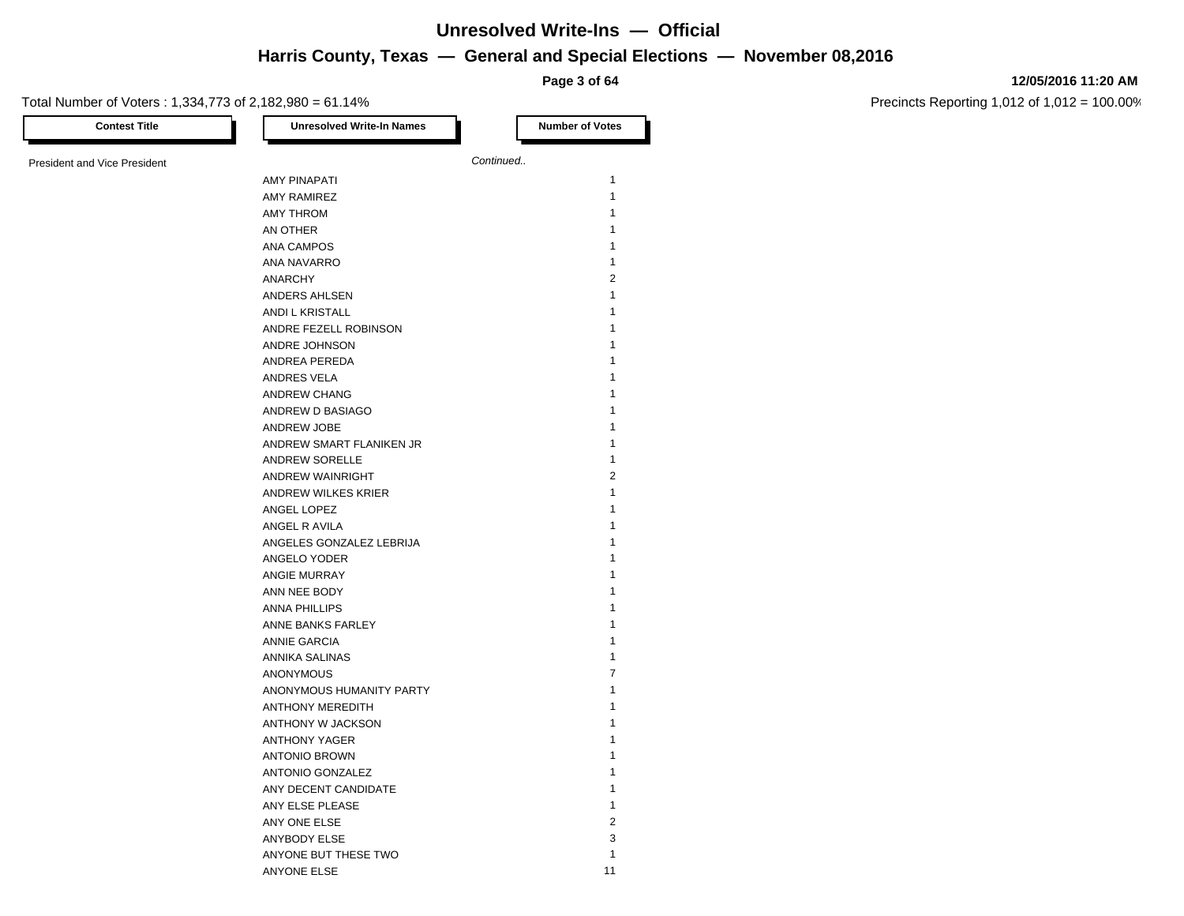### **Harris — November 08,2016 Unresolved Write-Ins — Official**

#### **12/05/2016 11:20 AM**

Precincts Reporting 1,012 of 1,012 = 100.00%

| Total Number of Voters: 1,334,773 of 2,182,980 = 61.14% |                                  | Page 3 of 64           |
|---------------------------------------------------------|----------------------------------|------------------------|
| <b>Contest Title</b>                                    | <b>Unresolved Write-In Names</b> | <b>Number of Votes</b> |
| <b>President and Vice President</b>                     |                                  | Continued              |
|                                                         | <b>AMY PINAPATI</b>              | 1                      |
|                                                         | <b>AMY RAMIREZ</b>               | 1                      |
|                                                         | AMY THROM                        | 1                      |
|                                                         | AN OTHER                         | 1                      |
|                                                         | <b>ANA CAMPOS</b>                | 1                      |
|                                                         | ANA NAVARRO                      | 1                      |
|                                                         | <b>ANARCHY</b>                   | $\overline{2}$         |
|                                                         | ANDERS AHLSEN                    | 1                      |
|                                                         | ANDI L KRISTALL                  | 1                      |
|                                                         | ANDRE FEZELL ROBINSON            | 1                      |
|                                                         | ANDRE JOHNSON                    | 1                      |
|                                                         | ANDREA PEREDA                    | 1                      |
|                                                         | ANDRES VELA                      | 1                      |
|                                                         | ANDREW CHANG                     | 1                      |
|                                                         | ANDREW D BASIAGO                 | 1                      |
|                                                         | ANDREW JOBE                      | 1                      |
|                                                         | ANDREW SMART FLANIKEN JR         | 1                      |
|                                                         | <b>ANDREW SORELLE</b>            | 1                      |
|                                                         | <b>ANDREW WAINRIGHT</b>          | 2                      |
|                                                         | <b>ANDREW WILKES KRIER</b>       | 1                      |
|                                                         | ANGEL LOPEZ                      | 1                      |
|                                                         | ANGEL R AVILA                    | 1                      |
|                                                         | ANGELES GONZALEZ LEBRIJA         | 1                      |
|                                                         | ANGELO YODER                     | 1                      |
|                                                         | ANGIE MURRAY                     | 1                      |
|                                                         | ANN NEE BODY                     | 1                      |
|                                                         | <b>ANNA PHILLIPS</b>             | 1                      |
|                                                         | ANNE BANKS FARLEY                | 1                      |
|                                                         | <b>ANNIE GARCIA</b>              | 1                      |
|                                                         | ANNIKA SALINAS                   | 1                      |
|                                                         | ANONYMOUS                        | 7                      |
|                                                         | ANONYMOUS HUMANITY PARTY         | 1                      |
|                                                         | ANTHONY MEREDITH                 | 1                      |
|                                                         | ANTHONY W JACKSON                | 1                      |
|                                                         | <b>ANTHONY YAGER</b>             | 1                      |
|                                                         | <b>ANTONIO BROWN</b>             | 1                      |
|                                                         | ANTONIO GONZALEZ                 | 1                      |
|                                                         | ANY DECENT CANDIDATE             | 1                      |
|                                                         | ANY ELSE PLEASE                  | $\mathbf{1}$           |
|                                                         |                                  |                        |
|                                                         | ANY ONE ELSE                     | $\overline{c}$         |

ANYBODY ELSE 3 ANYONE BUT THESE TWO 1 ANYONE ELSE 11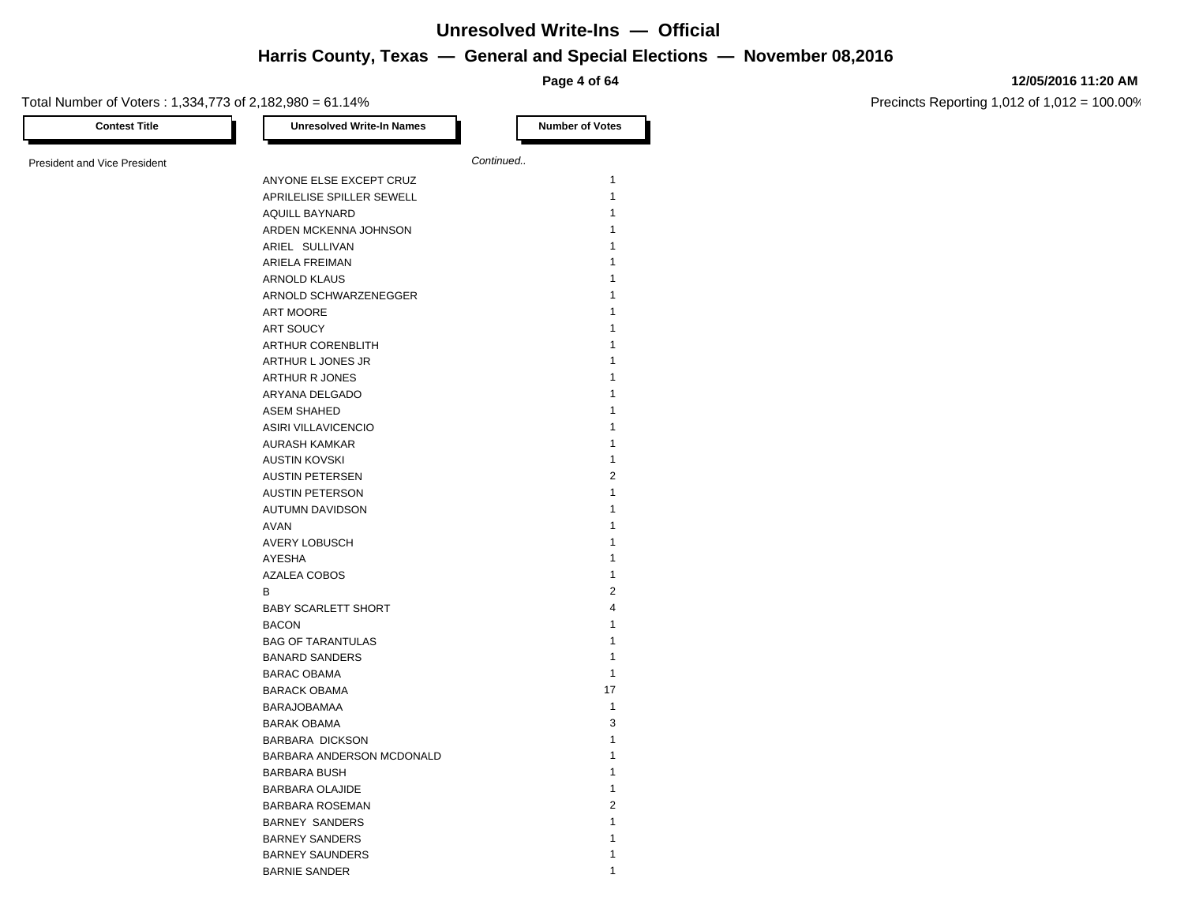**Page 4 of 64**

#### **12/05/2016 11:20 AM**

Precincts Reporting 1,012 of 1,012 = 100.00%

| <b>Contest Title</b>                | <b>Unresolved Write-In Names</b>           |           | <b>Number of Votes</b>  |
|-------------------------------------|--------------------------------------------|-----------|-------------------------|
|                                     |                                            |           |                         |
| <b>President and Vice President</b> |                                            | Continued |                         |
|                                     | ANYONE ELSE EXCEPT CRUZ                    |           | $\mathbf{1}$            |
|                                     | APRILELISE SPILLER SEWELL                  |           | 1                       |
|                                     | <b>AQUILL BAYNARD</b>                      |           | 1                       |
|                                     | ARDEN MCKENNA JOHNSON                      |           | 1                       |
|                                     | ARIEL SULLIVAN                             |           | 1                       |
|                                     | ARIELA FREIMAN                             |           | 1                       |
|                                     | ARNOLD KLAUS                               |           |                         |
|                                     | ARNOLD SCHWARZENEGGER                      |           | 1                       |
|                                     | ART MOORE                                  |           | 1                       |
|                                     | ART SOUCY                                  |           | 1                       |
|                                     | ARTHUR CORENBLITH                          |           | 1                       |
|                                     | ARTHUR L JONES JR                          |           |                         |
|                                     | <b>ARTHUR R JONES</b>                      |           | 1                       |
|                                     | ARYANA DELGADO                             |           |                         |
|                                     | ASEM SHAHED                                |           | 1                       |
|                                     | ASIRI VILLAVICENCIO                        |           | 1                       |
|                                     | <b>AURASH KAMKAR</b>                       |           | 1                       |
|                                     | <b>AUSTIN KOVSKI</b>                       |           | 1                       |
|                                     | <b>AUSTIN PETERSEN</b>                     |           | $\overline{2}$          |
|                                     | <b>AUSTIN PETERSON</b>                     |           | 1                       |
|                                     | <b>AUTUMN DAVIDSON</b>                     |           | 1                       |
|                                     | <b>AVAN</b>                                |           | 1                       |
|                                     | AVERY LOBUSCH                              |           | 1                       |
|                                     | AYESHA                                     |           | 1                       |
|                                     | AZALEA COBOS                               |           | 1                       |
|                                     | B                                          |           | $\overline{2}$          |
|                                     |                                            |           | $\overline{\mathbf{4}}$ |
|                                     | <b>BABY SCARLETT SHORT</b><br><b>BACON</b> |           | 1                       |
|                                     |                                            |           | 1                       |
|                                     | <b>BAG OF TARANTULAS</b>                   |           | 1                       |
|                                     | <b>BANARD SANDERS</b>                      |           |                         |
|                                     | <b>BARAC OBAMA</b>                         |           | $\mathbf{1}$            |
|                                     | <b>BARACK OBAMA</b>                        |           | 17                      |
|                                     | <b>BARAJOBAMAA</b>                         |           | $\mathbf{1}$            |
|                                     | <b>BARAK OBAMA</b>                         |           | 3                       |
|                                     | <b>BARBARA DICKSON</b>                     |           | 1                       |
|                                     | BARBARA ANDERSON MCDONALD                  |           | 1                       |
|                                     | <b>BARBARA BUSH</b>                        |           | 1                       |
|                                     | <b>BARBARA OLAJIDE</b>                     |           | 1                       |
|                                     | <b>BARBARA ROSEMAN</b>                     |           | $\overline{2}$          |
|                                     | <b>BARNEY SANDERS</b>                      |           | 1                       |
|                                     | <b>BARNEY SANDERS</b>                      |           | 1                       |
|                                     | <b>BARNEY SAUNDERS</b>                     |           | 1                       |

BARNIE SANDER 1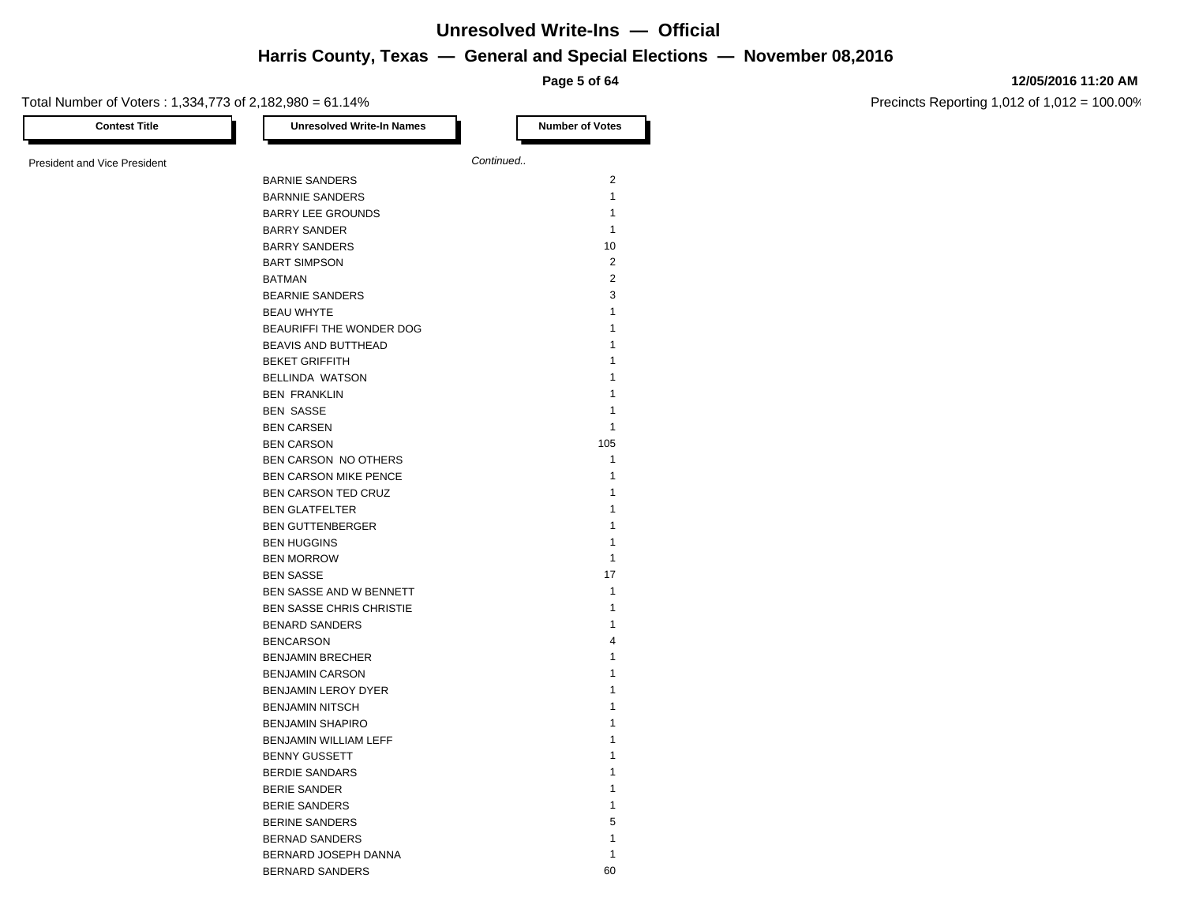**Page 5 of 64**

#### **12/05/2016 11:20 AM**

Precincts Reporting 1,012 of 1,012 = 100.00%

Total Number of Voters : 1,334,773 of 2,182,980 = 61.14% **Contest Title Number of Votes Number of Votes Number of Votes** President and Vice President **Continued. Continued.** BARNIE SANDERS 2 BARNNIE SANDERS 1 BARRY LEE GROUNDS 1 BARRY SANDER 1 BARRY SANDERS 10 BART SIMPSON 2 BATMAN 2 BEARNIE SANDERS 3 BEAU WHYTE 2008 12 AM AND 12 AM ANN 12 AM ANN 12 AM AN 12 AM AN 12 AM AN 12 AM AN 12 AM AN 12 AM AN 12 AM AN 1 BEAURIFFI THE WONDER DOG 1 BEAVIS AND BUTTHEAD 1 BEKET GRIFFITH 1 BELLINDA WATSON 1 BEN FRANKLIN 1 BEN SASSE 1 BEN CARSEN 1 BEN CARSON 105 BEN CARSON NO OTHERS 1 BEN CARSON MIKE PENCE 1 BEN CARSON TED CRUZ 1 BEN GLATFELTER 1999 EN 1999 EN 1999 EN 1999 EN 1999 EN 1999 EN 1999 EN 1999 EN 1999 EN 1999 EN 1999 EN 1999 EN 1999 EN 1999 EN 1999 EN 1999 EN 1999 EN 1999 EN 1999 EN 1999 EN 1999 EN 1999 EN 1999 EN 1999 EN 1999 EN 1999 EN BEN GUTTENBERGER 1999 AUCTEUR 1999 AUCTEUR 1999 AUCTEUR 1999 AUCTEUR 1999 AUCTEUR 1999 AUCTEUR 1999 AUCTEUR 1999 AUCTEUR 1999 AUCTEUR 1999 AUCTEUR 1999 AUCTEUR 1999 AUCTEUR 1999 AUCTEUR 1999 AUCTEUR 1999 AUCTEUR 1999 AUCTE BEN HUGGINS 1999 AND THE STATE OF THE STATE OF THE STATE OF THE STATE OF THE STATE OF THE STATE OF THE STATE OF THE STATE OF THE STATE OF THE STATE OF THE STATE OF THE STATE OF THE STATE OF THE STATE OF THE STATE OF THE ST BEN MORROW 1 BEN SASSE 17 BEN SASSE AND W BENNETT 1 BEN SASSE CHRIS CHRISTIE 1 BENARD SANDERS 1 BENCARSON 4 BENJAMIN BRECHER 1 BENJAMIN CARSON 1 BENJAMIN LEROY DYER 1 BENJAMIN NITSCH 1 BENJAMIN SHAPIRO 1 BENJAMIN WILLIAM LEFF 1 BENNY GUSSETT 1 BERDIE SANDARS 1 BERIE SANDER 1 BERIE SANDERS 1 BERINE SANDERS 5 BERNAD SANDERS 1

BERNARD JOSEPH DANNA 1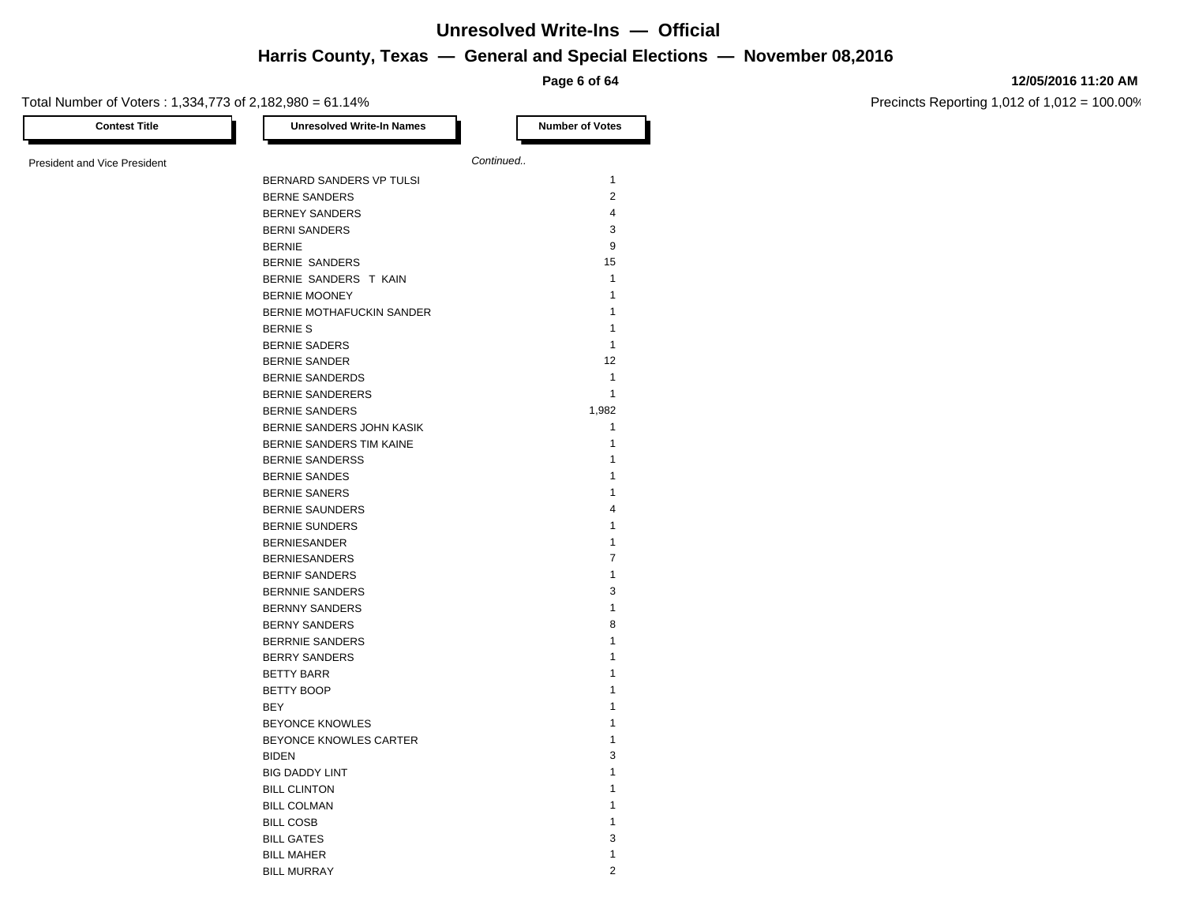**Page 6 of 64**

#### **12/05/2016 11:20 AM**

| <b>Contest Title</b>                | <b>Unresolved Write-In Names</b> | <b>Number of Votes</b>       |
|-------------------------------------|----------------------------------|------------------------------|
| <b>President and Vice President</b> |                                  | Continued                    |
|                                     | BERNARD SANDERS VP TULSI         | $\mathbf{1}$                 |
|                                     | <b>BERNE SANDERS</b>             | $\overline{2}$               |
|                                     | <b>BERNEY SANDERS</b>            | 4                            |
|                                     | <b>BERNI SANDERS</b>             | 3                            |
|                                     | <b>BERNIE</b>                    | 9                            |
|                                     | BERNIE SANDERS                   | 15                           |
|                                     | BERNIE SANDERS T KAIN            | $\mathbf{1}$                 |
|                                     | <b>BERNIE MOONEY</b>             | $\mathbf{1}$                 |
|                                     | BERNIE MOTHAFUCKIN SANDER        | $\mathbf{1}$                 |
|                                     | <b>BERNIE S</b>                  | $\mathbf{1}$                 |
|                                     | <b>BERNIE SADERS</b>             | $\mathbf{1}$                 |
|                                     | <b>BERNIE SANDER</b>             | 12                           |
|                                     | <b>BERNIE SANDERDS</b>           | $\mathbf{1}$                 |
|                                     | <b>BERNIE SANDERERS</b>          | $\mathbf{1}$                 |
|                                     |                                  | 1,982                        |
|                                     | <b>BERNIE SANDERS</b>            | $\mathbf{1}$                 |
|                                     | BERNIE SANDERS JOHN KASIK        | $\mathbf{1}$                 |
|                                     | BERNIE SANDERS TIM KAINE         | $\mathbf{1}$                 |
|                                     | <b>BERNIE SANDERSS</b>           |                              |
|                                     | <b>BERNIE SANDES</b>             | 1                            |
|                                     | <b>BERNIE SANERS</b>             | 1<br>$\overline{\mathbf{4}}$ |
|                                     | <b>BERNIE SAUNDERS</b>           |                              |
|                                     | <b>BERNIE SUNDERS</b>            | 1                            |
|                                     | <b>BERNIESANDER</b>              | 1                            |
|                                     | <b>BERNIESANDERS</b>             | $\overline{7}$               |
|                                     | <b>BERNIF SANDERS</b>            | $\mathbf{1}$                 |
|                                     | <b>BERNNIE SANDERS</b>           | 3                            |
|                                     | <b>BERNNY SANDERS</b>            | $\mathbf{1}$                 |
|                                     | <b>BERNY SANDERS</b>             | 8                            |
|                                     | <b>BERRNIE SANDERS</b>           | $\mathbf{1}$                 |
|                                     | <b>BERRY SANDERS</b>             | $\mathbf{1}$                 |
|                                     | <b>BETTY BARR</b>                | 1                            |
|                                     | <b>BETTY BOOP</b>                | 1                            |
|                                     | BEY                              | 1                            |
|                                     | <b>BEYONCE KNOWLES</b>           | 1                            |
|                                     | BEYONCE KNOWLES CARTER           | $\mathbf{1}$                 |
|                                     | <b>BIDEN</b>                     | 3                            |
|                                     | <b>BIG DADDY LINT</b>            | 1                            |
|                                     | <b>BILL CLINTON</b>              | 1                            |
|                                     | <b>BILL COLMAN</b>               | 1                            |
|                                     | <b>BILL COSB</b>                 | 1                            |
|                                     | <b>BILL GATES</b>                | 3                            |
|                                     | <b>BILL MAHER</b>                | $\mathbf{1}$                 |
|                                     | <b>BILL MURRAY</b>               | $\overline{2}$               |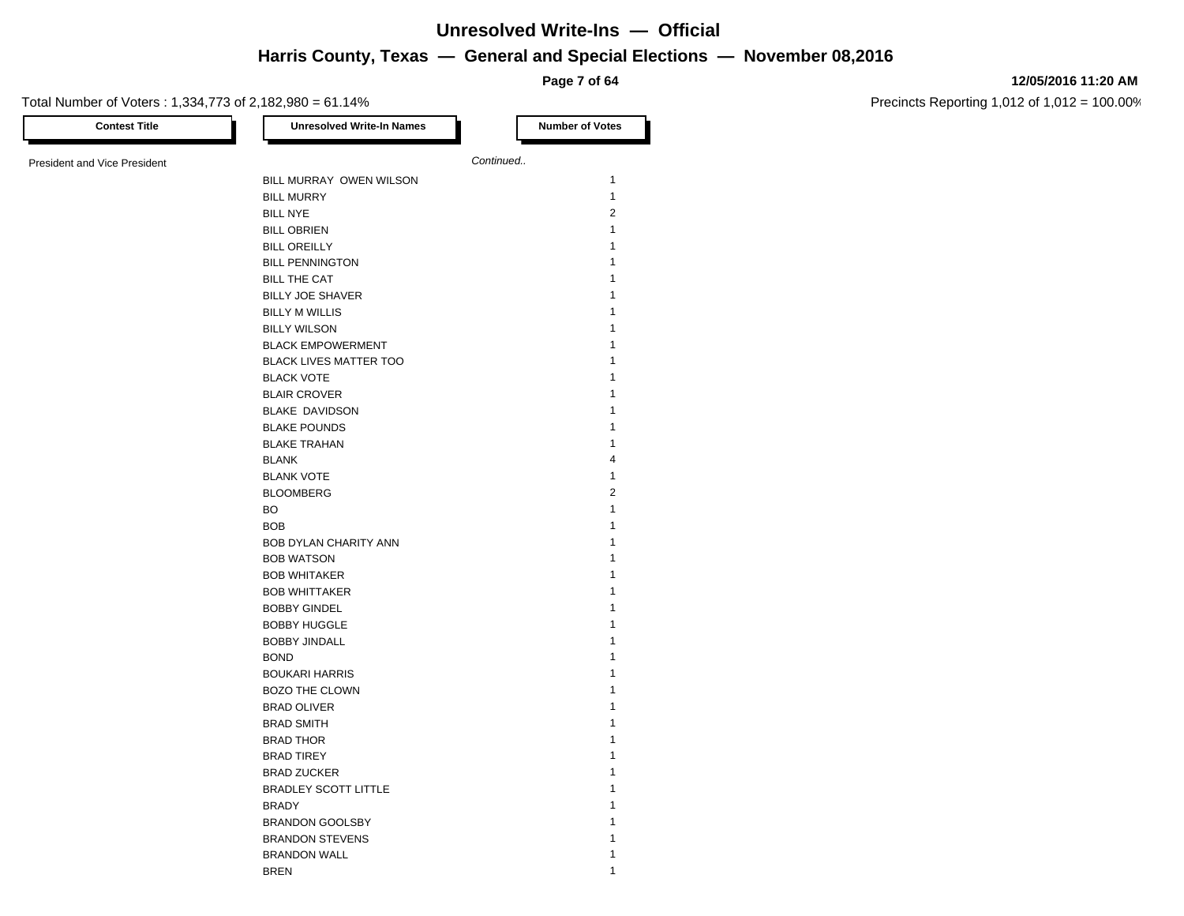**Page 7 of 64**

#### **12/05/2016 11:20 AM**

Precincts Reporting 1,012 of 1,012 = 100.00%

Total Number of Voters : 1,334,773 of 2,182,980 = 61.14% **Contest Title Number of Votes Number of Votes** President and Vice President **Continued. Continued.** BILL MURRAY OWEN WILSON 1 BILL MURRY 1 BILL NYE 2 BILL OBRIEN 1 **BILL OREILLY** 1 BILL PENNINGTON 1 BILL THE CAT **1** BILLY JOE SHAVER 1 BILLY M WILLIS 1 BILLY WILSON 1 BLACK EMPOWERMENT 1 BLACK LIVES MATTER TOO 1 BLACK VOTE 1 BLAIR CROVER 1 BLAKE DAVIDSON 1 BLAKE POUNDS 1 BLAKE TRAHAN 1 BLANK 4 BLANK VOTE 2008 12 AM AND 12 AM AND 12 AM AND 12 AM AND 12 AM AND 12 AM AND 12 AM AND 12 AM AND 12 AM AND 12 AM AND 12 AM AND 12 AM AND 12 AM AND 12 AM AND 12 AM AND 12 AM AND 12 AM AND 12 AM AND 12 AM AND 12 AM AND 12 AM BLOOMBERG 2  $\mathsf{BO}$  and  $\mathsf{BO}$  is a set of  $\mathsf{SO}$  is a set of  $\mathsf{SO}$  is a set of  $\mathsf{SO}$  is a set of  $\mathsf{SO}$  is a set of  $\mathsf{SO}$  is a set of  $\mathsf{SO}$  is a set of  $\mathsf{SO}$  is a set of  $\mathsf{SO}$  is a set of  $\mathsf{SO}$  is a set o BOB 2008 1 and 2008 1 and 2008 1 and 2008 1 and 2008 1 and 2008 1 and 2008 1 and 2008 1 and 2008 1 and 2008 1 and 2008 1 and 2008 1 and 2008 1 and 2008 1 and 2008 1 and 2008 1 and 2008 1 and 2008 1 and 2008 1 and 2008 1 an BOB DYLAN CHARITY ANN 1 BOB WATSON 2008 12 BOB WHITAKER 1 BOB WHITTAKER 1 BOBBY GINDEL 1 BOBBY HUGGLE 1 BOBBY JINDALL 1 BOND 2008 1 2008 1 2009 1 2009 1 2009 1 2009 1 2009 1 2009 1 2009 1 2009 1 2009 1 2009 1 2009 1 2009 1 2009 1 2009 1 2009 1 2009 1 2009 1 2009 1 2009 1 2009 1 2009 1 2009 1 2009 1 2009 1 2009 1 2009 1 2009 1 2009 1 2009 1 BOUKARI HARRIS 1 BOZO THE CLOWN 2000 1 BRAD OLIVER 1 BRAD SMITH 1 BRAD THOR 1 BRAD TIREY 1 BRAD ZUCKER 1 BRADLEY SCOTT LITTLE 1 **BRADY** 1 BRANDON GOOLSBY 1 BRANDON STEVENS 1 BRANDON WALL **1** 

**BREN** 1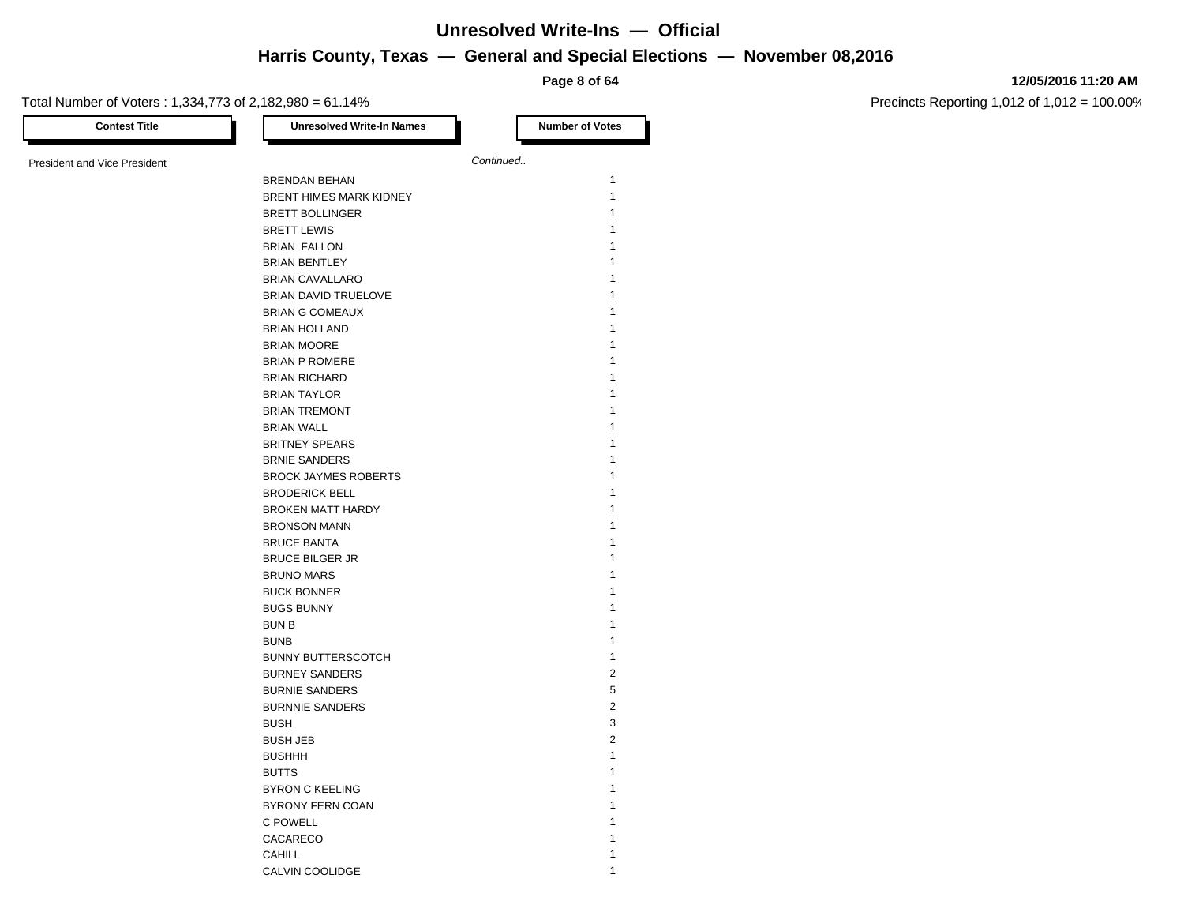**Page 8 of 64**

#### **12/05/2016 11:20 AM**

| <b>Contest Title</b>         | <b>Unresolved Write-In Names</b> | <b>Number of Votes</b> |
|------------------------------|----------------------------------|------------------------|
| President and Vice President |                                  | Continued              |
|                              | BRENDAN BEHAN                    | $\mathbf{1}$           |
|                              | BRENT HIMES MARK KIDNEY          | $\mathbf{1}$           |
|                              | <b>BRETT BOLLINGER</b>           | 1                      |
|                              | <b>BRETT LEWIS</b>               | 1                      |
|                              | <b>BRIAN FALLON</b>              | 1                      |
|                              | <b>BRIAN BENTLEY</b>             | 1                      |
|                              | <b>BRIAN CAVALLARO</b>           | 1                      |
|                              | BRIAN DAVID TRUELOVE             | 1                      |
|                              | <b>BRIAN G COMEAUX</b>           | 1                      |
|                              | <b>BRIAN HOLLAND</b>             | 1                      |
|                              | <b>BRIAN MOORE</b>               | 1                      |
|                              | <b>BRIAN P ROMERE</b>            | 1                      |
|                              | <b>BRIAN RICHARD</b>             | 1                      |
|                              | <b>BRIAN TAYLOR</b>              | 1                      |
|                              |                                  | 1                      |
|                              | <b>BRIAN TREMONT</b>             | 1                      |
|                              | <b>BRIAN WALL</b>                | 1                      |
|                              | <b>BRITNEY SPEARS</b>            | 1                      |
|                              | <b>BRNIE SANDERS</b>             | 1                      |
|                              | <b>BROCK JAYMES ROBERTS</b>      | 1                      |
|                              | <b>BRODERICK BELL</b>            |                        |
|                              | <b>BROKEN MATT HARDY</b>         | 1                      |
|                              | <b>BRONSON MANN</b>              | 1                      |
|                              | <b>BRUCE BANTA</b>               | 1                      |
|                              | <b>BRUCE BILGER JR</b>           | 1                      |
|                              | <b>BRUNO MARS</b>                | 1                      |
|                              | <b>BUCK BONNER</b>               | 1                      |
|                              | <b>BUGS BUNNY</b>                | 1                      |
|                              | <b>BUN B</b>                     | 1                      |
|                              | <b>BUNB</b>                      | 1                      |
|                              | <b>BUNNY BUTTERSCOTCH</b>        | $\mathbf{1}$           |
|                              | <b>BURNEY SANDERS</b>            | $\overline{2}$         |
|                              | <b>BURNIE SANDERS</b>            | 5                      |
|                              | <b>BURNNIE SANDERS</b>           | $\overline{2}$         |
|                              | <b>BUSH</b>                      | 3                      |
|                              | <b>BUSH JEB</b>                  | 2                      |
|                              | <b>BUSHHH</b>                    | 1                      |
|                              | <b>BUTTS</b>                     | 1                      |
|                              | <b>BYRON C KEELING</b>           | 1                      |
|                              | BYRONY FERN COAN                 | 1                      |
|                              | C POWELL                         | 1                      |
|                              | CACARECO                         | 1                      |
|                              | <b>CAHILL</b>                    | 1                      |
|                              | CALVIN COOLIDGE                  | 1                      |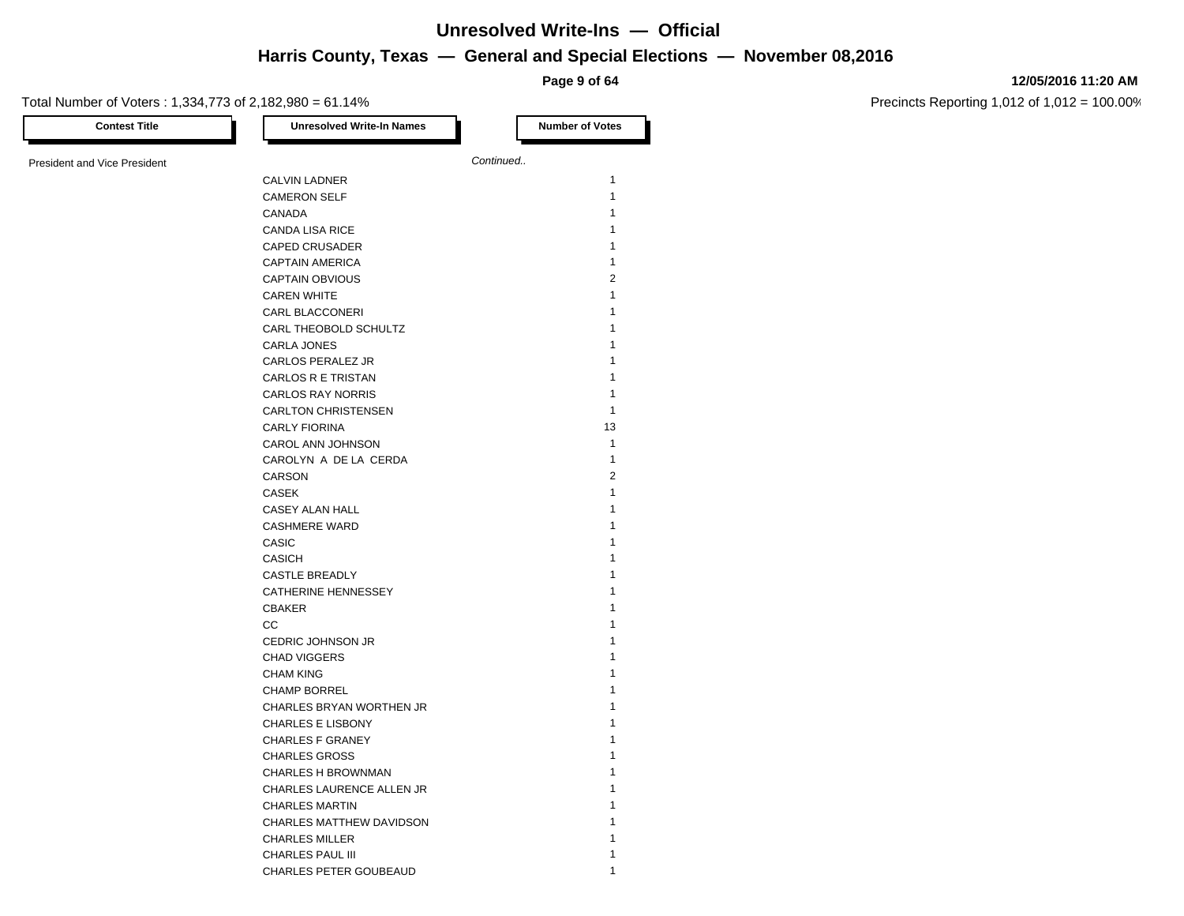**Page 9 of 64**

#### **12/05/2016 11:20 AM**

Precincts Reporting 1,012 of 1,012 = 100.00%

| <b>Contest Title</b>                | <b>Unresolved Write-In Names</b>                | <b>Number of Votes</b> |
|-------------------------------------|-------------------------------------------------|------------------------|
| <b>President and Vice President</b> |                                                 | Continued              |
|                                     | <b>CALVIN LADNER</b>                            | $\mathbf{1}$           |
|                                     | <b>CAMERON SELF</b>                             | $\mathbf{1}$           |
|                                     | CANADA                                          | 1                      |
|                                     | <b>CANDA LISA RICE</b>                          | 1                      |
|                                     | <b>CAPED CRUSADER</b>                           | 1                      |
|                                     | <b>CAPTAIN AMERICA</b>                          | 1                      |
|                                     | <b>CAPTAIN OBVIOUS</b>                          | $\overline{2}$         |
|                                     | <b>CAREN WHITE</b>                              | 1                      |
|                                     | CARL BLACCONERI                                 | 1                      |
|                                     | CARL THEOBOLD SCHULTZ                           | 1                      |
|                                     | <b>CARLA JONES</b>                              | 1                      |
|                                     | CARLOS PERALEZ JR                               | 1                      |
|                                     | CARLOS R E TRISTAN                              | 1                      |
|                                     | <b>CARLOS RAY NORRIS</b>                        | 1                      |
|                                     | <b>CARLTON CHRISTENSEN</b>                      | $\mathbf{1}$           |
|                                     | <b>CARLY FIORINA</b>                            | 13                     |
|                                     | CAROL ANN JOHNSON                               | $\mathbf{1}$           |
|                                     | CAROLYN A DE LA CERDA                           | $\mathbf{1}$           |
|                                     | CARSON                                          | $\overline{2}$         |
|                                     | <b>CASEK</b>                                    | 1                      |
|                                     | CASEY ALAN HALL                                 | 1                      |
|                                     | <b>CASHMERE WARD</b>                            | 1                      |
|                                     | CASIC                                           | 1                      |
|                                     | <b>CASICH</b>                                   | 1                      |
|                                     | <b>CASTLE BREADLY</b>                           | 1                      |
|                                     |                                                 | 1                      |
|                                     | CATHERINE HENNESSEY                             | 1                      |
|                                     | <b>CBAKER</b>                                   | 1                      |
|                                     | CC<br>CEDRIC JOHNSON JR                         | 1                      |
|                                     |                                                 | 1                      |
|                                     | <b>CHAD VIGGERS</b><br><b>CHAM KING</b>         | 1                      |
|                                     | <b>CHAMP BORREL</b>                             | 1                      |
|                                     |                                                 | 1                      |
|                                     | CHARLES BRYAN WORTHEN JR                        | 1                      |
|                                     | <b>CHARLES E LISBONY</b>                        | 1                      |
|                                     | <b>CHARLES F GRANEY</b><br><b>CHARLES GROSS</b> | 1                      |
|                                     |                                                 | 1                      |
|                                     | <b>CHARLES H BROWNMAN</b>                       |                        |
|                                     | CHARLES LAURENCE ALLEN JR                       | 1<br>1                 |
|                                     | <b>CHARLES MARTIN</b>                           |                        |
|                                     | CHARLES MATTHEW DAVIDSON                        |                        |
|                                     | <b>CHARLES MILLER</b>                           | 1                      |
|                                     | <b>CHARLES PAUL III</b>                         |                        |

CHARLES PETER GOUBEAUD 1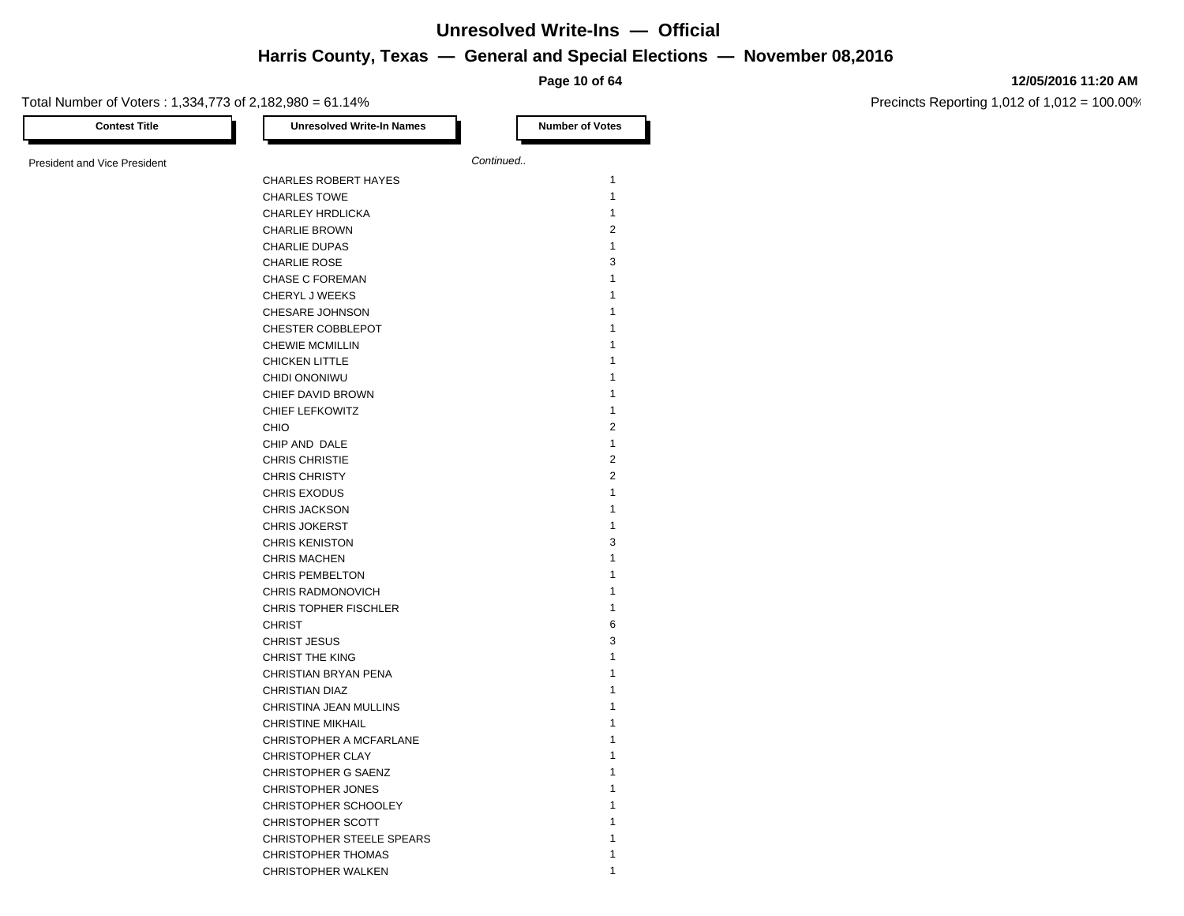**Page 10 of 64**

#### **12/05/2016 11:20 AM**

Precincts Reporting 1,012 of 1,012 = 100.00%

Total Number of Voters : 1,334,773 of 2,182,980 = 61.14% **Contest Title Number of Votes Number of Votes Number of Votes** President and Vice President **Continued. Continued.** CHARLES ROBERT HAYES 1 CHARLES TOWE 2002 12:00 12:00 12:00 12:00 12:00 12:00 12:00 12:00 12:00 12:00 12:00 12:00 12:00 12:00 12:00 12:00 12:00 12:00 12:00 12:00 12:00 12:00 12:00 12:00 12:00 12:00 12:00 12:00 12:00 12:00 12:00 12:00 12:00 12:00 CHARLEY HRDLICKA 1 CHARLIE BROWN 2 CHARLIE DUPAS 1 CHARLIE ROSE 3 CHASE C FOREMAN 1 CHERYL J WEEKS 1 CHESARE JOHNSON 1 CHESTER COBBLEPOT 1 CHEWIE MCMILLIN 1 CHICKEN LITTLE 1 CHIDI ONONIWU 1 CHIEF DAVID BROWN 1 CHIEF LEFKOWITZ 1 CHIO 2 CHIP AND DALE 1 CHRIS CHRISTIE 2 CHRIS CHRISTY 2 CHRIS EXODUS 1 CHRIS JACKSON 1 CHRIS JOKERST 1 CHRIS KENISTON 3 CHRIS MACHEN 2008 12 CHRIS PEMBELTON 1 CHRIS RADMONOVICH 1 CHRIS TOPHER FISCHLER 1 CHRIST 6 and 2008 and 2008 and 2008 and 2008 and 2008 and 2008 and 2008 and 2008 and 2008 and 2008 and 2008 and 2008 and 2008 and 2008 and 2008 and 2008 and 2008 and 2008 and 2008 and 2008 and 2008 and 2008 and 2008 and 20 CHRIST JESUS 3 CHRIST THE KING 1 CHRISTIAN BRYAN PENA 1 CHRISTIAN DIAZ 1 CHRISTINA JEAN MULLINS 1 CHRISTINE MIKHAIL 1 CHRISTOPHER A MCFARLANE 1 CHRISTOPHER CLAY 1 CHRISTOPHER G SAENZ 1 CHRISTOPHER JONES 1 CHRISTOPHER SCHOOLEY CHRISTOPHER SCOTT 1 CHRISTOPHER STEELE SPEARS 1 CHRISTOPHER THOMAS 1 CHRISTOPHER WALKEN 1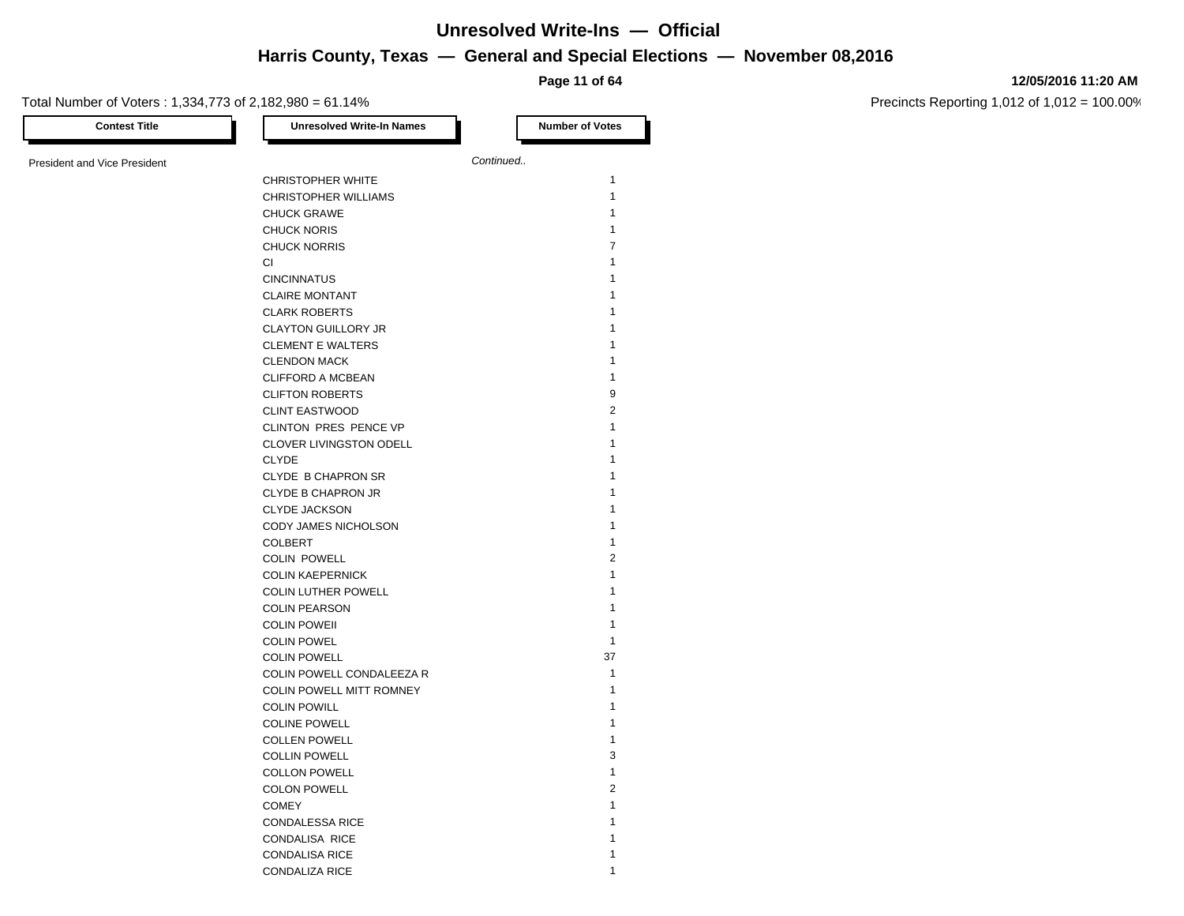**Page 11 of 64**

#### **12/05/2016 11:20 AM**

Precincts Reporting 1,012 of 1,012 = 100.00%

Total Number of Voters : 1,334,773 of 2,182,980 = 61.14% **Contest Title Number of Votes Number of Votes** President and Vice President **Continued. Continued.** CHRISTOPHER WHITE 1 1 CHRISTOPHER WILLIAMS 1 CHUCK GRAWE 1 CHUCK NORIS 1 CHUCK NORRIS 7  $Cl$  and  $Cl$  and  $Cl$  and  $Cl$  and  $Cl$  and  $Cl$  and  $Cl$  and  $Cl$  and  $Cl$  and  $Cl$  and  $Cl$  and  $Cl$  and  $Cl$  and  $Cl$  and  $Cl$  and  $Cl$  and  $Cl$  and  $Cl$  and  $Cl$  and  $Cl$  and  $Cl$  and  $Cl$  and  $Cl$  and  $Cl$  and  $Cl$  and  $Cl$  and  $Cl$  and  $Cl$  a CINCINNATUS 1 CLAIRE MONTANT 1 CLARK ROBERTS CLAYTON GUILLORY JR 1 CLEMENT E WALTERS 1 CLENDON MACK 1 CLIFFORD A MCBEAN 1 CLIFTON ROBERTS 9 CLINT EASTWOOD 2 CLINTON PRES PENCE VP 1 CLOVER LIVINGSTON ODELL 1 CLYDE **1** CLYDE B CHAPRON SR 1 CLYDE B CHAPRON JR 1 CLYDE JACKSON 1 CODY JAMES NICHOLSON 1 COLBERT **1** COLIN POWELL 2 COLIN KAEPERNICK 1 COLIN LUTHER POWELL 1 COLIN PEARSON 1 COLIN POWEII 2000 12000 12000 12000 12000 12000 12000 12000 12000 12000 12000 12000 12000 12000 12000 12000 12000 12000 12000 12000 12000 12000 12000 12000 12000 12000 12000 12000 12000 12000 12000 12000 12000 12000 12000 COLIN POWEL 1 COLIN POWELL 37 COLIN POWELL CONDALEEZA R 1 COLIN POWELL MITT ROMNEY 1 COLIN POWILL **1** COLINE POWELL 1 COLLEN POWELL **1** COLLIN POWELL 3 COLLON POWELL **1** COLON POWELL 2 COMEY 2008 2009 12:00:00 12:00:00 12:00:00 12:00:00 12:00:00 12:00:00 12:00:00 12:00:00 12:00:00 12:00:00 12:00:00 12:00:00 12:00:00 12:00:00 12:00:00 12:00:00 12:00:00 12:00:00 12:00:00 12:00:00 12:00:00 12:00:00 12:00:00 CONDALESSA RICE 1 CONDALISA RICE 1

CONDALISA RICE 1 2008 1 2009 1 2009 1 2009 1 2009 1 2009 1 2009 1 2009 1 2009 1 2009 1 2009 1 2009 1 2009 1 200 CONDALIZA RICE 1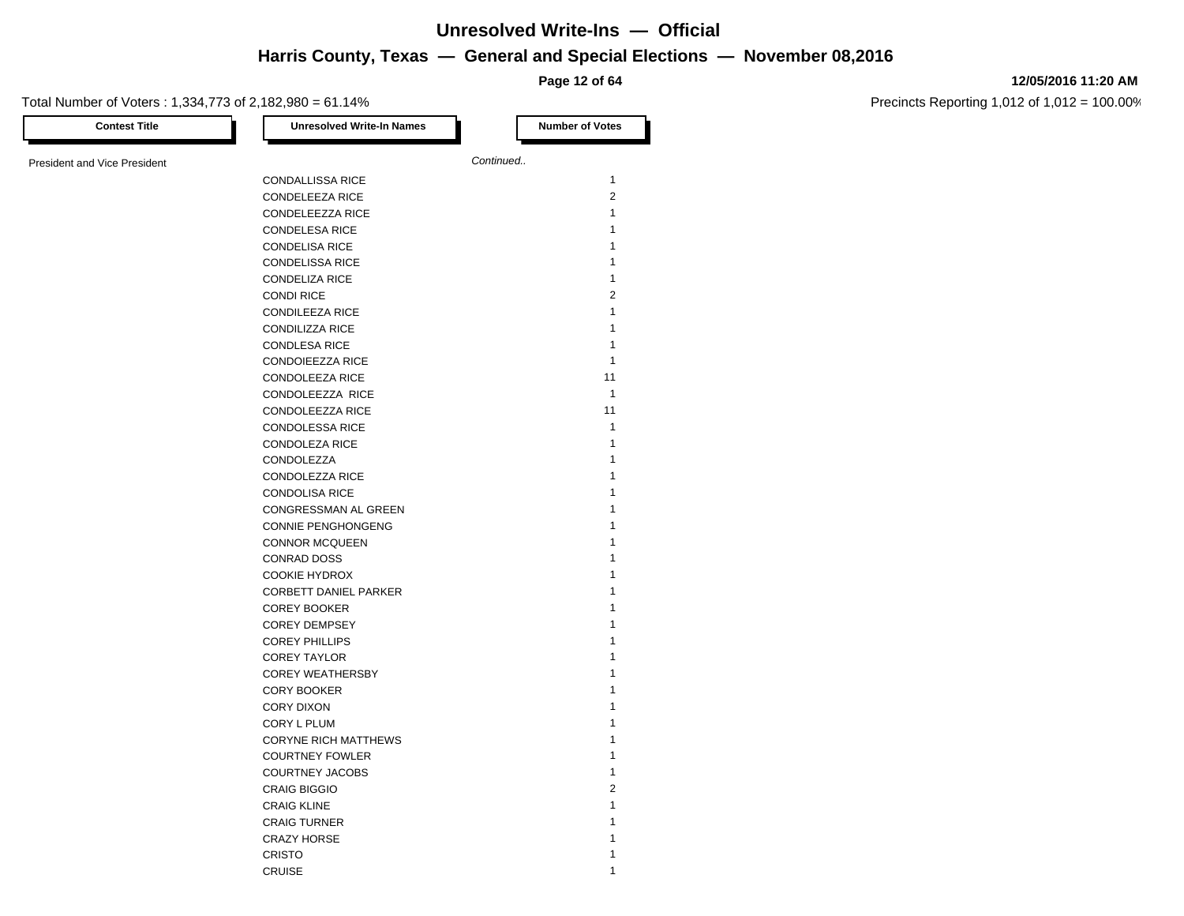**Page 12 of 64**

#### **12/05/2016 11:20 AM**

Precincts Reporting 1,012 of 1,012 = 100.00%

Total Number of Voters : 1,334,773 of 2,182,980 = 61.14% **Contest Title Number of Votes Number of Votes Number of Votes** President and Vice President **Continued. Continued.** CONDALLISSA RICE 1 CONDELEEZA RICE 2 CONDELEEZZA RICE 1 CONDELESA RICE 120 12 CONDELISA RICE 1 CONDELISSA RICE 1 CONDELIZA RICE 1 CONDI RICE 2 CONDILEEZA RICE 1 CONDILIZZA RICE 1 CONDLESA RICE 1 2009 12:00 12:00 12:00 12:00 12:00 12:00 12:00 12:00 12:00 12:00 12:00 12:00 12:00 12:00 12:00 12:00 12:00 12:00 12:00 12:00 12:00 12:00 12:00 12:00 12:00 12:00 12:00 12:00 12:00 12:00 12:00 12:00 12:00 12: CONDOIEEZZA RICE 1 CONDOLEEZA RICE 11 CONDOLEEZZA RICE 1 CONDOLEEZZA RICE 11 CONDOLESSA RICE 1 CONDOLEZA RICE 1 CONDOLEZZA 1 CONDOLEZZA RICE 1 CONDOLISA RICE 1 CONGRESSMAN AL GREEN 1 CONNIE PENGHONGENG 1 CONNOR MCQUEEN 1 CONRAD DOSS 1 COOKIE HYDROX 1 CORBETT DANIEL PARKER 1 COREY BOOKER 1 COREY DEMPSEY 1 COREY PHILLIPS 1 COREY TAYLOR **1** COREY WEATHERSBY 1 CORY BOOKER 2008 120 AM 2008 120 AM 2008 120 AM 2009 120 AM 2009 120 AM 2009 120 AM 2009 120 AM 2009 120 AM 20 CORY DIXON 2008 2009 12:00 12:00 12:00 12:00 12:00 12:00 12:00 12:00 12:00 12:00 12:00 12:00 12:00 12:00 12:00 12:00 12:00 12:00 12:00 12:00 12:00 12:00 12:00 12:00 12:00 12:00 12:00 12:00 12:00 12:00 12:00 12:00 12:00 12: CORY L PLUM 1 CORYNE RICH MATTHEWS 1 COURTNEY FOWLER 1 COURTNEY JACOBS 1 CRAIG BIGGIO 2 CRAIG KLINE 1 CRAIG TURNER 1 CRAZY HORSE 1 CRISTO **1** and 1 and 1 and 1 and 1 and 1 and 1 and 1 and 1 and 1 and 1 and 1 and 1 and 1 and 1 and 1 and 1 and 1 and 1 and 1 and 1 and 1 and 1 and 1 and 1 and 1 and 1 and 1 and 1 and 1 and 1 and 1 and 1 and 1 and 1 and 1 a

CRUISE 1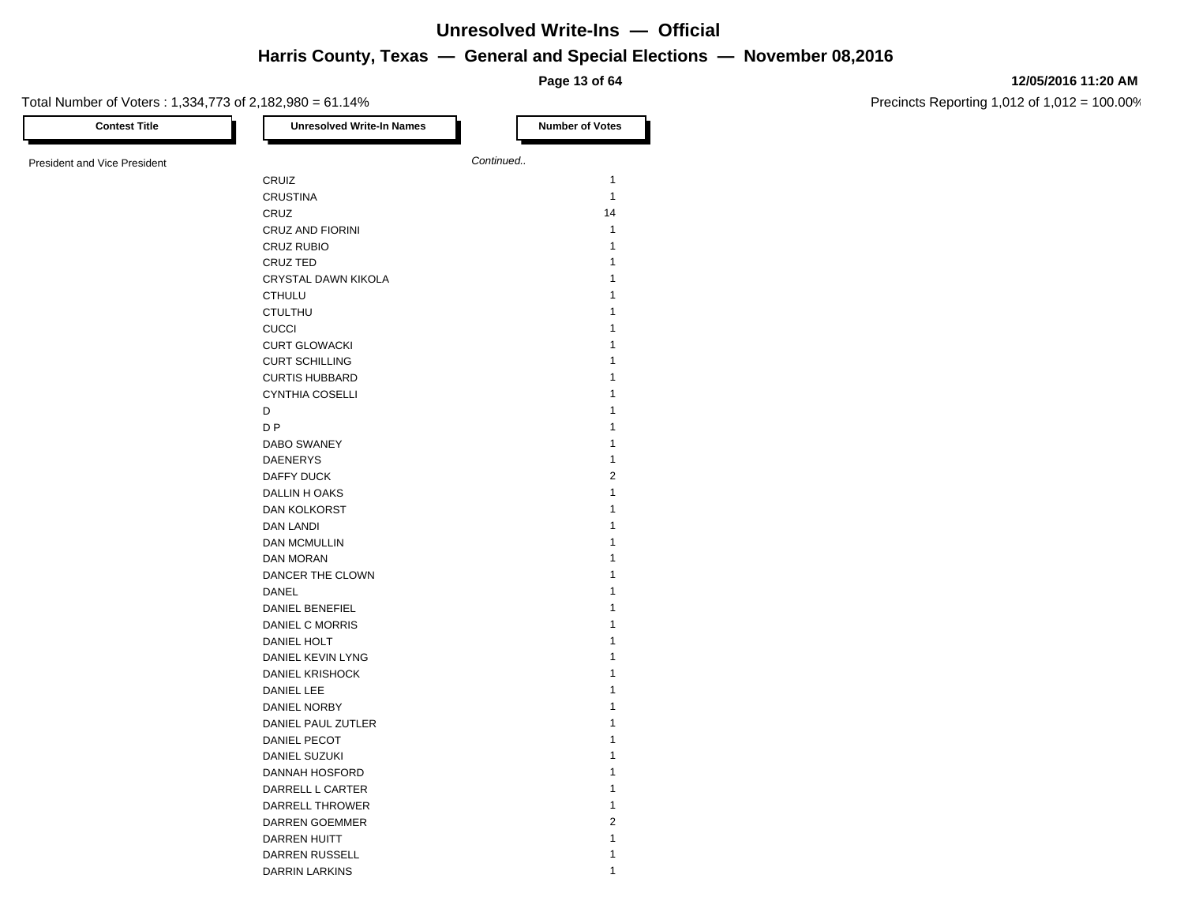**Page 13 of 64**

#### **12/05/2016 11:20 AM**

| <b>Contest Title</b>                | <b>Unresolved Write-In Names</b> | <b>Number of Votes</b> |
|-------------------------------------|----------------------------------|------------------------|
|                                     |                                  | Continued              |
| <b>President and Vice President</b> |                                  |                        |
|                                     | CRUIZ                            | $\mathbf{1}$           |
|                                     | <b>CRUSTINA</b>                  | $\mathbf{1}$           |
|                                     | CRUZ                             | 14                     |
|                                     | CRUZ AND FIORINI                 | 1                      |
|                                     | <b>CRUZ RUBIO</b>                | $\mathbf{1}$           |
|                                     | CRUZ TED                         | 1                      |
|                                     | CRYSTAL DAWN KIKOLA              | 1                      |
|                                     | <b>CTHULU</b>                    | 1                      |
|                                     | <b>CTULTHU</b>                   | 1                      |
|                                     | <b>CUCCI</b>                     | 1                      |
|                                     | <b>CURT GLOWACKI</b>             | 1                      |
|                                     | <b>CURT SCHILLING</b>            | 1                      |
|                                     | <b>CURTIS HUBBARD</b>            | 1                      |
|                                     | <b>CYNTHIA COSELLI</b>           | 1                      |
|                                     | D                                | 1                      |
|                                     | D P                              | 1                      |
|                                     | DABO SWANEY                      | 1                      |
|                                     | <b>DAENERYS</b>                  | 1                      |
|                                     | DAFFY DUCK                       | $\overline{2}$         |
|                                     | DALLIN HOAKS                     | $\mathbf{1}$           |
|                                     |                                  | 1                      |
|                                     | <b>DAN KOLKORST</b>              |                        |
|                                     | DAN LANDI                        | 1                      |
|                                     | <b>DAN MCMULLIN</b>              | 1                      |
|                                     | DAN MORAN                        | 1                      |
|                                     | DANCER THE CLOWN                 | 1                      |
|                                     | DANEL                            | 1                      |
|                                     | DANIEL BENEFIEL                  | 1                      |
|                                     | DANIEL C MORRIS                  | 1                      |
|                                     | DANIEL HOLT                      | 1                      |
|                                     | DANIEL KEVIN LYNG                | 1                      |
|                                     | <b>DANIEL KRISHOCK</b>           | 1                      |
|                                     | <b>DANIEL LEE</b>                | 1                      |
|                                     | DANIEL NORBY                     | 1                      |
|                                     | DANIEL PAUL ZUTLER               | 1                      |
|                                     | DANIEL PECOT                     | 1                      |
|                                     | DANIEL SUZUKI                    | 1                      |
|                                     | DANNAH HOSFORD                   | $\mathbf{1}$           |
|                                     | DARRELL L CARTER                 | $\mathbf{1}$           |
|                                     | DARRELL THROWER                  | $\mathbf{1}$           |
|                                     | DARREN GOEMMER                   | $\overline{c}$         |
|                                     | <b>DARREN HUITT</b>              | $\mathbf{1}$           |
|                                     | DARREN RUSSELL                   | $\mathbf{1}$           |
|                                     | DARRIN LARKINS                   | 1                      |
|                                     |                                  |                        |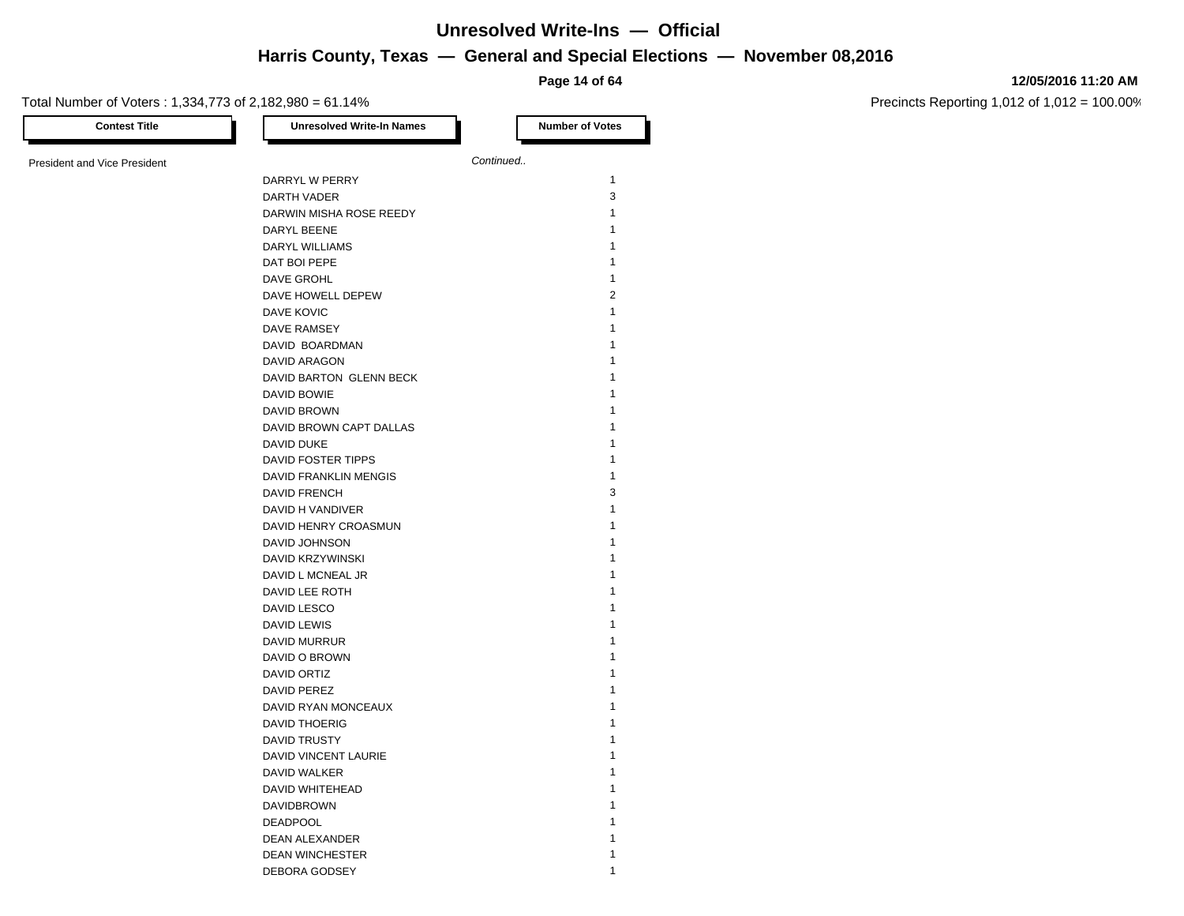**Page 14 of 64**

#### **12/05/2016 11:20 AM**

Precincts Reporting 1,012 of 1,012 = 100.00%

Total Number of Voters : 1,334,773 of 2,182,980 = 61.14% **Contest Title Number of Votes Number of Votes** President and Vice President **Continued. Continued.** DARRYL W PERRY 1 DARTH VADER 3 DARWIN MISHA ROSE REEDY 1 DARYL BEENE 1 1 1 1 1 1 1 2 2 3 4 4 5 6 7 7 8 7 7 8 7 7 8 7 7 8 7 8 7 8 7 7 8 7 8 7 8 7 8 7 8 7 8 7 8 7 8 7 8 7 8 7 8 7 8 7 8 7 8 7 8 7 8 7 8 7 8 7 8 7 8 7 8 7 8 7 8 7 8 7 8 7 8 7 8 7 8 7 8 7 8 7 8 7 8 7 8 7 8 7 8 7 8 7 8 DARYL WILLIAMS 1 DAT BOI PEPE DAVE GROHL 1 DAVE HOWELL DEPEW 2 DAVE KOVIC 2002 12 2003 12:00 12:00 12:00 12:00 12:00 12:00 12:00 12:00 12:00 12:00 12:00 12:00 12:00 12:00 12:00 12:00 12:00 12:00 12:00 12:00 12:00 12:00 12:00 12:00 12:00 12:00 12:00 12:00 12:00 12:00 12:00 12:00 12:00 DAVE RAMSEY 1 DAVID BOARDMAN 1 DAVID ARAGON 1 DAVID BARTON GLENN BECK 1 DAVID BOWIE 1 DAVID BROWN 1 DAVID BROWN CAPT DALLAS DAVID DUKE 1 DAVID FOSTER TIPPS 1 DAVID FRANKLIN MENGIS 1 DAVID FRENCH 3 DAVID H VANDIVER 1 DAVID HENRY CROASMUN 1 DAVID JOHNSON 1 DAVID KRZYWINSKI 1 DAVID L MCNEAL JR 1 DAVID LEE ROTH 1 DAVID LESCO 1 DAVID LEWIS 1 DAVID MURRUR 1 DAVID O BROWN 1 DAVID ORTIZ 1 DAVID PEREZ 1 DAVID RYAN MONCEAUX 1 DAVID THOERIG 1 DAVID TRUSTY 1 DAVID VINCENT LAURIE 1 DAVID WALKER 1 DAVID WHITEHEAD 1 **DAVIDBROWN** DEADPOOL 1 DEAN ALEXANDER 1 DEAN WINCHESTER 1 DEBORA GODSEY 1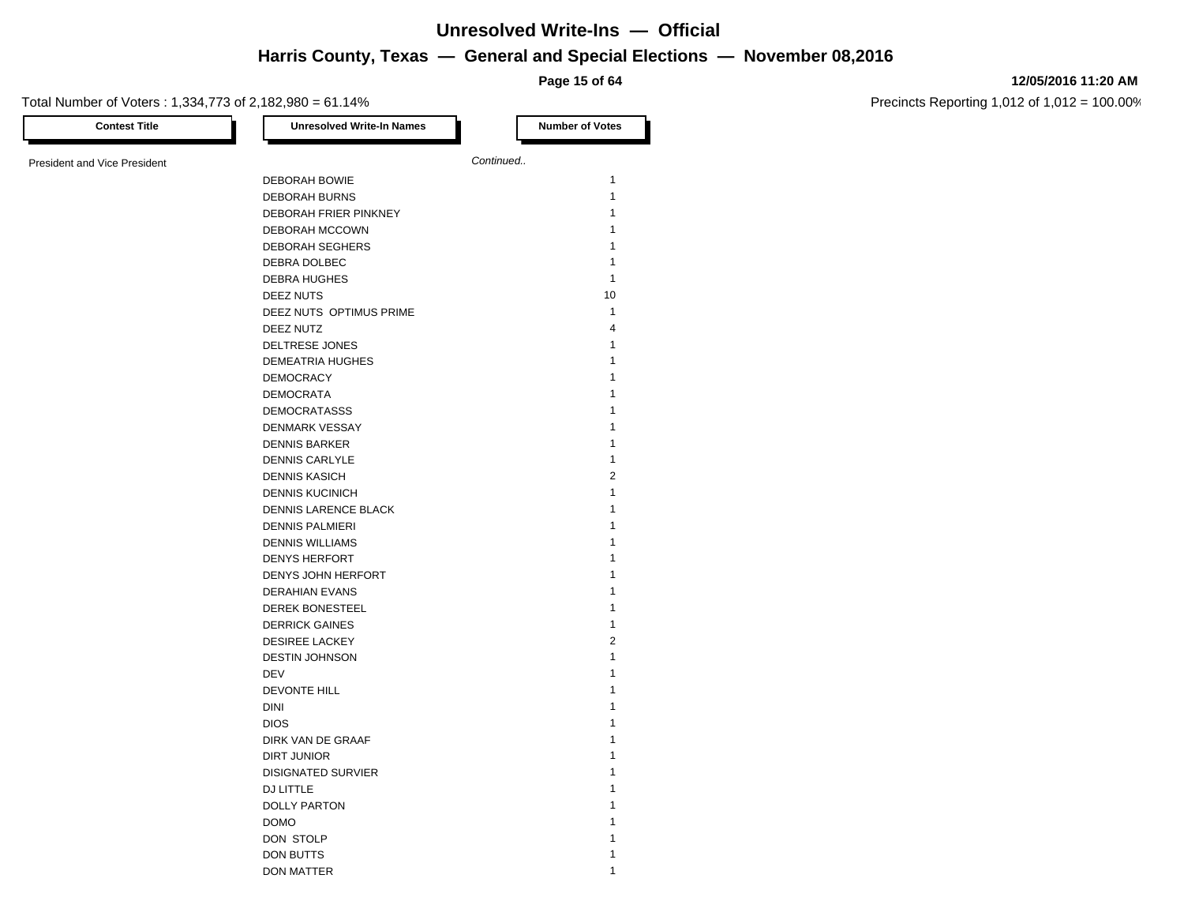**Page 15 of 64**

#### **12/05/2016 11:20 AM**

| <b>Contest Title</b>         | <b>Unresolved Write-In Names</b> | <b>Number of Votes</b> |
|------------------------------|----------------------------------|------------------------|
| President and Vice President |                                  | Continued              |
|                              | DEBORAH BOWIE                    | $\mathbf{1}$           |
|                              | <b>DEBORAH BURNS</b>             | $\mathbf{1}$           |
|                              | DEBORAH FRIER PINKNEY            | 1                      |
|                              | <b>DEBORAH MCCOWN</b>            | 1                      |
|                              | <b>DEBORAH SEGHERS</b>           | 1                      |
|                              | DEBRA DOLBEC                     | 1                      |
|                              | <b>DEBRA HUGHES</b>              | $\mathbf{1}$           |
|                              | DEEZ NUTS                        | 10                     |
|                              | DEEZ NUTS OPTIMUS PRIME          | $\mathbf{1}$           |
|                              | DEEZ NUTZ                        | $\overline{4}$         |
|                              | DELTRESE JONES                   | $\mathbf{1}$           |
|                              | <b>DEMEATRIA HUGHES</b>          | 1                      |
|                              | <b>DEMOCRACY</b>                 | 1                      |
|                              | <b>DEMOCRATA</b>                 | 1                      |
|                              | <b>DEMOCRATASSS</b>              | 1                      |
|                              | DENMARK VESSAY                   | 1                      |
|                              | <b>DENNIS BARKER</b>             | 1                      |
|                              | <b>DENNIS CARLYLE</b>            | 1                      |
|                              | <b>DENNIS KASICH</b>             | $\overline{2}$         |
|                              | <b>DENNIS KUCINICH</b>           | 1                      |
|                              | DENNIS LARENCE BLACK             | 1                      |
|                              | <b>DENNIS PALMIERI</b>           | 1                      |
|                              | <b>DENNIS WILLIAMS</b>           | 1                      |
|                              | <b>DENYS HERFORT</b>             | 1                      |
|                              | DENYS JOHN HERFORT               | 1                      |
|                              | <b>DERAHIAN EVANS</b>            | 1                      |
|                              | <b>DEREK BONESTEEL</b>           | 1                      |
|                              | <b>DERRICK GAINES</b>            | 1                      |
|                              | <b>DESIREE LACKEY</b>            | $\overline{2}$         |
|                              | <b>DESTIN JOHNSON</b>            | 1                      |
|                              | <b>DEV</b>                       | 1                      |
|                              | DEVONTE HILL                     | 1                      |
|                              | <b>DINI</b>                      | 1                      |
|                              | <b>DIOS</b>                      |                        |
|                              | DIRK VAN DE GRAAF                | 1                      |
|                              | DIRT JUNIOR                      | 1                      |
|                              | <b>DISIGNATED SURVIER</b>        | 1                      |
|                              | DJ LITTLE                        | 1                      |
|                              | <b>DOLLY PARTON</b>              | 1                      |
|                              | <b>DOMO</b>                      |                        |
|                              | DON STOLP                        |                        |
|                              | DON BUTTS                        | 1                      |
|                              | <b>DON MATTER</b>                | 1                      |
|                              |                                  |                        |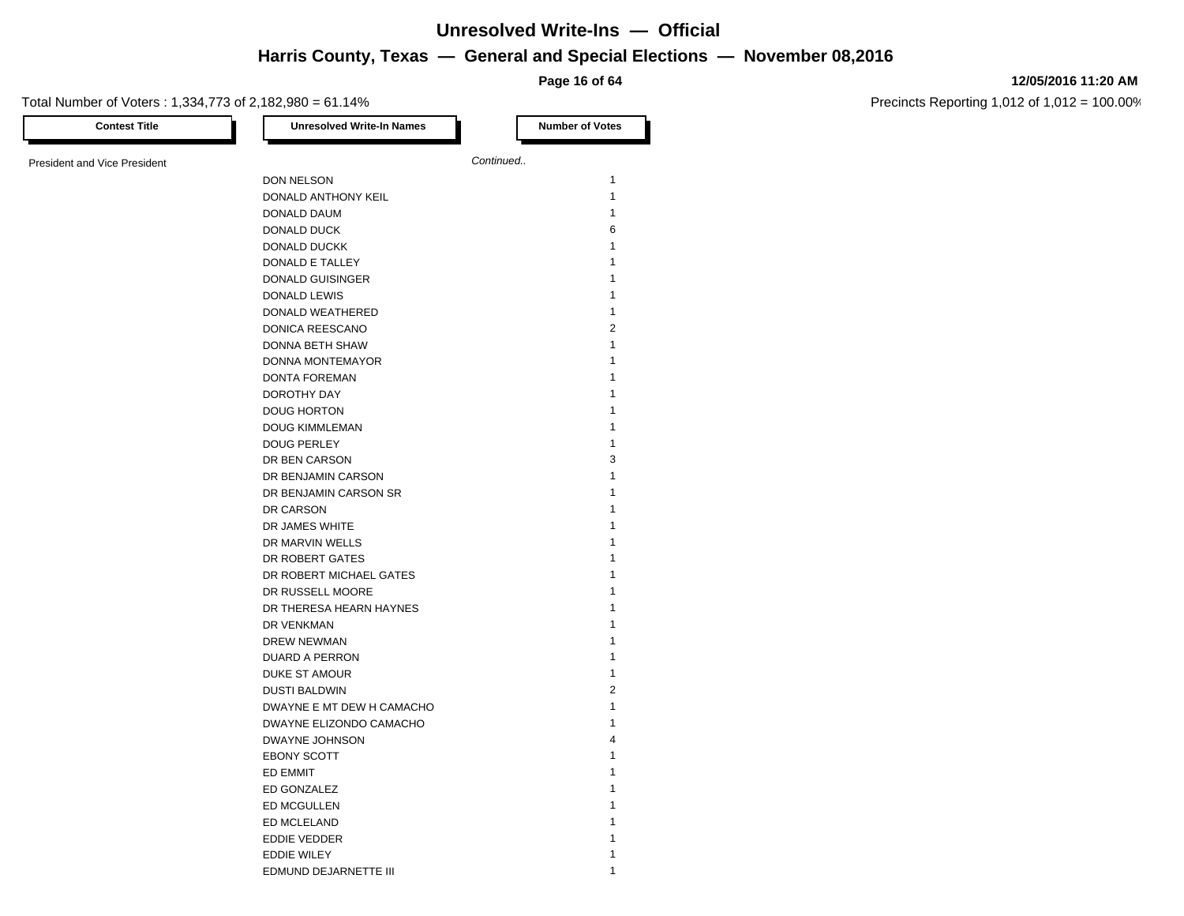**Page 16 of 64**

#### Total Number of Voters : 1,334,773 of 2,182,980 = 61.14%

**12/05/2016 11:20 AM**

| <b>Contest Title</b>                | <b>Unresolved Write-In Names</b> | <b>Number of Votes</b> |
|-------------------------------------|----------------------------------|------------------------|
| <b>President and Vice President</b> |                                  | Continued              |
|                                     | DON NELSON                       | $\mathbf{1}$           |
|                                     | DONALD ANTHONY KEIL              | $\mathbf{1}$           |
|                                     | DONALD DAUM                      | $\mathbf{1}$           |
|                                     | DONALD DUCK                      | 6                      |
|                                     | DONALD DUCKK                     | $\mathbf{1}$           |
|                                     | DONALD E TALLEY                  | 1                      |
|                                     | DONALD GUISINGER                 | 1                      |
|                                     | DONALD LEWIS                     | $\mathbf{1}$           |
|                                     | DONALD WEATHERED                 | $\mathbf{1}$           |
|                                     | DONICA REESCANO                  | $\overline{2}$         |
|                                     | DONNA BETH SHAW                  | 1                      |
|                                     | DONNA MONTEMAYOR                 | 1                      |
|                                     | DONTA FOREMAN                    | $\mathbf{1}$           |
|                                     | DOROTHY DAY                      | $\mathbf{1}$           |
|                                     | <b>DOUG HORTON</b>               | $\mathbf{1}$           |
|                                     | <b>DOUG KIMMLEMAN</b>            | 1                      |
|                                     | <b>DOUG PERLEY</b>               | $\mathbf{1}$           |
|                                     | DR BEN CARSON                    | 3                      |
|                                     | DR BENJAMIN CARSON               | $\mathbf{1}$           |
|                                     | DR BENJAMIN CARSON SR            | 1                      |
|                                     | DR CARSON                        | 1                      |
|                                     | DR JAMES WHITE                   | $\mathbf{1}$           |
|                                     | DR MARVIN WELLS                  | 1                      |
|                                     | DR ROBERT GATES                  | 1                      |
|                                     | DR ROBERT MICHAEL GATES          | $\mathbf{1}$           |
|                                     | DR RUSSELL MOORE                 | $\mathbf{1}$           |
|                                     | DR THERESA HEARN HAYNES          | $\mathbf{1}$           |
|                                     | DR VENKMAN                       | 1                      |
|                                     | DREW NEWMAN                      | 1                      |
|                                     | DUARD A PERRON                   | $\mathbf{1}$           |
|                                     | <b>DUKE ST AMOUR</b>             | $\mathbf{1}$           |
|                                     | <b>DUSTI BALDWIN</b>             | $\overline{2}$         |
|                                     | DWAYNE E MT DEW H CAMACHO        | $\mathbf{1}$           |
|                                     | DWAYNE ELIZONDO CAMACHO          | $\mathbf{1}$           |
|                                     | DWAYNE JOHNSON                   | $\overline{4}$         |
|                                     | <b>EBONY SCOTT</b>               | 1                      |
|                                     | ED EMMIT                         | 1                      |
|                                     | ED GONZALEZ                      | 1                      |
|                                     | ED MCGULLEN                      | $\mathbf{1}$           |
|                                     | ED MCLELAND                      | $\mathbf{1}$           |
|                                     | EDDIE VEDDER                     | 1                      |
|                                     | <b>EDDIE WILEY</b>               | 1                      |
|                                     | EDMUND DEJARNETTE III            | 1                      |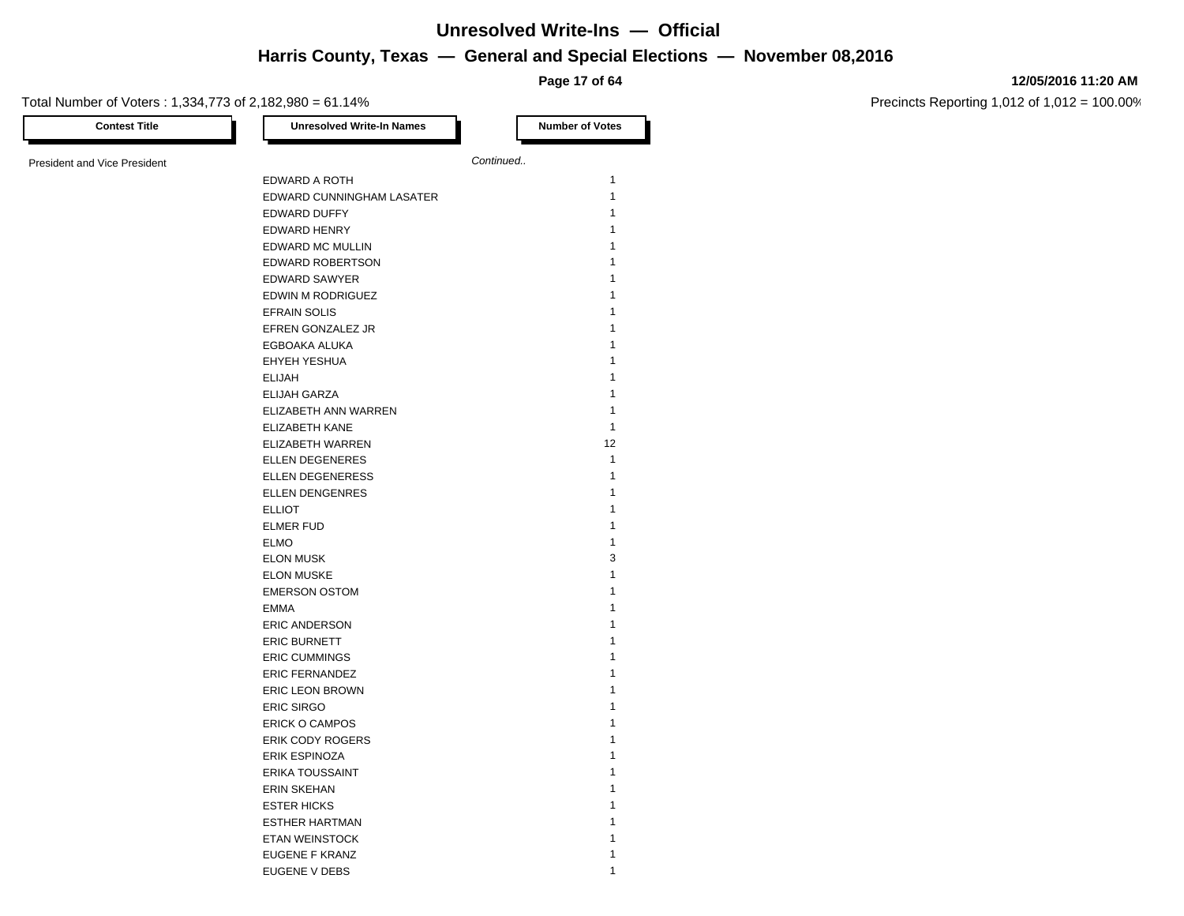**Page 17 of 64**

#### **12/05/2016 11:20 AM**

| Continued<br>EDWARD A ROTH<br>EDWARD CUNNINGHAM LASATER<br>EDWARD DUFFY<br><b>EDWARD HENRY</b><br>EDWARD MC MULLIN<br><b>EDWARD ROBERTSON</b><br>EDWARD SAWYER<br>EDWIN M RODRIGUEZ<br><b>EFRAIN SOLIS</b><br>EFREN GONZALEZ JR<br>EGBOAKA ALUKA<br>EHYEH YESHUA<br><b>ELIJAH</b><br>ELIJAH GARZA<br>ELIZABETH ANN WARREN<br><b>ELIZABETH KANE</b><br>ELIZABETH WARREN<br><b>ELLEN DEGENERES</b><br><b>ELLEN DEGENERESS</b><br><b>ELLEN DENGENRES</b><br><b>ELLIOT</b><br><b>ELMER FUD</b><br><b>ELMO</b><br><b>ELON MUSK</b><br><b>ELON MUSKE</b><br><b>EMERSON OSTOM</b><br><b>EMMA</b><br><b>ERIC ANDERSON</b><br><b>ERIC BURNETT</b><br><b>ERIC CUMMINGS</b><br><b>ERIC FERNANDEZ</b><br><b>ERIC LEON BROWN</b><br><b>ERIC SIRGO</b><br>ERICK O CAMPOS<br>ERIK CODY ROGERS<br><b>ERIK ESPINOZA</b><br><b>ERIKA TOUSSAINT</b><br><b>ERIN SKEHAN</b><br><b>ESTER HICKS</b><br><b>ESTHER HARTMAN</b><br>ETAN WEINSTOCK<br>EUGENE F KRANZ | <b>Contest Title</b>                | <b>Unresolved Write-In Names</b> | <b>Number of Votes</b> |
|-------------------------------------------------------------------------------------------------------------------------------------------------------------------------------------------------------------------------------------------------------------------------------------------------------------------------------------------------------------------------------------------------------------------------------------------------------------------------------------------------------------------------------------------------------------------------------------------------------------------------------------------------------------------------------------------------------------------------------------------------------------------------------------------------------------------------------------------------------------------------------------------------------------------------------------------|-------------------------------------|----------------------------------|------------------------|
|                                                                                                                                                                                                                                                                                                                                                                                                                                                                                                                                                                                                                                                                                                                                                                                                                                                                                                                                           |                                     |                                  |                        |
|                                                                                                                                                                                                                                                                                                                                                                                                                                                                                                                                                                                                                                                                                                                                                                                                                                                                                                                                           | <b>President and Vice President</b> |                                  |                        |
|                                                                                                                                                                                                                                                                                                                                                                                                                                                                                                                                                                                                                                                                                                                                                                                                                                                                                                                                           |                                     |                                  | $\mathbf{1}$           |
|                                                                                                                                                                                                                                                                                                                                                                                                                                                                                                                                                                                                                                                                                                                                                                                                                                                                                                                                           |                                     |                                  | $\mathbf{1}$           |
|                                                                                                                                                                                                                                                                                                                                                                                                                                                                                                                                                                                                                                                                                                                                                                                                                                                                                                                                           |                                     |                                  | 1                      |
|                                                                                                                                                                                                                                                                                                                                                                                                                                                                                                                                                                                                                                                                                                                                                                                                                                                                                                                                           |                                     |                                  | 1                      |
|                                                                                                                                                                                                                                                                                                                                                                                                                                                                                                                                                                                                                                                                                                                                                                                                                                                                                                                                           |                                     |                                  | 1                      |
|                                                                                                                                                                                                                                                                                                                                                                                                                                                                                                                                                                                                                                                                                                                                                                                                                                                                                                                                           |                                     |                                  | 1                      |
|                                                                                                                                                                                                                                                                                                                                                                                                                                                                                                                                                                                                                                                                                                                                                                                                                                                                                                                                           |                                     |                                  | 1                      |
|                                                                                                                                                                                                                                                                                                                                                                                                                                                                                                                                                                                                                                                                                                                                                                                                                                                                                                                                           |                                     |                                  | 1                      |
|                                                                                                                                                                                                                                                                                                                                                                                                                                                                                                                                                                                                                                                                                                                                                                                                                                                                                                                                           |                                     |                                  | 1                      |
|                                                                                                                                                                                                                                                                                                                                                                                                                                                                                                                                                                                                                                                                                                                                                                                                                                                                                                                                           |                                     |                                  | 1                      |
|                                                                                                                                                                                                                                                                                                                                                                                                                                                                                                                                                                                                                                                                                                                                                                                                                                                                                                                                           |                                     |                                  | 1                      |
|                                                                                                                                                                                                                                                                                                                                                                                                                                                                                                                                                                                                                                                                                                                                                                                                                                                                                                                                           |                                     |                                  | 1                      |
|                                                                                                                                                                                                                                                                                                                                                                                                                                                                                                                                                                                                                                                                                                                                                                                                                                                                                                                                           |                                     |                                  | 1                      |
|                                                                                                                                                                                                                                                                                                                                                                                                                                                                                                                                                                                                                                                                                                                                                                                                                                                                                                                                           |                                     |                                  | $\mathbf{1}$           |
|                                                                                                                                                                                                                                                                                                                                                                                                                                                                                                                                                                                                                                                                                                                                                                                                                                                                                                                                           |                                     |                                  | 1                      |
|                                                                                                                                                                                                                                                                                                                                                                                                                                                                                                                                                                                                                                                                                                                                                                                                                                                                                                                                           |                                     |                                  |                        |
|                                                                                                                                                                                                                                                                                                                                                                                                                                                                                                                                                                                                                                                                                                                                                                                                                                                                                                                                           |                                     |                                  | $\mathbf{1}$           |
|                                                                                                                                                                                                                                                                                                                                                                                                                                                                                                                                                                                                                                                                                                                                                                                                                                                                                                                                           |                                     |                                  | 12                     |
|                                                                                                                                                                                                                                                                                                                                                                                                                                                                                                                                                                                                                                                                                                                                                                                                                                                                                                                                           |                                     |                                  | $\mathbf{1}$           |
|                                                                                                                                                                                                                                                                                                                                                                                                                                                                                                                                                                                                                                                                                                                                                                                                                                                                                                                                           |                                     |                                  | 1                      |
|                                                                                                                                                                                                                                                                                                                                                                                                                                                                                                                                                                                                                                                                                                                                                                                                                                                                                                                                           |                                     |                                  | 1                      |
|                                                                                                                                                                                                                                                                                                                                                                                                                                                                                                                                                                                                                                                                                                                                                                                                                                                                                                                                           |                                     |                                  | 1                      |
|                                                                                                                                                                                                                                                                                                                                                                                                                                                                                                                                                                                                                                                                                                                                                                                                                                                                                                                                           |                                     |                                  | 1                      |
|                                                                                                                                                                                                                                                                                                                                                                                                                                                                                                                                                                                                                                                                                                                                                                                                                                                                                                                                           |                                     |                                  | 1                      |
|                                                                                                                                                                                                                                                                                                                                                                                                                                                                                                                                                                                                                                                                                                                                                                                                                                                                                                                                           |                                     |                                  | 3                      |
|                                                                                                                                                                                                                                                                                                                                                                                                                                                                                                                                                                                                                                                                                                                                                                                                                                                                                                                                           |                                     |                                  | 1                      |
|                                                                                                                                                                                                                                                                                                                                                                                                                                                                                                                                                                                                                                                                                                                                                                                                                                                                                                                                           |                                     |                                  | 1                      |
|                                                                                                                                                                                                                                                                                                                                                                                                                                                                                                                                                                                                                                                                                                                                                                                                                                                                                                                                           |                                     |                                  | 1                      |
|                                                                                                                                                                                                                                                                                                                                                                                                                                                                                                                                                                                                                                                                                                                                                                                                                                                                                                                                           |                                     |                                  | 1                      |
|                                                                                                                                                                                                                                                                                                                                                                                                                                                                                                                                                                                                                                                                                                                                                                                                                                                                                                                                           |                                     |                                  | 1                      |
|                                                                                                                                                                                                                                                                                                                                                                                                                                                                                                                                                                                                                                                                                                                                                                                                                                                                                                                                           |                                     |                                  | 1                      |
|                                                                                                                                                                                                                                                                                                                                                                                                                                                                                                                                                                                                                                                                                                                                                                                                                                                                                                                                           |                                     |                                  | 1                      |
|                                                                                                                                                                                                                                                                                                                                                                                                                                                                                                                                                                                                                                                                                                                                                                                                                                                                                                                                           |                                     |                                  | 1                      |
|                                                                                                                                                                                                                                                                                                                                                                                                                                                                                                                                                                                                                                                                                                                                                                                                                                                                                                                                           |                                     |                                  | 1                      |
|                                                                                                                                                                                                                                                                                                                                                                                                                                                                                                                                                                                                                                                                                                                                                                                                                                                                                                                                           |                                     |                                  | 1                      |
|                                                                                                                                                                                                                                                                                                                                                                                                                                                                                                                                                                                                                                                                                                                                                                                                                                                                                                                                           |                                     |                                  | 1                      |
|                                                                                                                                                                                                                                                                                                                                                                                                                                                                                                                                                                                                                                                                                                                                                                                                                                                                                                                                           |                                     |                                  | 1                      |
|                                                                                                                                                                                                                                                                                                                                                                                                                                                                                                                                                                                                                                                                                                                                                                                                                                                                                                                                           |                                     |                                  | 1                      |
|                                                                                                                                                                                                                                                                                                                                                                                                                                                                                                                                                                                                                                                                                                                                                                                                                                                                                                                                           |                                     |                                  | 1                      |
|                                                                                                                                                                                                                                                                                                                                                                                                                                                                                                                                                                                                                                                                                                                                                                                                                                                                                                                                           |                                     |                                  |                        |
|                                                                                                                                                                                                                                                                                                                                                                                                                                                                                                                                                                                                                                                                                                                                                                                                                                                                                                                                           |                                     |                                  | 1                      |
|                                                                                                                                                                                                                                                                                                                                                                                                                                                                                                                                                                                                                                                                                                                                                                                                                                                                                                                                           |                                     |                                  | 1                      |
|                                                                                                                                                                                                                                                                                                                                                                                                                                                                                                                                                                                                                                                                                                                                                                                                                                                                                                                                           |                                     |                                  | 1                      |
|                                                                                                                                                                                                                                                                                                                                                                                                                                                                                                                                                                                                                                                                                                                                                                                                                                                                                                                                           |                                     | EUGENE V DEBS                    | 1                      |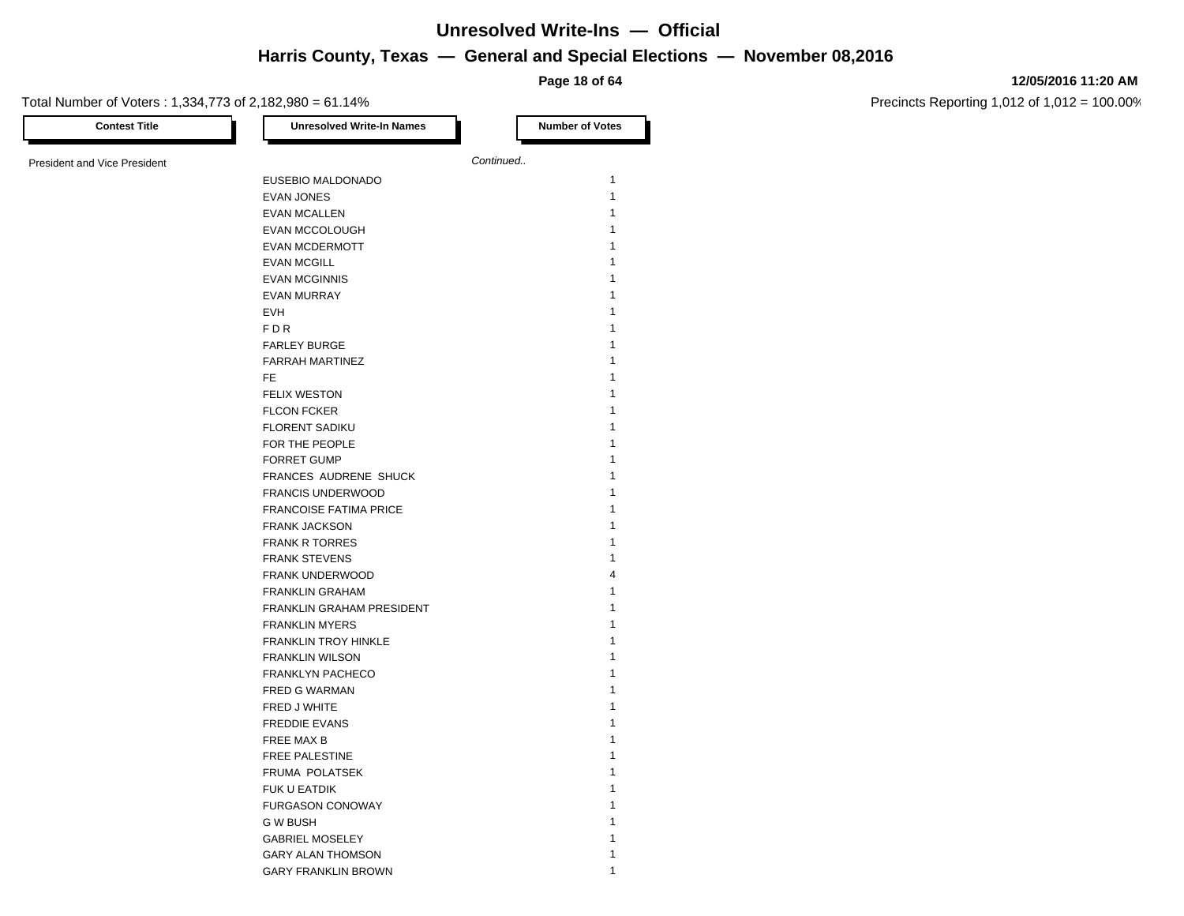**Page 18 of 64**

#### **12/05/2016 11:20 AM**

Precincts Reporting 1,012 of 1,012 = 100.00%

Total Number of Voters : 1,334,773 of 2,182,980 = 61.14% **Contest Title Number of Votes Number of Votes** President and Vice President **Continued. Continued.** EUSEBIO MALDONADO 1 EVAN JONES 1 EVAN MCALLEN 1 EVAN MCCOLOUGH 1 EVAN MCDERMOTT 1 **EVAN MCGILL** EVAN MCGINNIS 1 EVAN MURRAY 1  $EV$ H  $\overline{\phantom{a}}$  1 FDR  $\,$  1  $\,$ FARLEY BURGE 1 FARRAH MARTINEZ 1 FETTING THE SET OF THE SET OF THE SET OF THE SET OF THE SET OF THE SET OF THE SET OF THE SET OF THE SET OF THE SET OF THE SET OF THE SET OF THE SET OF THE SET OF THE SET OF THE SET OF THE SET OF THE SET OF THE SET OF THE FELIX WESTON 1 FLCON FCKER 1 FLORENT SADIKU FOR THE PEOPLE 1 2008 1 FORRET GUMP 1 FRANCES AUDRENE SHUCK 1 FRANCIS UNDERWOOD 1 FRANCOISE FATIMA PRICE 1 FRANK JACKSON 1 FRANK R TORRES FRANK STEVENS 1 FRANK UNDERWOOD 4 FRANKLIN GRAHAM 1 FRANKLIN GRAHAM PRESIDENT 1 FRANKLIN MYERS 1 FRANKLIN TROY HINKLE 1 FRANKLIN WILSON 1 FRANKLYN PACHECO 1 FRED G WARMAN 1 FRED J WHITE 1 FREDDIE EVANS 1 FREE MAX B 1 FREE PALESTINE 1 FRUMA POLATSEK 1 FUK U EATDIK 1 FURGASON CONOWAY 1 G W BUSH 2008 12 A V BUSH 2008 12 A V BUSH 2008 12 A V BUSH 2008 12 A V BUSH 2008 12 A V BUSH 2008 12 A V BUSH GABRIEL MOSELEY 1 GARY ALAN THOMSON 1

GARY FRANKLIN BROWN 1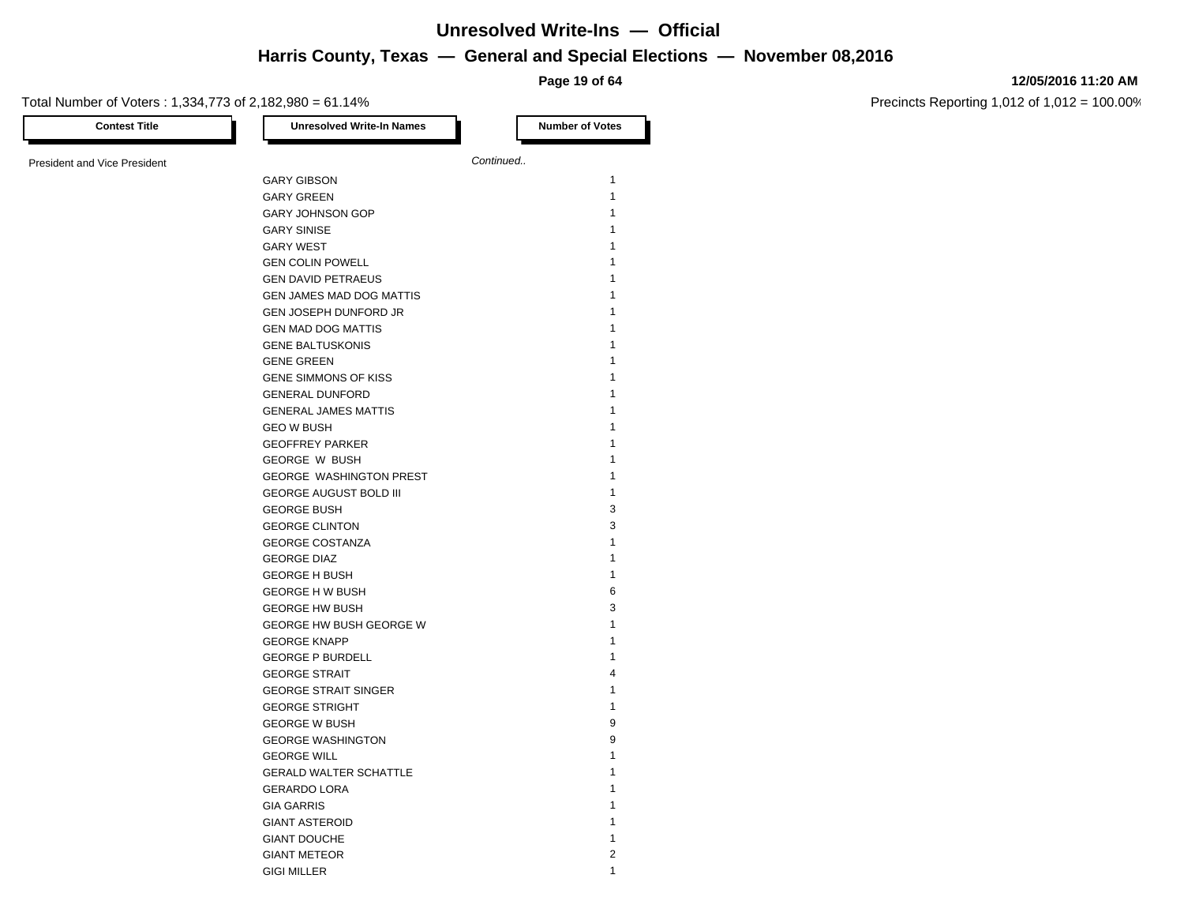**Page 19 of 64**

#### **12/05/2016 11:20 AM**

Precincts Reporting 1,012 of 1,012 = 100.00%

Total Number of Voters : 1,334,773 of 2,182,980 = 61.14% **Contest Title Number of Votes Number of Votes Number of Votes** President and Vice President **Continued. Continued.** GARY GIBSON 1 GARY GREEN 1 GARY JOHNSON GOP
1 GARY SINISE 1 GARY WEST 1 **GEN COLIN POWELL** GEN DAVID PETRAEUS 1 GEN JAMES MAD DOG MATTIS 1 GEN JOSEPH DUNFORD JR 1 GEN MAD DOG MATTIS 1 GENE BALTUSKONIS 1 **GENE GREEN** GENE SIMMONS OF KISS 1 GENERAL DUNFORD 1 GENERAL JAMES MATTIS 1 **GEO W BUSH** GEOFFREY PARKER 1 GEORGE W BUSH 1 GEORGE WASHINGTON PREST 1 GEORGE AUGUST BOLD III 1 GEORGE BUSH 3 GEORGE CLINTON 3 GEORGE COSTANZA **1** GEORGE DIAZ 1 GEORGE H BUSH 1 GEORGE H W BUSH 6 GEORGE HW BUSH 3 GEORGE HW BUSH GEORGE W 1 GEORGE KNAPP 1 GEORGE P BURDELL **1** GEORGE STRAIT 4 GEORGE STRAIT SINGER 1 GEORGE STRIGHT 1 2000 1 2000 1 2000 1 2000 1 2000 1 2000 1 2000 2000 1 2000 2000 2000 2000 2000 2000 2000 2000 2000 2000 2000 2000 2000 2000 2000 2000 2000 2000 2000 2000 2000 2000 2000 2000 2000 2000 2000 2000 2000 2000 2 GEORGE W BUSH 9 GEORGE WASHINGTON 9 GEORGE WILL **A CONSTRUCTED A CONSTRUCT OF A CONSTRUCT OF A CONSTRUCT OF A CONSTRUCTION** GERALD WALTER SCHATTLE 1 GERARDO LORA 1 **GIA GARRIS** GIANT ASTEROID 1 GIANT DOUCHE 1 GIANT METEOR 2

GIGI MILLER 1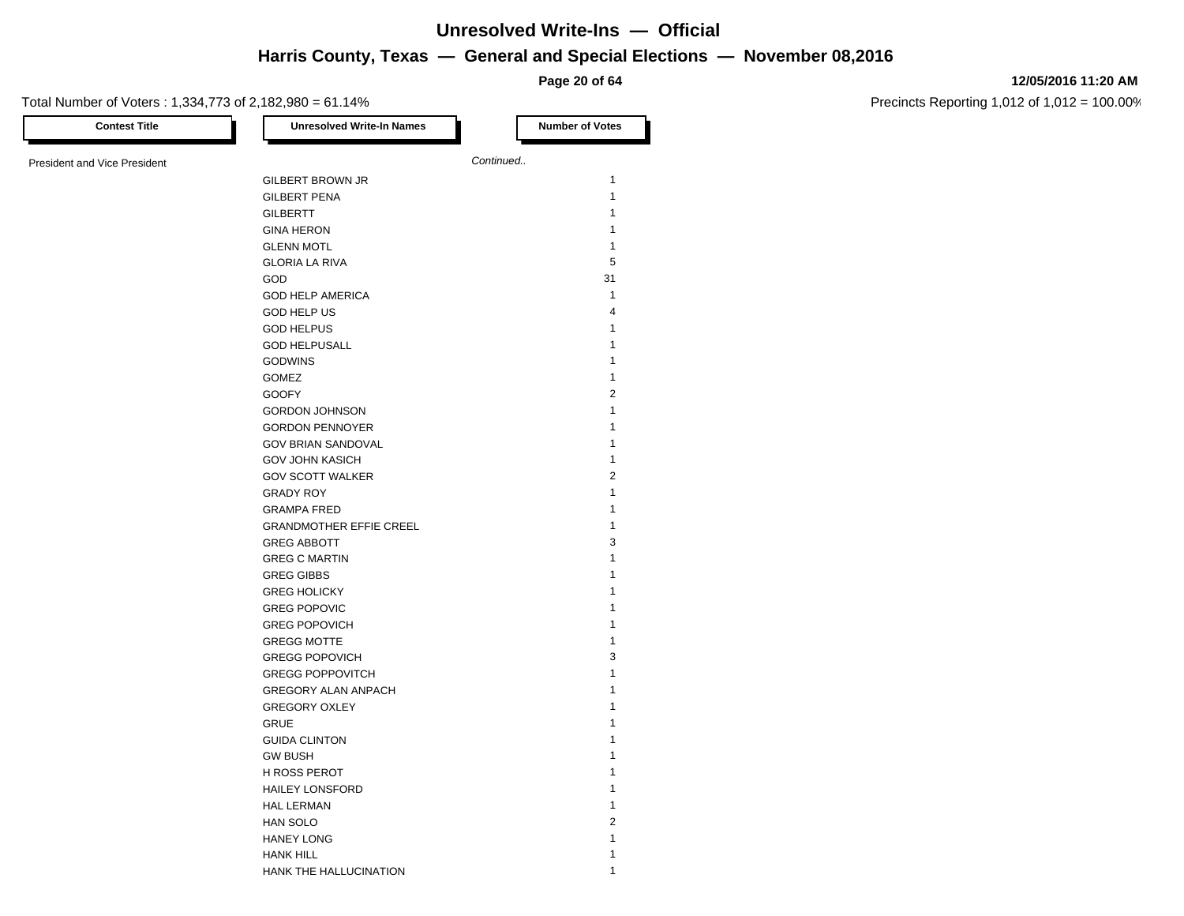**Page 20 of 64**

#### **12/05/2016 11:20 AM**

Precincts Reporting 1,012 of 1,012 = 100.00%

| <b>Contest Title</b>                | <b>Unresolved Write-In Names</b> | <b>Number of Votes</b> |
|-------------------------------------|----------------------------------|------------------------|
| <b>President and Vice President</b> |                                  | Continued              |
|                                     | <b>GILBERT BROWN JR</b>          | 1                      |
|                                     | <b>GILBERT PENA</b>              | $\mathbf{1}$           |
|                                     | <b>GILBERTT</b>                  | $\mathbf{1}$           |
|                                     | <b>GINA HERON</b>                | 1                      |
|                                     | <b>GLENN MOTL</b>                | $\mathbf{1}$           |
|                                     | <b>GLORIA LA RIVA</b>            | 5                      |
|                                     | <b>GOD</b>                       | 31                     |
|                                     | <b>GOD HELP AMERICA</b>          | $\mathbf{1}$           |
|                                     | <b>GOD HELP US</b>               | $\overline{4}$         |
|                                     | <b>GOD HELPUS</b>                | 1                      |
|                                     | <b>GOD HELPUSALL</b>             | 1                      |
|                                     |                                  | $\mathbf{1}$           |
|                                     | <b>GODWINS</b>                   | $\mathbf{1}$           |
|                                     | <b>GOMEZ</b>                     | $\overline{2}$         |
|                                     | <b>GOOFY</b>                     | 1                      |
|                                     | <b>GORDON JOHNSON</b>            |                        |
|                                     | <b>GORDON PENNOYER</b>           | 1                      |
|                                     | <b>GOV BRIAN SANDOVAL</b>        | 1                      |
|                                     | <b>GOV JOHN KASICH</b>           | 1                      |
|                                     | <b>GOV SCOTT WALKER</b>          | $\overline{2}$         |
|                                     | <b>GRADY ROY</b>                 | 1                      |
|                                     | <b>GRAMPA FRED</b>               | 1                      |
|                                     | <b>GRANDMOTHER EFFIE CREEL</b>   | 1                      |
|                                     | <b>GREG ABBOTT</b>               | 3                      |
|                                     | <b>GREG C MARTIN</b>             | $\mathbf{1}$           |
|                                     | <b>GREG GIBBS</b>                | 1                      |
|                                     | <b>GREG HOLICKY</b>              | 1                      |
|                                     | <b>GREG POPOVIC</b>              | 1                      |
|                                     | <b>GREG POPOVICH</b>             | 1                      |
|                                     | <b>GREGG MOTTE</b>               | $\mathbf{1}$           |
|                                     | <b>GREGG POPOVICH</b>            | 3                      |
|                                     | <b>GREGG POPPOVITCH</b>          | 1                      |
|                                     | GREGORY ALAN ANPACH              | 1                      |
|                                     | <b>GREGORY OXLEY</b>             | 1                      |
|                                     | <b>GRUE</b>                      | 1                      |
|                                     | <b>GUIDA CLINTON</b>             | 1                      |
|                                     | <b>GW BUSH</b>                   | 1                      |
|                                     | <b>H ROSS PEROT</b>              | 1                      |
|                                     | <b>HAILEY LONSFORD</b>           | 1                      |
|                                     | <b>HAL LERMAN</b>                | $\mathbf{1}$           |
|                                     | HAN SOLO                         | $\overline{2}$         |
|                                     | <b>HANEY LONG</b>                | 1                      |
|                                     | <b>HANK HILL</b>                 | $\mathbf{1}$           |
|                                     |                                  |                        |

HANK THE HALLUCINATION 1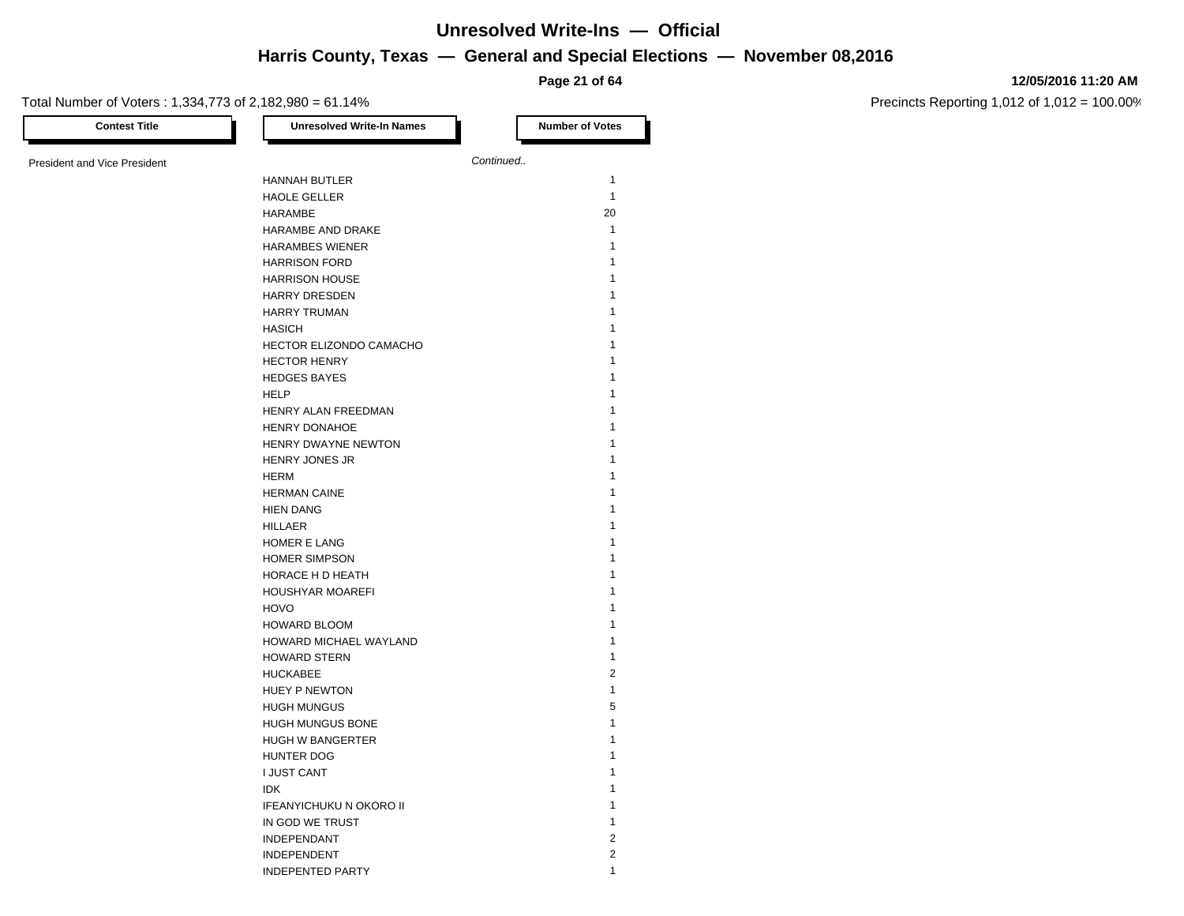**Page 21 of 64**

#### **12/05/2016 11:20 AM**

| <b>Contest Title</b>                | <b>Unresolved Write-In Names</b> | <b>Number of Votes</b> |
|-------------------------------------|----------------------------------|------------------------|
| <b>President and Vice President</b> |                                  | Continued              |
|                                     | <b>HANNAH BUTLER</b>             | $\mathbf{1}$           |
|                                     | <b>HAOLE GELLER</b>              | $\mathbf{1}$           |
|                                     | <b>HARAMBE</b>                   | 20                     |
|                                     | HARAMBE AND DRAKE                | $\mathbf{1}$           |
|                                     | <b>HARAMBES WIENER</b>           | $\mathbf{1}$           |
|                                     | <b>HARRISON FORD</b>             | 1                      |
|                                     | <b>HARRISON HOUSE</b>            | 1                      |
|                                     | <b>HARRY DRESDEN</b>             | 1                      |
|                                     | <b>HARRY TRUMAN</b>              | 1                      |
|                                     | <b>HASICH</b>                    | 1                      |
|                                     | HECTOR ELIZONDO CAMACHO          | 1                      |
|                                     | <b>HECTOR HENRY</b>              | 1                      |
|                                     | <b>HEDGES BAYES</b>              | 1                      |
|                                     | <b>HELP</b>                      | 1                      |
|                                     | HENRY ALAN FREEDMAN              | 1                      |
|                                     | HENRY DONAHOE                    | 1                      |
|                                     | HENRY DWAYNE NEWTON              | 1                      |
|                                     | <b>HENRY JONES JR</b>            | 1                      |
|                                     | <b>HERM</b>                      | 1                      |
|                                     | <b>HERMAN CAINE</b>              | 1                      |
|                                     | <b>HIEN DANG</b>                 | 1                      |
|                                     | <b>HILLAER</b>                   | 1                      |
|                                     | HOMER E LANG                     | 1                      |
|                                     | <b>HOMER SIMPSON</b>             | 1                      |
|                                     | HORACE H D HEATH                 | 1                      |
|                                     | HOUSHYAR MOAREFI                 | 1                      |
|                                     | <b>HOVO</b>                      | 1                      |
|                                     | <b>HOWARD BLOOM</b>              | 1                      |
|                                     | HOWARD MICHAEL WAYLAND           | 1                      |
|                                     | <b>HOWARD STERN</b>              | $\mathbf{1}$           |
|                                     | <b>HUCKABEE</b>                  | $\overline{2}$         |
|                                     | HUEY P NEWTON                    | $\mathbf{1}$           |
|                                     | <b>HUGH MUNGUS</b>               | 5                      |
|                                     | HUGH MUNGUS BONE                 | 1                      |
|                                     | HUGH W BANGERTER                 | 1                      |
|                                     | HUNTER DOG                       | 1                      |
|                                     | <b>I JUST CANT</b>               | 1                      |
|                                     | <b>IDK</b>                       | 1                      |
|                                     | <b>IFEANYICHUKU N OKORO II</b>   | 1                      |
|                                     | IN GOD WE TRUST                  | 1                      |
|                                     | INDEPENDANT                      | $\overline{2}$         |
|                                     | <b>INDEPENDENT</b>               | $\overline{2}$         |
|                                     | <b>INDEPENTED PARTY</b>          | 1                      |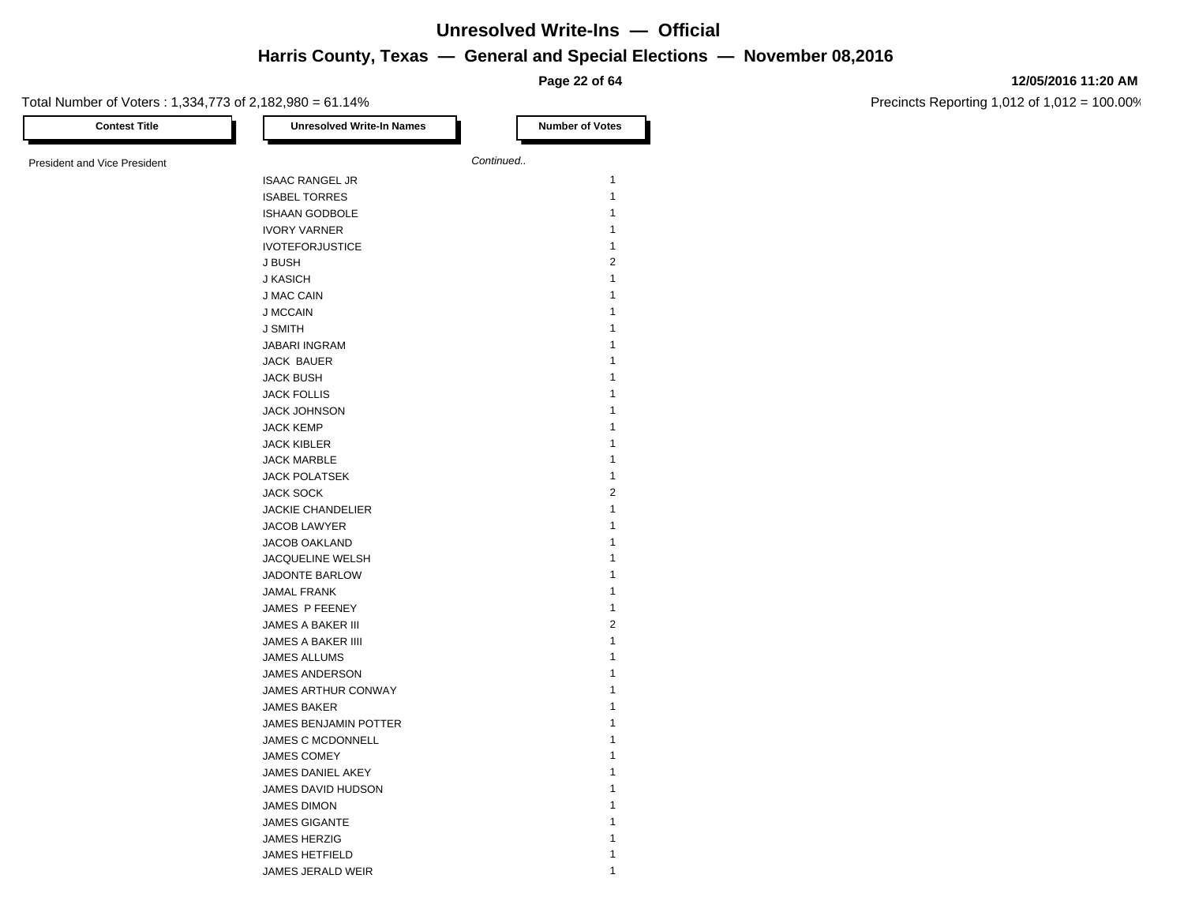**Page 22 of 64**

#### **12/05/2016 11:20 AM**

| <b>Contest Title</b>                | <b>Unresolved Write-In Names</b> | <b>Number of Votes</b> |
|-------------------------------------|----------------------------------|------------------------|
| <b>President and Vice President</b> |                                  | Continued              |
|                                     | <b>ISAAC RANGEL JR</b>           | $\mathbf{1}$           |
|                                     | <b>ISABEL TORRES</b>             | $\mathbf{1}$           |
|                                     | <b>ISHAAN GODBOLE</b>            | $\mathbf{1}$           |
|                                     | <b>IVORY VARNER</b>              | 1                      |
|                                     | <b>IVOTEFORJUSTICE</b>           | 1                      |
|                                     | J BUSH                           | $\overline{2}$         |
|                                     | J KASICH                         | $\mathbf{1}$           |
|                                     | J MAC CAIN                       | 1                      |
|                                     | <b>J MCCAIN</b>                  | $\mathbf{1}$           |
|                                     | J SMITH                          | 1                      |
|                                     | <b>JABARI INGRAM</b>             | 1                      |
|                                     |                                  | 1                      |
|                                     | JACK BAUER                       | 1                      |
|                                     | <b>JACK BUSH</b>                 | 1                      |
|                                     | <b>JACK FOLLIS</b>               | 1                      |
|                                     | <b>JACK JOHNSON</b>              |                        |
|                                     | <b>JACK KEMP</b>                 | 1                      |
|                                     | <b>JACK KIBLER</b>               | 1                      |
|                                     | <b>JACK MARBLE</b>               | 1                      |
|                                     | <b>JACK POLATSEK</b>             | 1                      |
|                                     | <b>JACK SOCK</b>                 | $\sqrt{2}$             |
|                                     | <b>JACKIE CHANDELIER</b>         | 1                      |
|                                     | JACOB LAWYER                     | 1                      |
|                                     | <b>JACOB OAKLAND</b>             | 1                      |
|                                     | JACQUELINE WELSH                 | 1                      |
|                                     | JADONTE BARLOW                   | 1                      |
|                                     | <b>JAMAL FRANK</b>               | 1                      |
|                                     | JAMES P FEENEY                   | $\mathbf{1}$           |
|                                     | JAMES A BAKER III                | $\sqrt{2}$             |
|                                     | JAMES A BAKER IIII               | 1                      |
|                                     | JAMES ALLUMS                     | 1                      |
|                                     | JAMES ANDERSON                   | 1                      |
|                                     | <b>JAMES ARTHUR CONWAY</b>       | 1                      |
|                                     | <b>JAMES BAKER</b>               | 1                      |
|                                     | JAMES BENJAMIN POTTER            | 1                      |
|                                     | JAMES C MCDONNELL                | 1                      |
|                                     | <b>JAMES COMEY</b>               | 1                      |
|                                     | JAMES DANIEL AKEY                | 1                      |
|                                     | JAMES DAVID HUDSON               | 1                      |
|                                     | <b>JAMES DIMON</b>               | 1                      |
|                                     | <b>JAMES GIGANTE</b>             | 1                      |
|                                     | <b>JAMES HERZIG</b>              | 1                      |
|                                     | <b>JAMES HETFIELD</b>            | 1                      |
|                                     | JAMES JERALD WEIR                | 1                      |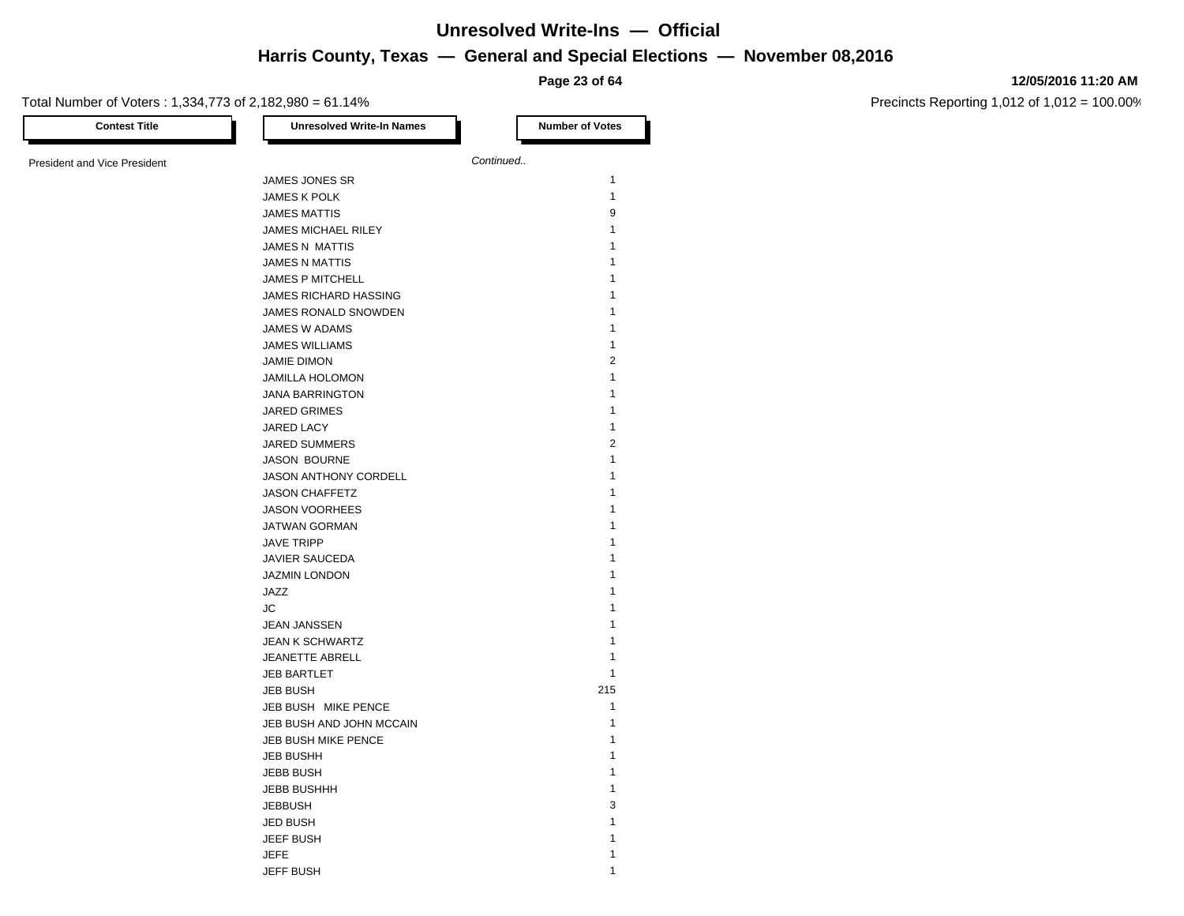#### **12/05/2016 11:20 AM**

Precincts Reporting 1,012 of 1,012 = 100.00%

**Page 23 of 64** Total Number of Voters : 1,334,773 of 2,182,980 = 61.14% **Contest Title Number of Votes Number of Votes** President and Vice President **Continued. Continued.** JAMES JONES SR 1 JAMES K POLK 1 JAMES MATTIS 9 JAMES MICHAEL RILEY 1 JAMES N MATTIS 1 JAMES N MATTIS 1 JAMES P MITCHELL 1 JAMES RICHARD HASSING 1 JAMES RONALD SNOWDEN 1 JAMES W ADAMS 1 JAMES WILLIAMS 1 JAMIE DIMON 2 JAMILLA HOLOMON 1 JANA BARRINGTON 1 JARED GRIMES 1 JARED LACY 1 JARED SUMMERS 2 JASON BOURNE 1 JASON ANTHONY CORDELL 1 JASON CHAFFETZ 1 JASON VOORHEES 1 JATWAN GORMAN 1 JAVE TRIPP 1 JAVIER SAUCEDA 1 JAZMIN LONDON 1 JAZZ 1  $J$ C and  $J$  1 JEAN JANSSEN 1 JEAN K SCHWARTZ 1 JEANETTE ABRELL 1 **JEB BARTLET** 1 JEB BUSH 215 JEB BUSH MIKE PENCE 1 JEB BUSH AND JOHN MCCAIN 1 JEB BUSH MIKE PENCE 1 JEB BUSHH 1 JEBB BUSH 1 JEBB BUSHHH 1 JEBBUSH 3 JED BUSH 1

JEEF BUSH 1

JEFF BUSH 1

JEFE 1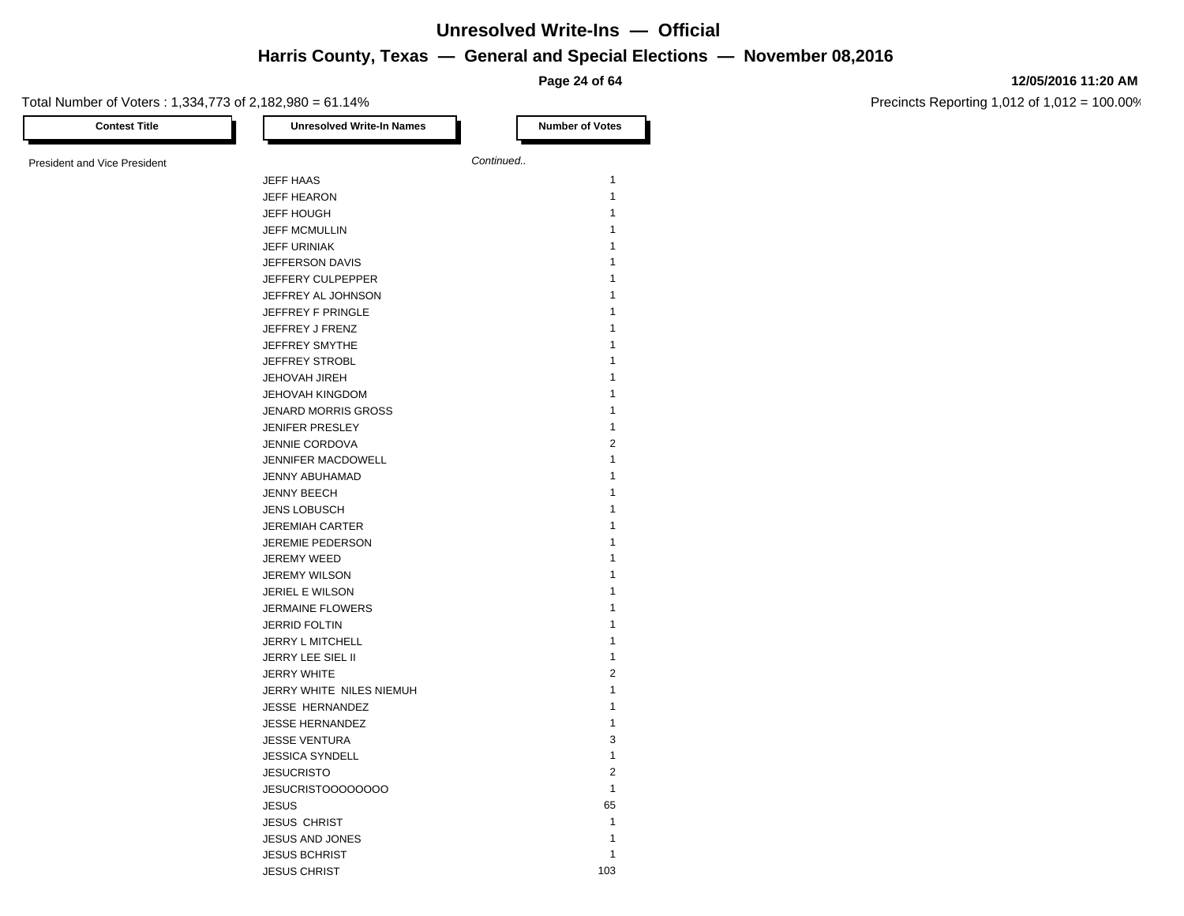**Page 24 of 64**

#### **12/05/2016 11:20 AM**

| <b>Contest Title</b>                | <b>Unresolved Write-In Names</b> | <b>Number of Votes</b> |
|-------------------------------------|----------------------------------|------------------------|
| <b>President and Vice President</b> |                                  | Continued              |
|                                     | <b>JEFF HAAS</b>                 | 1                      |
|                                     |                                  | 1                      |
|                                     | <b>JEFF HEARON</b>               |                        |
|                                     | <b>JEFF HOUGH</b>                | 1                      |
|                                     | <b>JEFF MCMULLIN</b>             | 1                      |
|                                     | <b>JEFF URINIAK</b>              | 1                      |
|                                     | JEFFERSON DAVIS                  | 1                      |
|                                     | JEFFERY CULPEPPER                |                        |
|                                     | JEFFREY AL JOHNSON               |                        |
|                                     | JEFFREY F PRINGLE                | 1                      |
|                                     | JEFFREY J FRENZ                  | 1                      |
|                                     | JEFFREY SMYTHE                   | 1                      |
|                                     | JEFFREY STROBL                   |                        |
|                                     | <b>JEHOVAH JIREH</b>             |                        |
|                                     | <b>JEHOVAH KINGDOM</b>           | 1                      |
|                                     | <b>JENARD MORRIS GROSS</b>       | 1                      |
|                                     | <b>JENIFER PRESLEY</b>           | $\mathbf{1}$           |
|                                     | <b>JENNIE CORDOVA</b>            | 2                      |
|                                     | JENNIFER MACDOWELL               | 1                      |
|                                     | JENNY ABUHAMAD                   | 1                      |
|                                     | JENNY BEECH                      |                        |
|                                     | <b>JENS LOBUSCH</b>              | 1                      |
|                                     | <b>JEREMIAH CARTER</b>           | 1                      |
|                                     | JEREMIE PEDERSON                 | 1                      |
|                                     | JEREMY WEED                      |                        |
|                                     | <b>JEREMY WILSON</b>             |                        |
|                                     | <b>JERIEL E WILSON</b>           |                        |
|                                     | <b>JERMAINE FLOWERS</b>          | 1                      |
|                                     |                                  | 1                      |
|                                     | <b>JERRID FOLTIN</b>             |                        |
|                                     | JERRY L MITCHELL                 | 1<br>1                 |
|                                     | JERRY LEE SIEL II                |                        |
|                                     | <b>JERRY WHITE</b>               | $\overline{2}$         |
|                                     | JERRY WHITE NILES NIEMUH         | 1                      |
|                                     | <b>JESSE HERNANDEZ</b>           | 1                      |
|                                     | <b>JESSE HERNANDEZ</b>           | 1                      |
|                                     | <b>JESSE VENTURA</b>             | 3                      |
|                                     | <b>JESSICA SYNDELL</b>           | 1                      |
|                                     | <b>JESUCRISTO</b>                | $\overline{2}$         |
|                                     | JESUCRISTOOOOOOOO                | $\mathbf{1}$           |
|                                     | <b>JESUS</b>                     | 65                     |
|                                     | <b>JESUS CHRIST</b>              | $\mathbf{1}$           |
|                                     | <b>JESUS AND JONES</b>           | 1                      |
|                                     | <b>JESUS BCHRIST</b>             | 1                      |
|                                     | <b>JESUS CHRIST</b>              | 103                    |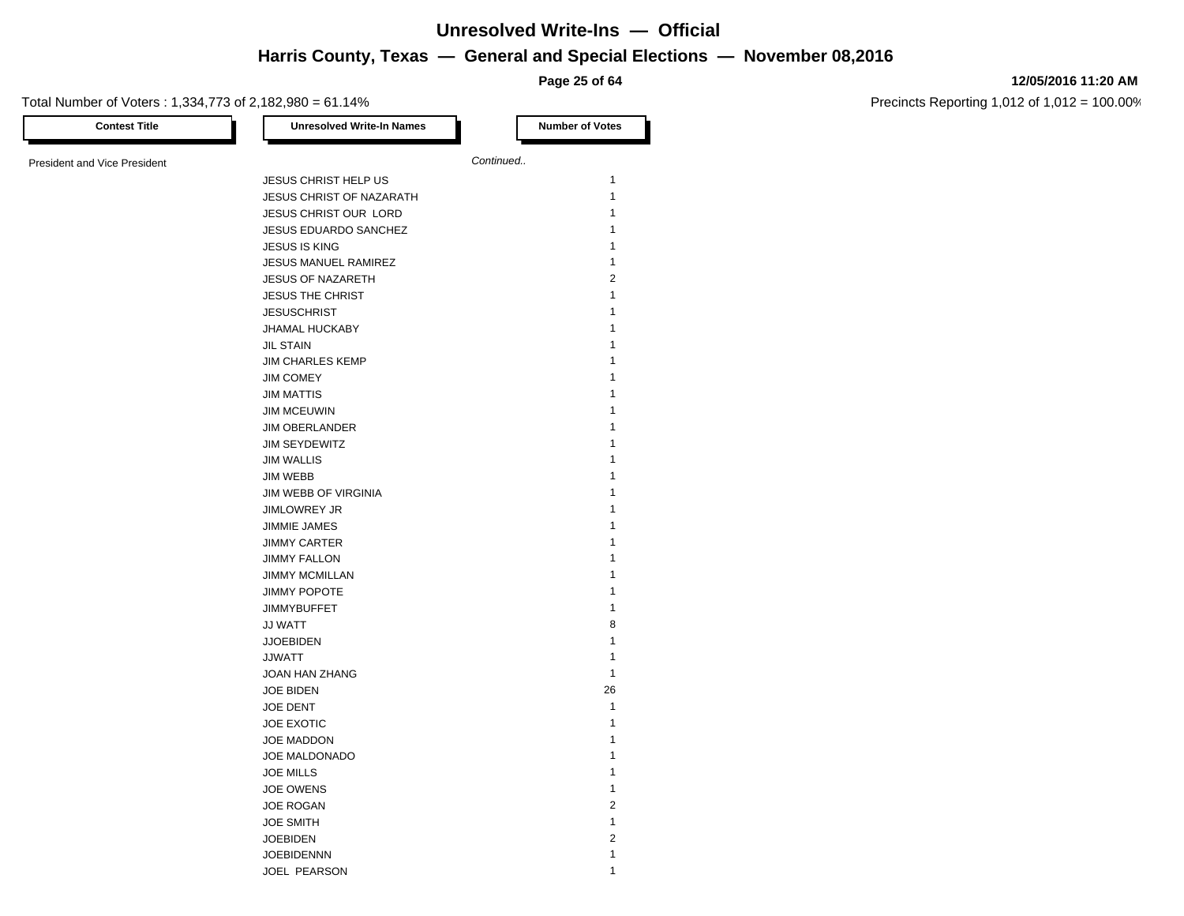**Page 25 of 64**

#### **12/05/2016 11:20 AM**

| <b>Contest Title</b>                | <b>Unresolved Write-In Names</b> |           | <b>Number of Votes</b> |
|-------------------------------------|----------------------------------|-----------|------------------------|
|                                     |                                  |           |                        |
| <b>President and Vice President</b> |                                  | Continued |                        |
|                                     | JESUS CHRIST HELP US             |           | $\mathbf{1}$           |
|                                     | <b>JESUS CHRIST OF NAZARATH</b>  |           | $\mathbf{1}$           |
|                                     | JESUS CHRIST OUR LORD            |           | 1                      |
|                                     | JESUS EDUARDO SANCHEZ            |           | 1                      |
|                                     | <b>JESUS IS KING</b>             |           | 1                      |
|                                     | <b>JESUS MANUEL RAMIREZ</b>      |           | 1                      |
|                                     | JESUS OF NAZARETH                |           | $\sqrt{2}$             |
|                                     | <b>JESUS THE CHRIST</b>          |           | $\mathbf{1}$           |
|                                     | <b>JESUSCHRIST</b>               |           | $\mathbf{1}$           |
|                                     | <b>JHAMAL HUCKABY</b>            |           | 1                      |
|                                     | <b>JIL STAIN</b>                 |           | 1                      |
|                                     | <b>JIM CHARLES KEMP</b>          |           | 1                      |
|                                     | <b>JIM COMEY</b>                 |           | 1                      |
|                                     |                                  |           | $\mathbf{1}$           |
|                                     | <b>JIM MATTIS</b>                |           |                        |
|                                     | <b>JIM MCEUWIN</b>               |           | 1                      |
|                                     | <b>JIM OBERLANDER</b>            |           | 1                      |
|                                     | JIM SEYDEWITZ                    |           | 1                      |
|                                     | <b>JIM WALLIS</b>                |           | 1                      |
|                                     | JIM WEBB                         |           | 1                      |
|                                     | JIM WEBB OF VIRGINIA             |           | 1                      |
|                                     | <b>JIMLOWREY JR</b>              |           | $\mathbf{1}$           |
|                                     | <b>JIMMIE JAMES</b>              |           | 1                      |
|                                     | <b>JIMMY CARTER</b>              |           | 1                      |
|                                     | <b>JIMMY FALLON</b>              |           | 1                      |
|                                     | <b>JIMMY MCMILLAN</b>            |           | 1                      |
|                                     | <b>JIMMY POPOTE</b>              |           | 1                      |
|                                     | <b>JIMMYBUFFET</b>               |           | 1                      |
|                                     | <b>JJ WATT</b>                   |           | 8                      |
|                                     | <b>JJOEBIDEN</b>                 |           | $\mathbf{1}$           |
|                                     | <b>JJWATT</b>                    |           | 1                      |
|                                     | JOAN HAN ZHANG                   |           | $\mathbf{1}$           |
|                                     | <b>JOE BIDEN</b>                 |           | 26                     |
|                                     | JOE DENT                         |           | $\mathbf{1}$           |
|                                     | JOE EXOTIC                       |           | $\mathbf{1}$           |
|                                     | JOE MADDON                       |           | 1                      |
|                                     | JOE MALDONADO                    |           | $\mathbf{1}$           |
|                                     | <b>JOE MILLS</b>                 |           | $\mathbf{1}$           |
|                                     | <b>JOE OWENS</b>                 |           | $\mathbf{1}$           |
|                                     |                                  |           | $\sqrt{2}$             |
|                                     | <b>JOE ROGAN</b>                 |           | $\mathbf{1}$           |
|                                     | <b>JOE SMITH</b>                 |           |                        |
|                                     | <b>JOEBIDEN</b>                  |           | $\sqrt{2}$             |
|                                     | <b>JOEBIDENNN</b>                |           | $\mathbf{1}$           |
|                                     | JOEL PEARSON                     |           | 1                      |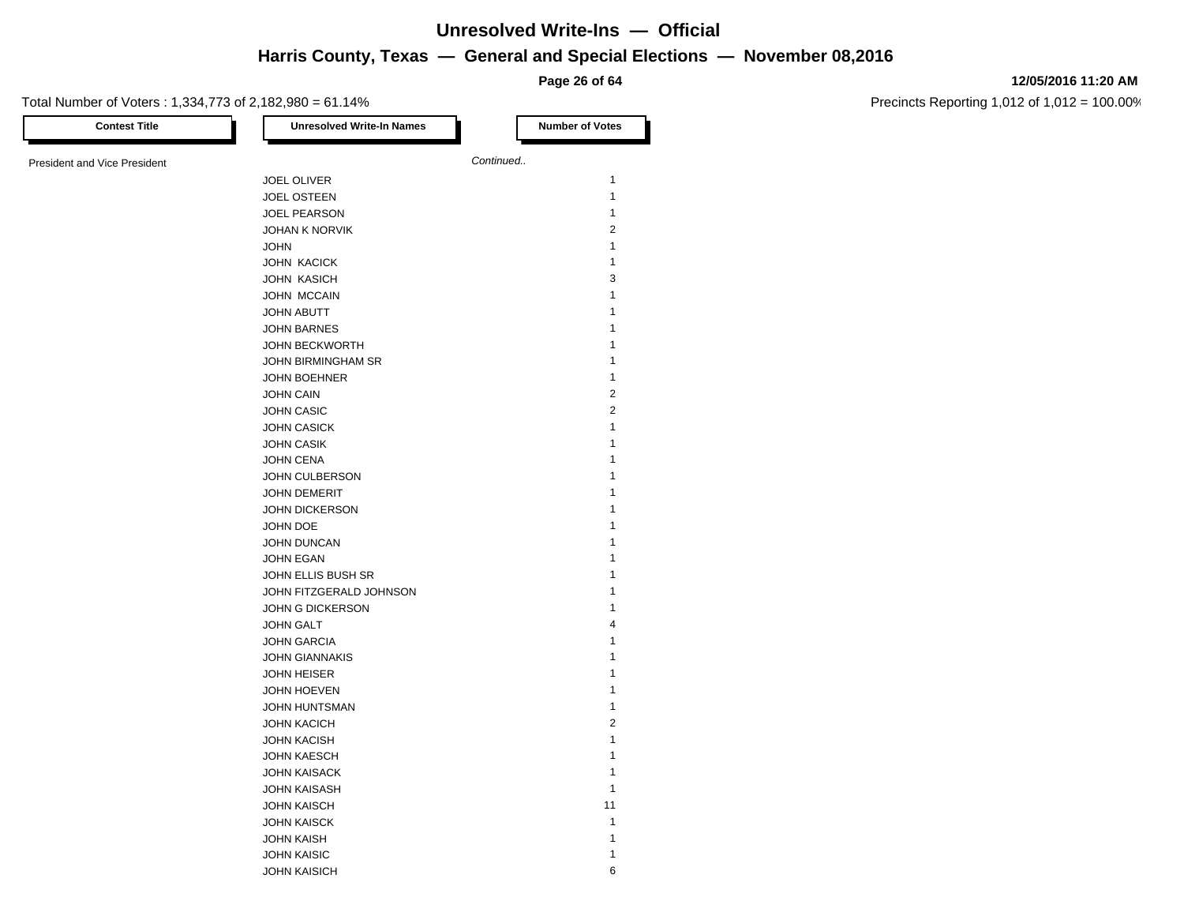**Page 26 of 64**

#### **12/05/2016 11:20 AM**

| <b>Contest Title</b>         | <b>Unresolved Write-In Names</b> | <b>Number of Votes</b>  |
|------------------------------|----------------------------------|-------------------------|
| President and Vice President |                                  | Continued               |
|                              | JOEL OLIVER                      | $\mathbf{1}$            |
|                              | <b>JOEL OSTEEN</b>               | $\mathbf{1}$            |
|                              | <b>JOEL PEARSON</b>              | $\mathbf{1}$            |
|                              | <b>JOHAN K NORVIK</b>            | $\sqrt{2}$              |
|                              | <b>JOHN</b>                      | $\mathbf{1}$            |
|                              | JOHN KACICK                      | $\mathbf{1}$            |
|                              | <b>JOHN KASICH</b>               | 3                       |
|                              | JOHN MCCAIN                      | 1                       |
|                              | <b>JOHN ABUTT</b>                | 1                       |
|                              | <b>JOHN BARNES</b>               | 1                       |
|                              | JOHN BECKWORTH                   | 1                       |
|                              | JOHN BIRMINGHAM SR               | 1                       |
|                              | JOHN BOEHNER                     | $\mathbf{1}$            |
|                              | <b>JOHN CAIN</b>                 | $\sqrt{2}$              |
|                              | <b>JOHN CASIC</b>                | $\sqrt{2}$              |
|                              | <b>JOHN CASICK</b>               | $\mathbf{1}$            |
|                              | <b>JOHN CASIK</b>                | $\mathbf{1}$            |
|                              | <b>JOHN CENA</b>                 | 1                       |
|                              | JOHN CULBERSON                   | 1                       |
|                              | <b>JOHN DEMERIT</b>              | 1                       |
|                              | <b>JOHN DICKERSON</b>            | 1                       |
|                              | JOHN DOE                         | 1                       |
|                              | JOHN DUNCAN                      | 1                       |
|                              | <b>JOHN EGAN</b>                 | 1                       |
|                              | JOHN ELLIS BUSH SR               | 1                       |
|                              | JOHN FITZGERALD JOHNSON          | 1                       |
|                              | JOHN G DICKERSON                 | $\mathbf{1}$            |
|                              | <b>JOHN GALT</b>                 | $\overline{\mathbf{4}}$ |
|                              | <b>JOHN GARCIA</b>               | 1                       |
|                              | <b>JOHN GIANNAKIS</b>            | 1                       |
|                              | <b>JOHN HEISER</b>               | 1                       |
|                              | JOHN HOEVEN                      | 1                       |
|                              | JOHN HUNTSMAN                    | 1                       |
|                              | <b>JOHN KACICH</b>               | $\overline{2}$          |
|                              | <b>JOHN KACISH</b>               | $\mathbf{1}$            |
|                              | <b>JOHN KAESCH</b>               | 1                       |
|                              | <b>JOHN KAISACK</b>              | $\mathbf{1}$            |
|                              | <b>JOHN KAISASH</b>              | $\mathbf{1}$            |
|                              | <b>JOHN KAISCH</b>               | 11                      |
|                              | <b>JOHN KAISCK</b>               | $\mathbf{1}$            |
|                              | <b>JOHN KAISH</b>                | 1                       |
|                              | <b>JOHN KAISIC</b>               | 1                       |
|                              | <b>JOHN KAISICH</b>              | 6                       |
|                              |                                  |                         |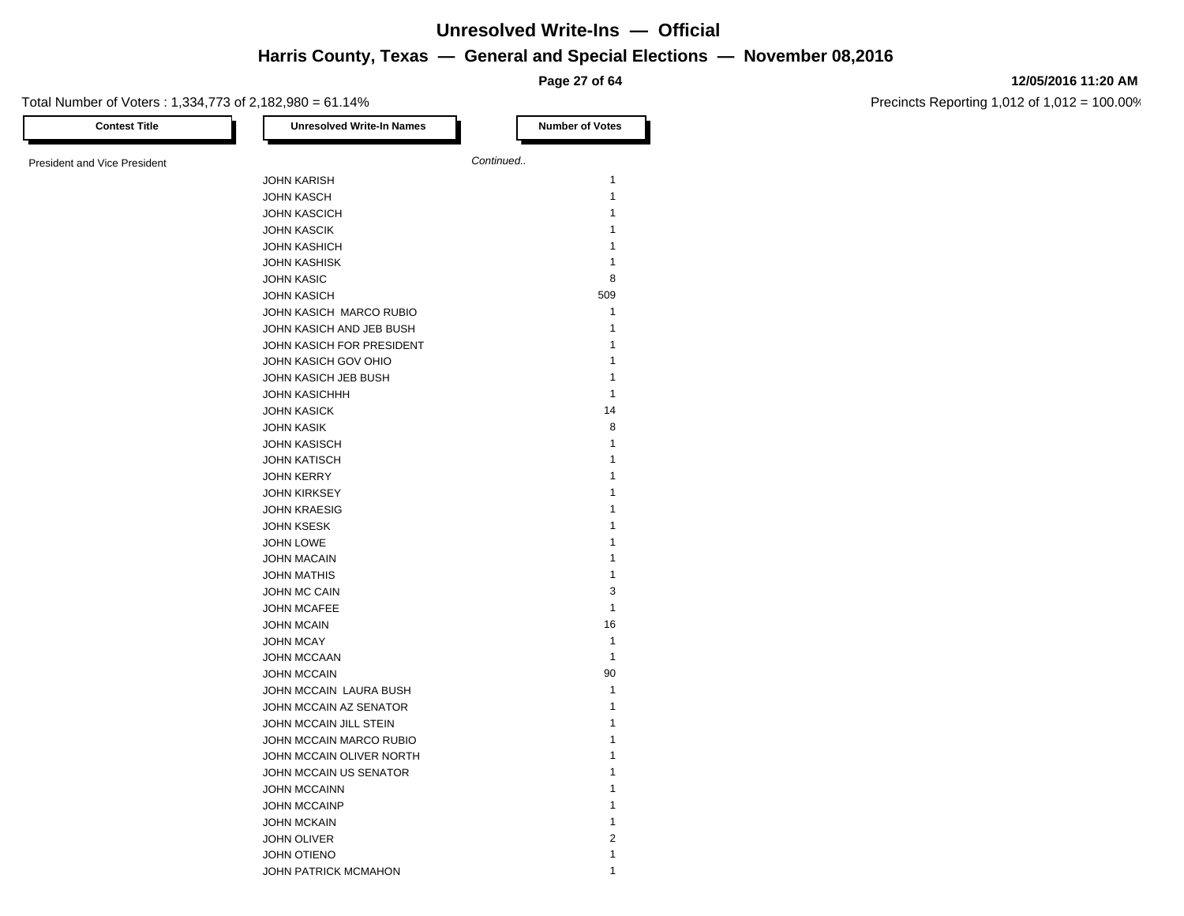**Page 27 of 64**

#### **12/05/2016 11:20 AM**

| <b>Contest Title</b>                | <b>Unresolved Write-In Names</b> | <b>Number of Votes</b> |
|-------------------------------------|----------------------------------|------------------------|
| <b>President and Vice President</b> |                                  | Continued              |
|                                     | <b>JOHN KARISH</b>               | $\mathbf{1}$           |
|                                     | <b>JOHN KASCH</b>                | $\mathbf{1}$           |
|                                     | <b>JOHN KASCICH</b>              | $\mathbf{1}$           |
|                                     | <b>JOHN KASCIK</b>               | 1                      |
|                                     | <b>JOHN KASHICH</b>              | 1                      |
|                                     | <b>JOHN KASHISK</b>              | 1                      |
|                                     | <b>JOHN KASIC</b>                | 8                      |
|                                     | <b>JOHN KASICH</b>               | 509                    |
|                                     | JOHN KASICH MARCO RUBIO          | 1                      |
|                                     | JOHN KASICH AND JEB BUSH         | $\mathbf{1}$           |
|                                     | JOHN KASICH FOR PRESIDENT        | 1                      |
|                                     | JOHN KASICH GOV OHIO             | $\mathbf{1}$           |
|                                     | JOHN KASICH JEB BUSH             | $\mathbf{1}$           |
|                                     | <b>JOHN KASICHHH</b>             | $\mathbf{1}$           |
|                                     | <b>JOHN KASICK</b>               | 14                     |
|                                     | <b>JOHN KASIK</b>                | 8                      |
|                                     | <b>JOHN KASISCH</b>              | $\mathbf{1}$           |
|                                     | <b>JOHN KATISCH</b>              | $\mathbf{1}$           |
|                                     | <b>JOHN KERRY</b>                | 1                      |
|                                     | <b>JOHN KIRKSEY</b>              | 1                      |
|                                     | <b>JOHN KRAESIG</b>              | 1                      |
|                                     | <b>JOHN KSESK</b>                | 1                      |
|                                     | JOHN LOWE                        | 1                      |
|                                     | <b>JOHN MACAIN</b>               | $\mathbf{1}$           |
|                                     | <b>JOHN MATHIS</b>               | $\mathbf{1}$           |
|                                     | JOHN MC CAIN                     | 3                      |
|                                     | <b>JOHN MCAFEE</b>               | $\mathbf{1}$           |
|                                     | <b>JOHN MCAIN</b>                | 16                     |
|                                     | <b>JOHN MCAY</b>                 | $\mathbf{1}$           |
|                                     | <b>JOHN MCCAAN</b>               | $\mathbf{1}$           |
|                                     | <b>JOHN MCCAIN</b>               | 90                     |
|                                     | JOHN MCCAIN LAURA BUSH           | $\mathbf{1}$           |
|                                     | JOHN MCCAIN AZ SENATOR           | 1                      |
|                                     | JOHN MCCAIN JILL STEIN           | 1                      |
|                                     | JOHN MCCAIN MARCO RUBIO          | $\mathbf{1}$           |
|                                     | JOHN MCCAIN OLIVER NORTH         | $\mathbf{1}$           |
|                                     | JOHN MCCAIN US SENATOR           | 1                      |
|                                     | <b>JOHN MCCAINN</b>              | 1                      |
|                                     | <b>JOHN MCCAINP</b>              | 1                      |
|                                     | <b>JOHN MCKAIN</b>               | $\mathbf{1}$           |
|                                     | <b>JOHN OLIVER</b>               | $\overline{2}$         |
|                                     | <b>JOHN OTIENO</b>               | $\mathbf{1}$           |
|                                     | <b>JOHN PATRICK MCMAHON</b>      | 1                      |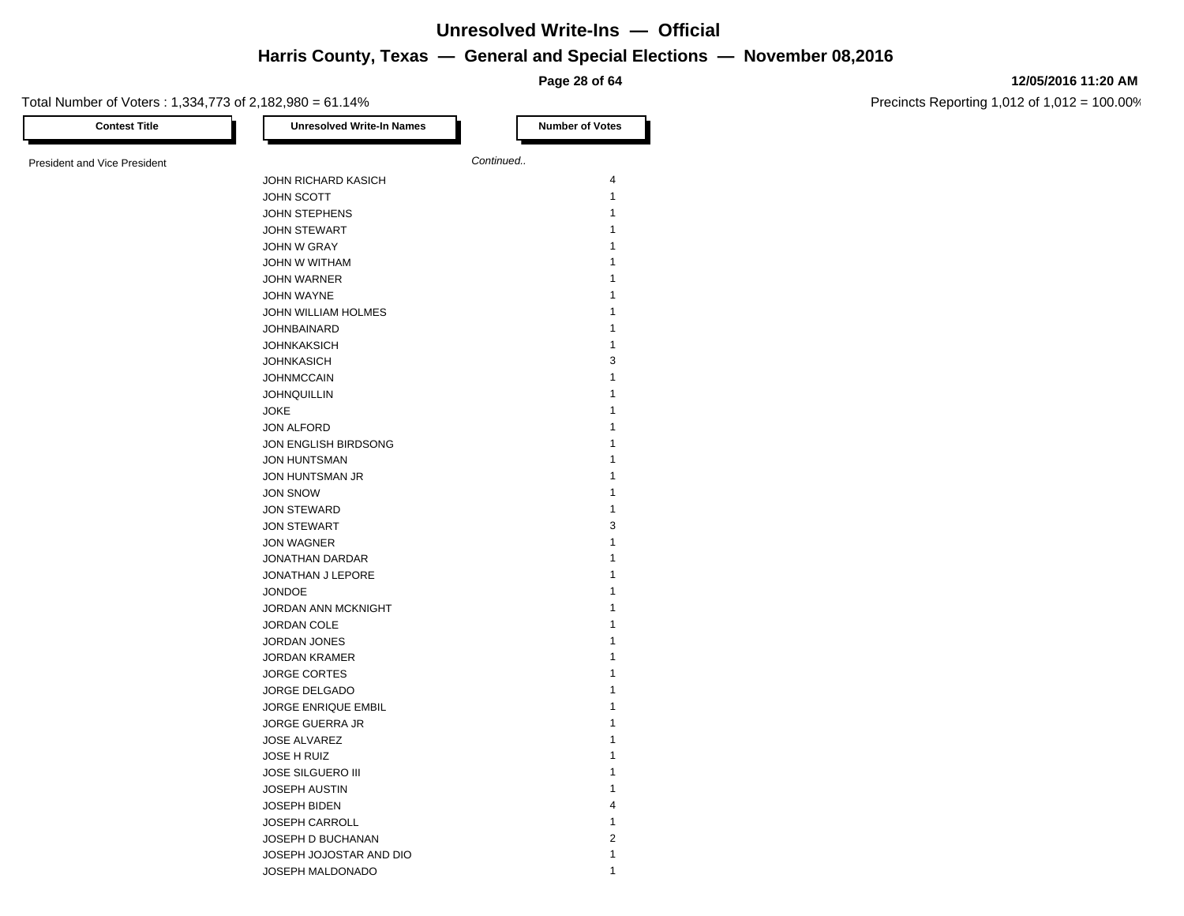**Page 28 of 64**

#### **12/05/2016 11:20 AM**

Precincts Reporting 1,012 of 1,012 = 100.00%

Total Number of Voters : 1,334,773 of 2,182,980 = 61.14% **Contest Title Number of Votes Number of Votes** President and Vice President **Continued. Continued.** JOHN RICHARD KASICH 4 JOHN SCOTT 1 JOHN STEPHENS 1 JOHN STEWART 1 JOHN W GRAY 1 JOHN W WITHAM 1 JOHN WARNER 1 JOHN WAYNE 1 JOHN WILLIAM HOLMES 1 JOHNBAINARD 1 JOHNKAKSICH 1 JOHNKASICH 3 JOHNMCCAIN 1 JOHNQUILLIN 1 **JOKE** 2008 **1** JON ALFORD 1 JON ENGLISH BIRDSONG 1 JON HUNTSMAN 1 JON HUNTSMAN JR 1 JON SNOW 1 JON STEWARD 1 **JON STEWART 3** JON WAGNER 1 JONATHAN DARDAR 1 JONATHAN J LEPORE 1 JONDOE 1 JORDAN ANN MCKNIGHT 1 JORDAN COLE 1 JORDAN JONES 1 JORDAN KRAMER 1 JORGE CORTES 1 JORGE DELGADO 1 JORGE ENRIQUE EMBIL 1 JORGE GUERRA JR 1 JOSE ALVAREZ 1 JOSE H RUIZ 1 **JOSE SILGUERO III** 1 JOSEPH AUSTIN 1 JOSEPH BIDEN 4 JOSEPH CARROLL 1 JOSEPH D BUCHANAN 2 JOSEPH JOJOSTAR AND DIO 1

JOSEPH MALDONADO 1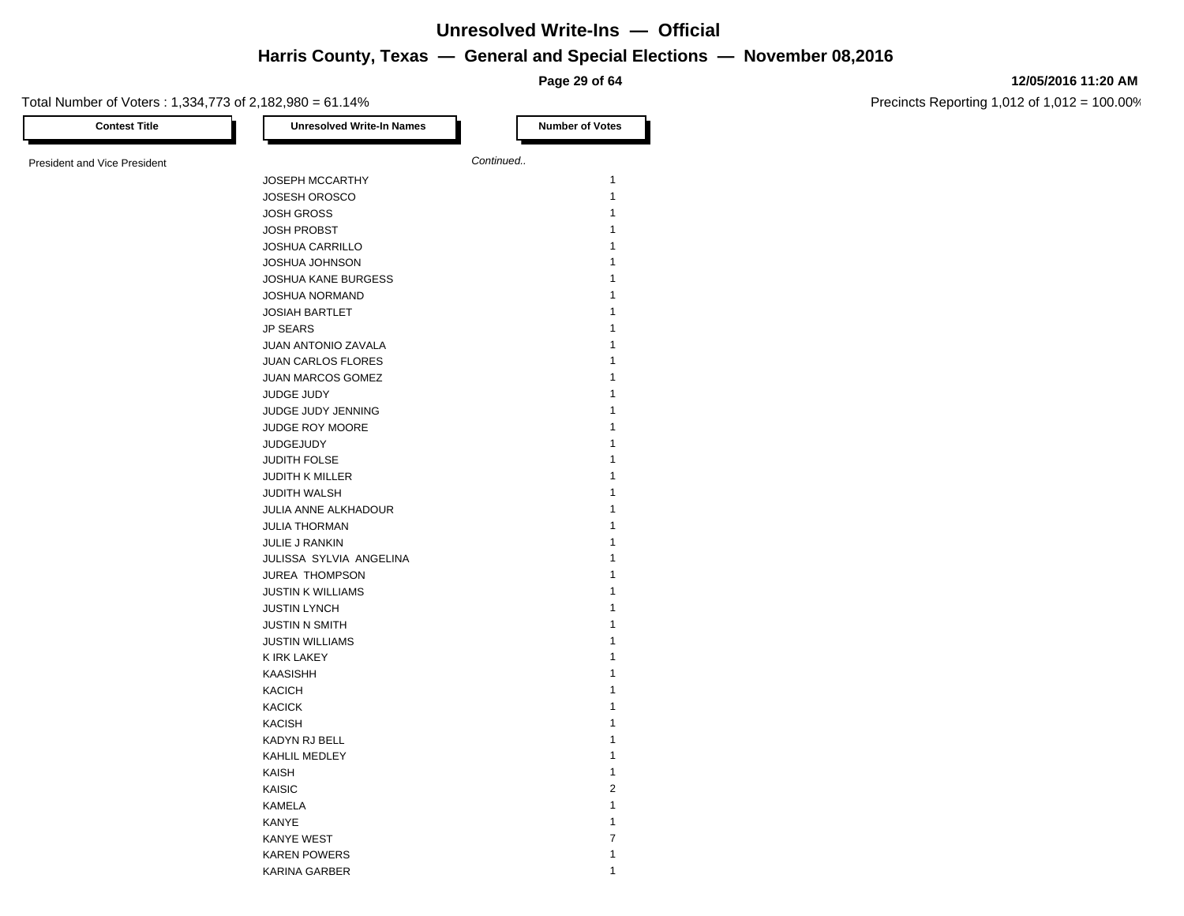**Page 29 of 64**

#### **12/05/2016 11:20 AM**

Precincts Reporting 1,012 of 1,012 = 100.00%

| Total Number of Voters: 1,334,773 of 2,182,980 = 61.14% |                                  | i ay <del>o</del> za oi u <del>n</del> |
|---------------------------------------------------------|----------------------------------|----------------------------------------|
| <b>Contest Title</b>                                    | <b>Unresolved Write-In Names</b> | <b>Number of Votes</b>                 |
| <b>President and Vice President</b>                     |                                  | Continued                              |
|                                                         | <b>JOSEPH MCCARTHY</b>           | $\mathbf{1}$                           |
|                                                         | <b>JOSESH OROSCO</b>             | $\mathbf{1}$                           |
|                                                         | <b>JOSH GROSS</b>                | 1                                      |
|                                                         | <b>JOSH PROBST</b>               | 1                                      |
|                                                         | <b>JOSHUA CARRILLO</b>           | 1                                      |
|                                                         |                                  | 1                                      |
|                                                         | <b>JOSHUA JOHNSON</b>            | 1                                      |
|                                                         | JOSHUA KANE BURGESS              |                                        |
|                                                         | <b>JOSHUA NORMAND</b>            | 1                                      |
|                                                         | <b>JOSIAH BARTLET</b>            | 1                                      |
|                                                         | <b>JP SEARS</b>                  | 1                                      |
|                                                         | JUAN ANTONIO ZAVALA              | $\mathbf{1}$                           |
|                                                         | <b>JUAN CARLOS FLORES</b>        | 1                                      |
|                                                         | JUAN MARCOS GOMEZ                | 1                                      |
|                                                         | JUDGE JUDY                       | 1                                      |
|                                                         | JUDGE JUDY JENNING               | 1                                      |
|                                                         | JUDGE ROY MOORE                  | 1                                      |
|                                                         | <b>JUDGEJUDY</b>                 | 1                                      |
|                                                         | JUDITH FOLSE                     | 1                                      |
|                                                         | <b>JUDITH K MILLER</b>           | 1                                      |
|                                                         | JUDITH WALSH                     | 1                                      |
|                                                         | JULIA ANNE ALKHADOUR             | 1                                      |
|                                                         | <b>JULIA THORMAN</b>             | 1                                      |
|                                                         | JULIE J RANKIN                   | 1                                      |
|                                                         | JULISSA SYLVIA ANGELINA          | $\mathbf{1}$                           |
|                                                         | <b>JUREA THOMPSON</b>            | 1                                      |
|                                                         | <b>JUSTIN K WILLIAMS</b>         | 1                                      |
|                                                         | <b>JUSTIN LYNCH</b>              | 1                                      |
|                                                         | <b>JUSTIN N SMITH</b>            | $\mathbf{1}$                           |
|                                                         | <b>JUSTIN WILLIAMS</b>           | 1                                      |
|                                                         | K IRK LAKEY                      | 1                                      |
|                                                         | <b>KAASISHH</b>                  | 1                                      |
|                                                         | <b>KACICH</b>                    | 1                                      |
|                                                         | <b>KACICK</b>                    | 1                                      |
|                                                         | <b>KACISH</b>                    | 1                                      |
|                                                         | KADYN RJ BELL                    | 1                                      |
|                                                         | KAHLIL MEDLEY                    | 1                                      |
|                                                         | KAISH                            | $\mathbf{1}$                           |
|                                                         | <b>KAISIC</b>                    | $\overline{2}$                         |
|                                                         | <b>KAMELA</b>                    | $\mathbf{1}$                           |
|                                                         | <b>KANYE</b>                     | 1                                      |
|                                                         | KANYE WEST                       | $\overline{7}$                         |
|                                                         |                                  |                                        |

KAREN POWERS 2002 12 KARINA GARBER 1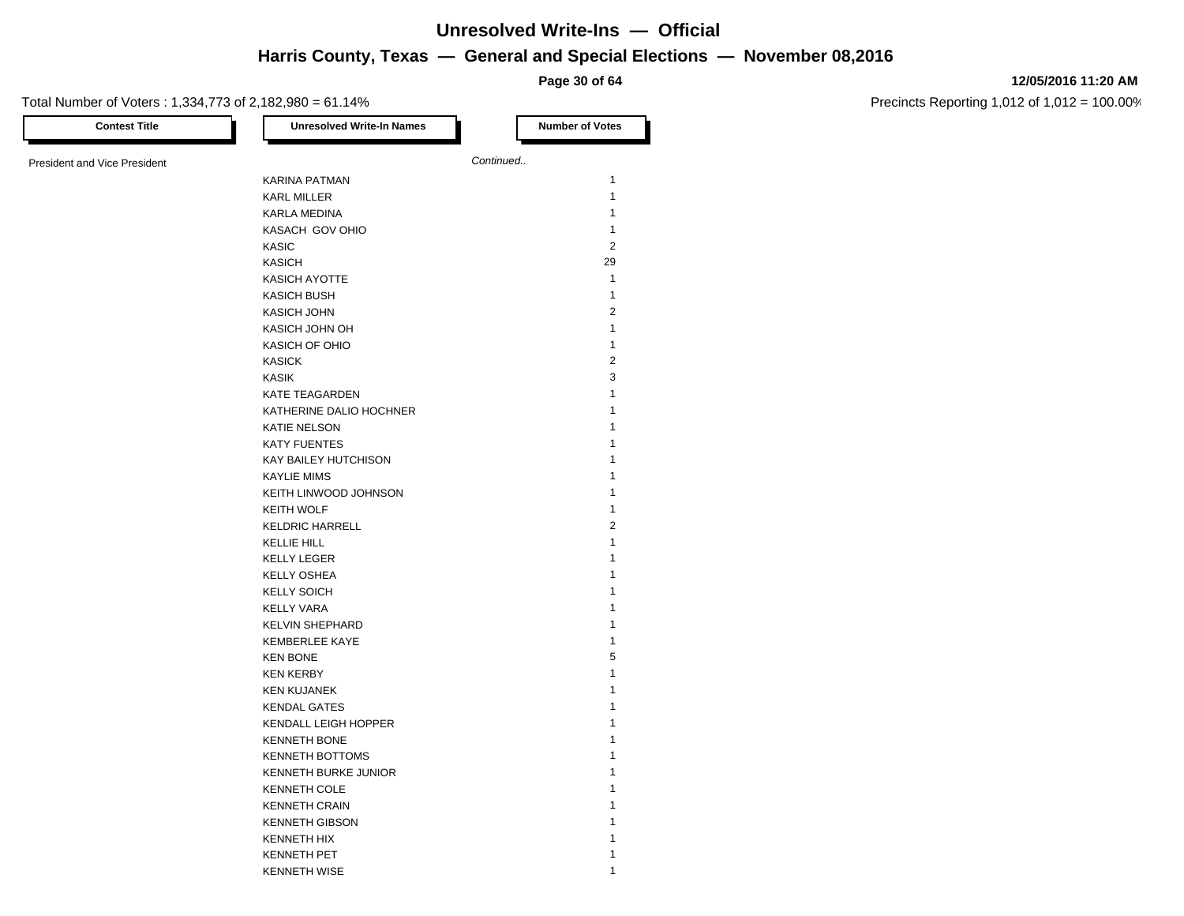**Page 30 of 64**

#### **12/05/2016 11:20 AM**

Precincts Reporting 1,012 of 1,012 = 100.00%

| <b>Contest Title</b>                | <b>Unresolved Write-In Names</b> | <b>Number of Votes</b> |
|-------------------------------------|----------------------------------|------------------------|
| <b>President and Vice President</b> |                                  | Continued              |
|                                     | <b>KARINA PATMAN</b>             | 1                      |
|                                     | <b>KARL MILLER</b>               | $\mathbf{1}$           |
|                                     | <b>KARLA MEDINA</b>              | $\mathbf{1}$           |
|                                     | KASACH GOV OHIO                  | $\mathbf{1}$           |
|                                     | KASIC                            | $\overline{2}$         |
|                                     | <b>KASICH</b>                    | 29                     |
|                                     | KASICH AYOTTE                    | 1                      |
|                                     | <b>KASICH BUSH</b>               | $\mathbf{1}$           |
|                                     | <b>KASICH JOHN</b>               | $\overline{2}$         |
|                                     | KASICH JOHN OH                   | $\mathbf{1}$           |
|                                     | KASICH OF OHIO                   | $\mathbf{1}$           |
|                                     | <b>KASICK</b>                    | $\overline{2}$         |
|                                     |                                  | 3                      |
|                                     | KASIK                            | 1                      |
|                                     | <b>KATE TEAGARDEN</b>            | 1                      |
|                                     | KATHERINE DALIO HOCHNER          | 1                      |
|                                     | <b>KATIE NELSON</b>              |                        |
|                                     | <b>KATY FUENTES</b>              | 1                      |
|                                     | KAY BAILEY HUTCHISON             | 1                      |
|                                     | <b>KAYLIE MIMS</b>               | 1                      |
|                                     | KEITH LINWOOD JOHNSON            | 1                      |
|                                     | <b>KEITH WOLF</b>                | $\mathbf{1}$           |
|                                     | <b>KELDRIC HARRELL</b>           | $\overline{2}$         |
|                                     | <b>KELLIE HILL</b>               | 1                      |
|                                     | <b>KELLY LEGER</b>               | 1                      |
|                                     | <b>KELLY OSHEA</b>               | 1                      |
|                                     | <b>KELLY SOICH</b>               | 1                      |
|                                     | <b>KELLY VARA</b>                | 1                      |
|                                     | <b>KELVIN SHEPHARD</b>           | 1                      |
|                                     | KEMBERLEE KAYE                   | $\mathbf{1}$           |
|                                     | <b>KEN BONE</b>                  | 5                      |
|                                     | <b>KEN KERBY</b>                 | 1                      |
|                                     | <b>KEN KUJANEK</b>               | 1                      |
|                                     | <b>KENDAL GATES</b>              | 1                      |
|                                     | KENDALL LEIGH HOPPER             | 1                      |
|                                     | <b>KENNETH BONE</b>              | 1                      |
|                                     | <b>KENNETH BOTTOMS</b>           | 1                      |
|                                     | KENNETH BURKE JUNIOR             | 1                      |
|                                     | <b>KENNETH COLE</b>              | 1                      |
|                                     | <b>KENNETH CRAIN</b>             | 1                      |
|                                     | <b>KENNETH GIBSON</b>            | 1                      |
|                                     | <b>KENNETH HIX</b>               | 1                      |
|                                     | <b>KENNETH PET</b>               | $\mathbf{1}$           |

KENNETH WISE 2002 12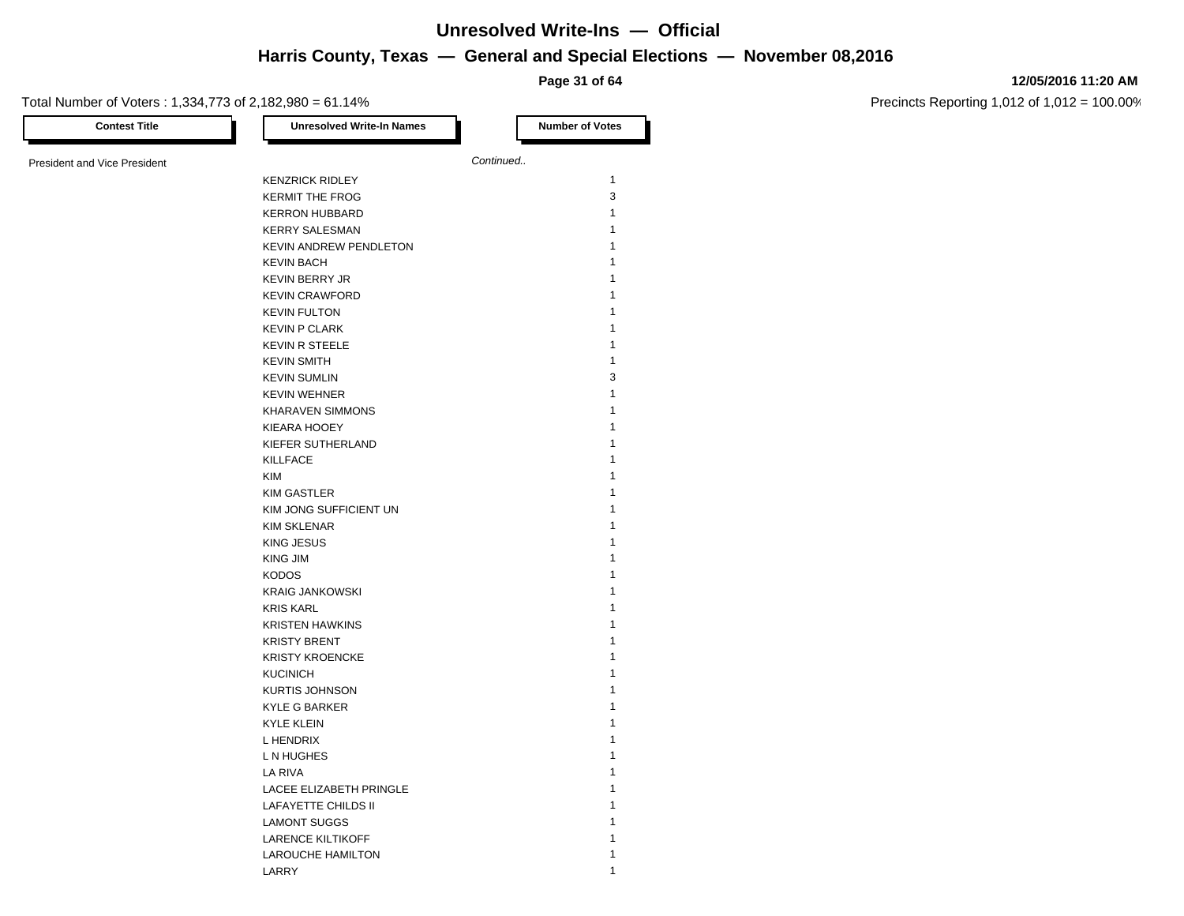**Page 31 of 64**

#### **12/05/2016 11:20 AM**

| <b>Contest Title</b>                | <b>Unresolved Write-In Names</b> | <b>Number of Votes</b> |
|-------------------------------------|----------------------------------|------------------------|
| <b>President and Vice President</b> |                                  | Continued              |
|                                     | <b>KENZRICK RIDLEY</b>           | $\mathbf{1}$           |
|                                     | <b>KERMIT THE FROG</b>           | 3                      |
|                                     | <b>KERRON HUBBARD</b>            | 1                      |
|                                     | <b>KERRY SALESMAN</b>            | 1                      |
|                                     | KEVIN ANDREW PENDLETON           | 1                      |
|                                     | <b>KEVIN BACH</b>                | 1                      |
|                                     |                                  | 1                      |
|                                     | <b>KEVIN BERRY JR</b>            | 1                      |
|                                     | <b>KEVIN CRAWFORD</b>            | 1                      |
|                                     | <b>KEVIN FULTON</b>              |                        |
|                                     | <b>KEVIN P CLARK</b>             | 1                      |
|                                     | <b>KEVIN R STEELE</b>            | 1                      |
|                                     | <b>KEVIN SMITH</b>               | $\mathbf{1}$           |
|                                     | <b>KEVIN SUMLIN</b>              | 3                      |
|                                     | <b>KEVIN WEHNER</b>              | 1                      |
|                                     | <b>KHARAVEN SIMMONS</b>          | 1                      |
|                                     | KIEARA HOOEY                     | 1                      |
|                                     | KIEFER SUTHERLAND                | 1                      |
|                                     | <b>KILLFACE</b>                  | 1                      |
|                                     | <b>KIM</b>                       | 1                      |
|                                     | <b>KIM GASTLER</b>               | 1                      |
|                                     | KIM JONG SUFFICIENT UN           | 1                      |
|                                     | <b>KIM SKLENAR</b>               | 1                      |
|                                     | <b>KING JESUS</b>                | 1                      |
|                                     | <b>KING JIM</b>                  | 1                      |
|                                     | <b>KODOS</b>                     | 1                      |
|                                     | <b>KRAIG JANKOWSKI</b>           | 1                      |
|                                     | <b>KRIS KARL</b>                 | 1                      |
|                                     | <b>KRISTEN HAWKINS</b>           | 1                      |
|                                     |                                  | 1                      |
|                                     | <b>KRISTY BRENT</b>              | 1                      |
|                                     | <b>KRISTY KROENCKE</b>           |                        |
|                                     | <b>KUCINICH</b>                  | 1                      |
|                                     | <b>KURTIS JOHNSON</b>            | 1                      |
|                                     | <b>KYLE G BARKER</b>             | 1                      |
|                                     | <b>KYLE KLEIN</b>                | 1                      |
|                                     | L HENDRIX                        | 1                      |
|                                     | L N HUGHES                       | 1                      |
|                                     | LA RIVA                          | 1                      |
|                                     | LACEE ELIZABETH PRINGLE          | 1                      |
|                                     | LAFAYETTE CHILDS II              | 1                      |
|                                     | <b>LAMONT SUGGS</b>              | 1                      |
|                                     | <b>LARENCE KILTIKOFF</b>         | 1                      |
|                                     | LAROUCHE HAMILTON                | 1                      |
|                                     | LARRY                            | 1                      |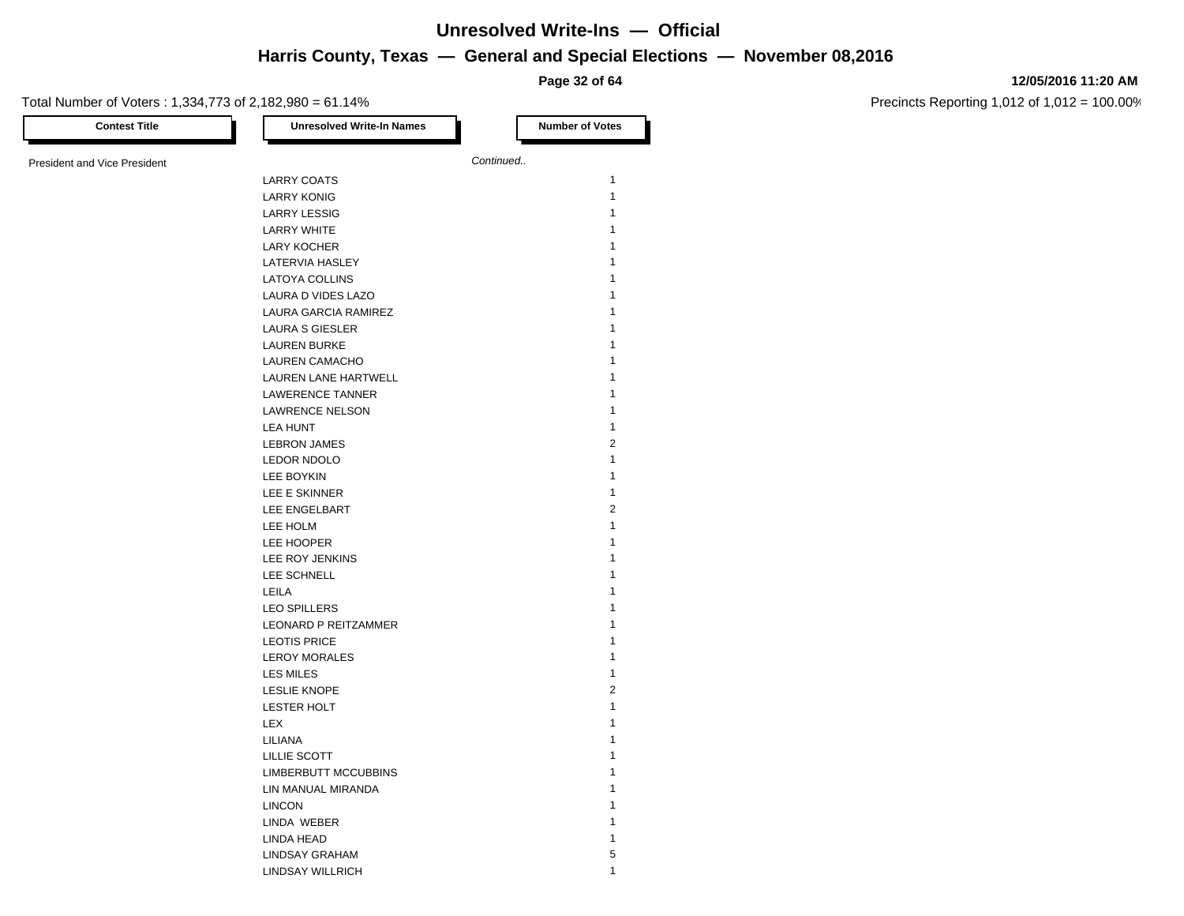**Page 32 of 64**

### Total Number of Voters : 1,334,773 of 2,182,080 = 61,140/

**12/05/2016 11:20 AM**

| <b>Contest Title</b>                | <b>Unresolved Write-In Names</b> | <b>Number of Votes</b>  |
|-------------------------------------|----------------------------------|-------------------------|
| <b>President and Vice President</b> |                                  | Continued               |
|                                     | <b>LARRY COATS</b>               | $\mathbf{1}$            |
|                                     | LARRY KONIG                      | $\mathbf{1}$            |
|                                     | <b>LARRY LESSIG</b>              | 1                       |
|                                     | <b>LARRY WHITE</b>               | $\mathbf{1}$            |
|                                     | <b>LARY KOCHER</b>               | $\mathbf{1}$            |
|                                     | LATERVIA HASLEY                  | 1                       |
|                                     | <b>LATOYA COLLINS</b>            | 1                       |
|                                     | LAURA D VIDES LAZO               | $\mathbf{1}$            |
|                                     | LAURA GARCIA RAMIREZ             | 1                       |
|                                     | <b>LAURA S GIESLER</b>           | 1                       |
|                                     | <b>LAUREN BURKE</b>              | $\mathbf{1}$            |
|                                     | <b>LAUREN CAMACHO</b>            | $\mathbf{1}$            |
|                                     | LAUREN LANE HARTWELL             | $\mathbf{1}$            |
|                                     | LAWERENCE TANNER                 | $\mathbf{1}$            |
|                                     | <b>LAWRENCE NELSON</b>           | $\mathbf{1}$            |
|                                     | LEA HUNT                         | $\mathbf{1}$            |
|                                     | <b>LEBRON JAMES</b>              | $\overline{2}$          |
|                                     | LEDOR NDOLO                      | $\mathbf{1}$            |
|                                     | LEE BOYKIN                       | $\mathbf{1}$            |
|                                     | LEE E SKINNER                    | $\mathbf{1}$            |
|                                     | LEE ENGELBART                    | $\overline{2}$          |
|                                     | LEE HOLM                         | $\mathbf{1}$            |
|                                     | LEE HOOPER                       | $\mathbf{1}$            |
|                                     | LEE ROY JENKINS                  | 1                       |
|                                     | LEE SCHNELL                      | $\mathbf{1}$            |
|                                     | LEILA                            | $\mathbf{1}$            |
|                                     | <b>LEO SPILLERS</b>              | $\mathbf{1}$            |
|                                     | LEONARD P REITZAMMER             | $\mathbf{1}$            |
|                                     | <b>LEOTIS PRICE</b>              | $\mathbf{1}$            |
|                                     | <b>LEROY MORALES</b>             | $\mathbf{1}$            |
|                                     | LES MILES                        | $\mathbf{1}$            |
|                                     | <b>LESLIE KNOPE</b>              | $\overline{\mathbf{c}}$ |
|                                     | LESTER HOLT                      | $\mathbf{1}$            |
|                                     | LEX                              | $\mathbf{1}$            |
|                                     | LILIANA                          | 1                       |
|                                     | LILLIE SCOTT                     | 1                       |
|                                     | <b>LIMBERBUTT MCCUBBINS</b>      | $\mathbf{1}$            |
|                                     | LIN MANUAL MIRANDA               | 1                       |
|                                     | <b>LINCON</b>                    | 1                       |
|                                     | LINDA WEBER                      | $\mathbf{1}$            |
|                                     | LINDA HEAD                       | 1                       |
|                                     | <b>LINDSAY GRAHAM</b>            | 5                       |
|                                     | <b>LINDSAY WILLRICH</b>          | $\mathbf{1}$            |
|                                     |                                  |                         |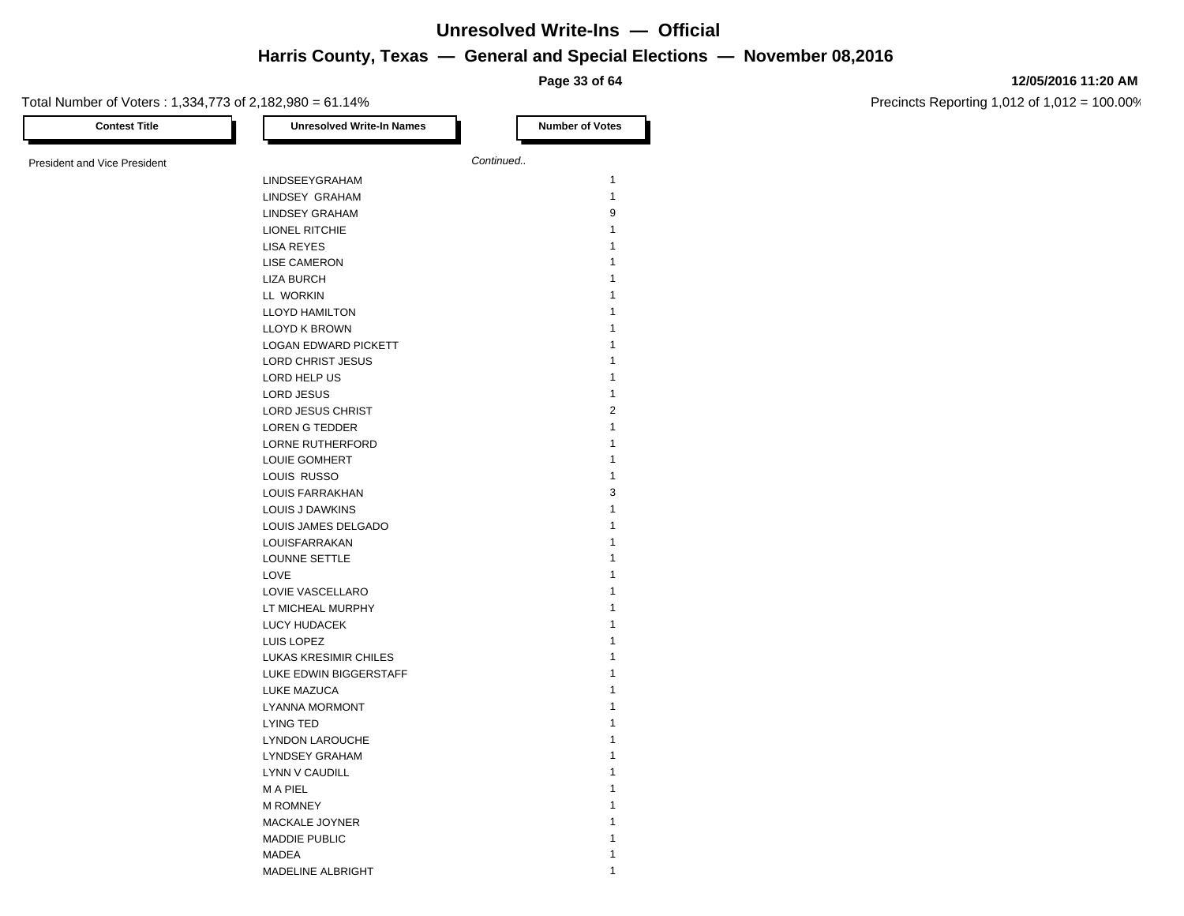**Page 33 of 64**

#### **12/05/2016 11:20 AM**

Precincts Reporting 1,012 of 1,012 = 100.00%

| <b>Contest Title</b>                | <b>Unresolved Write-In Names</b> |           | <b>Number of Votes</b> |
|-------------------------------------|----------------------------------|-----------|------------------------|
| <b>President and Vice President</b> |                                  | Continued |                        |
|                                     | LINDSEEYGRAHAM                   |           | $\mathbf{1}$           |
|                                     |                                  |           | $\mathbf{1}$           |
|                                     | LINDSEY GRAHAM                   |           | 9                      |
|                                     | <b>LINDSEY GRAHAM</b>            |           |                        |
|                                     | LIONEL RITCHIE                   |           | 1                      |
|                                     | <b>LISA REYES</b>                |           | 1                      |
|                                     | <b>LISE CAMERON</b>              |           | 1                      |
|                                     | <b>LIZA BURCH</b>                |           | 1                      |
|                                     | LL WORKIN                        |           | 1                      |
|                                     | <b>LLOYD HAMILTON</b>            |           | 1                      |
|                                     | <b>LLOYD K BROWN</b>             |           | 1                      |
|                                     | <b>LOGAN EDWARD PICKETT</b>      |           | 1                      |
|                                     | LORD CHRIST JESUS                |           | 1                      |
|                                     | LORD HELP US                     |           | 1                      |
|                                     | LORD JESUS                       |           | 1                      |
|                                     | LORD JESUS CHRIST                |           | $\overline{2}$         |
|                                     | LOREN G TEDDER                   |           | 1                      |
|                                     | LORNE RUTHERFORD                 |           | 1                      |
|                                     | <b>LOUIE GOMHERT</b>             |           | 1                      |
|                                     | LOUIS RUSSO                      |           | $\mathbf{1}$           |
|                                     | LOUIS FARRAKHAN                  |           | 3                      |
|                                     | LOUIS J DAWKINS                  |           | 1                      |
|                                     | LOUIS JAMES DELGADO              |           | 1                      |
|                                     | LOUISFARRAKAN                    |           | 1                      |
|                                     | LOUNNE SETTLE                    |           | 1                      |
|                                     | LOVE                             |           | 1                      |
|                                     | LOVIE VASCELLARO                 |           | 1                      |
|                                     | LT MICHEAL MURPHY                |           | 1                      |
|                                     | LUCY HUDACEK                     |           | 1                      |
|                                     | LUIS LOPEZ                       |           | 1                      |
|                                     | LUKAS KRESIMIR CHILES            |           | 1                      |
|                                     | LUKE EDWIN BIGGERSTAFF           |           | 1                      |
|                                     | LUKE MAZUCA                      |           | 1                      |
|                                     | LYANNA MORMONT                   |           | 1                      |
|                                     | <b>LYING TED</b>                 |           | 1                      |
|                                     | <b>LYNDON LAROUCHE</b>           |           | 1                      |
|                                     | <b>LYNDSEY GRAHAM</b>            |           | 1                      |
|                                     | LYNN V CAUDILL                   |           | 1                      |
|                                     | M A PIEL                         |           | 1                      |
|                                     | <b>M ROMNEY</b>                  |           | 1                      |
|                                     |                                  |           |                        |
|                                     | MACKALE JOYNER                   |           | 1                      |
|                                     | <b>MADDIE PUBLIC</b>             |           | 1                      |
|                                     | MADEA                            |           |                        |

MADELINE ALBRIGHT 1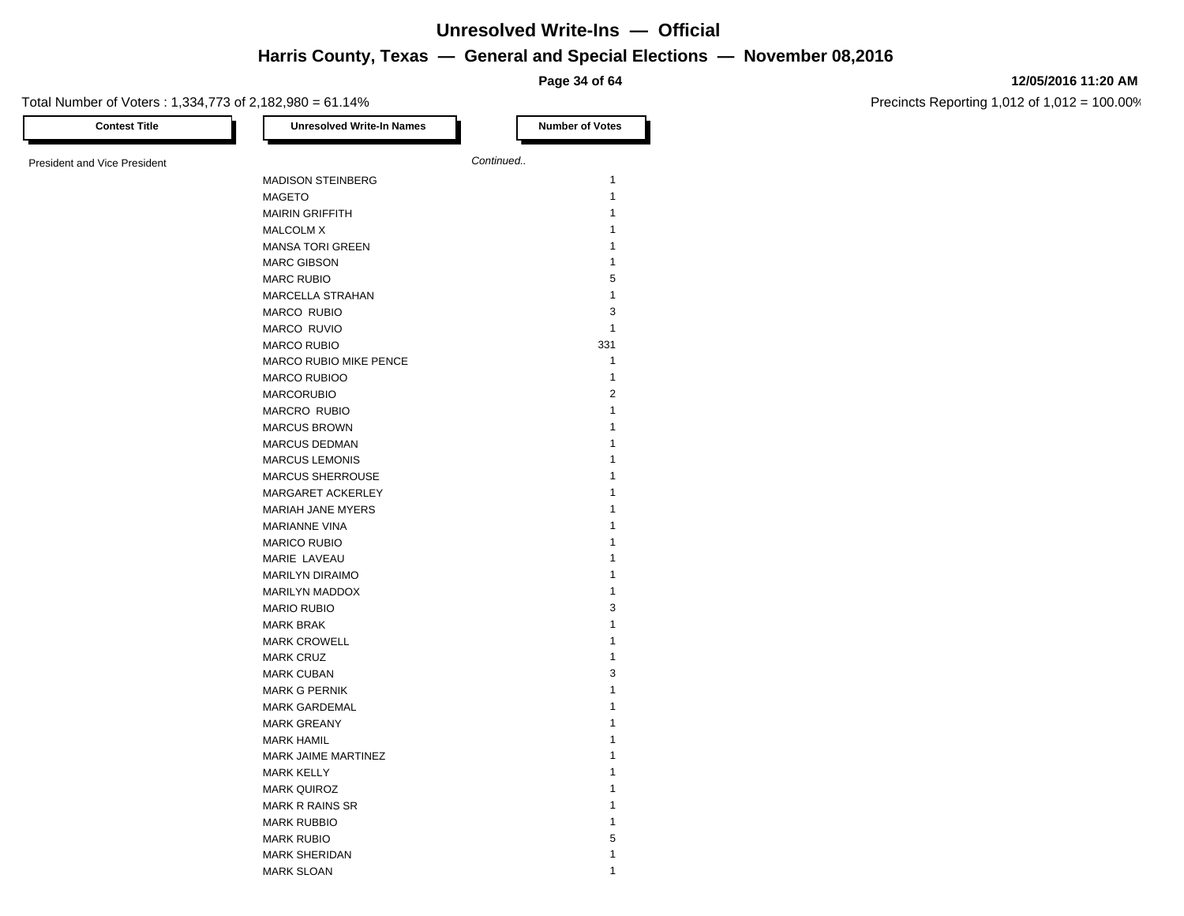**Page 34 of 64**

#### **12/05/2016 11:20 AM**

Precincts Reporting 1,012 of 1,012 = 100.00%

Total Number of Voters : 1,334,773 of 2,182,980 = 61.14%

| <b>Contest Title</b>                | <b>Unresolved Write-In Names</b> |           | <b>Number of Votes</b>       |
|-------------------------------------|----------------------------------|-----------|------------------------------|
| <b>President and Vice President</b> |                                  | Continued |                              |
|                                     | <b>MADISON STEINBERG</b>         |           | $\mathbf{1}$                 |
|                                     | <b>MAGETO</b>                    |           | $\mathbf{1}$                 |
|                                     | <b>MAIRIN GRIFFITH</b>           |           | $\mathbf{1}$                 |
|                                     | <b>MALCOLM X</b>                 |           | $\mathbf{1}$                 |
|                                     | <b>MANSA TORI GREEN</b>          |           | $\mathbf{1}$                 |
|                                     | <b>MARC GIBSON</b>               |           | $\mathbf{1}$                 |
|                                     | <b>MARC RUBIO</b>                |           | 5                            |
|                                     | MARCELLA STRAHAN                 |           | $\mathbf{1}$                 |
|                                     | MARCO RUBIO                      |           | 3                            |
|                                     | MARCO RUVIO                      |           | $\mathbf{1}$                 |
|                                     | <b>MARCO RUBIO</b>               |           | 331                          |
|                                     | <b>MARCO RUBIO MIKE PENCE</b>    |           | $\mathbf{1}$                 |
|                                     | <b>MARCO RUBIOO</b>              |           | $\mathbf{1}$                 |
|                                     | <b>MARCORUBIO</b>                |           | $\overline{2}$               |
|                                     | <b>MARCRO RUBIO</b>              |           | $\mathbf{1}$                 |
|                                     | <b>MARCUS BROWN</b>              |           | $\mathbf{1}$                 |
|                                     | <b>MARCUS DEDMAN</b>             |           | $\mathbf{1}$                 |
|                                     | <b>MARCUS LEMONIS</b>            |           | $\mathbf{1}$                 |
|                                     | MARCUS SHERROUSE                 |           | $\mathbf{1}$                 |
|                                     | MARGARET ACKERLEY                |           | $\mathbf{1}$                 |
|                                     | MARIAH JANE MYERS                |           | $\mathbf{1}$                 |
|                                     | <b>MARIANNE VINA</b>             |           | $\mathbf{1}$                 |
|                                     | <b>MARICO RUBIO</b>              |           | $\mathbf{1}$                 |
|                                     | MARIE LAVEAU                     |           | $\mathbf{1}$                 |
|                                     | <b>MARILYN DIRAIMO</b>           |           | $\mathbf{1}$                 |
|                                     | <b>MARILYN MADDOX</b>            |           | $\mathbf{1}$                 |
|                                     | <b>MARIO RUBIO</b>               |           | 3                            |
|                                     | <b>MARK BRAK</b>                 |           | $\mathbf{1}$                 |
|                                     | <b>MARK CROWELL</b>              |           | $\mathbf{1}$                 |
|                                     |                                  |           | $\mathbf{1}$                 |
|                                     | <b>MARK CRUZ</b>                 |           | 3                            |
|                                     | <b>MARK CUBAN</b>                |           | $\mathbf{1}$                 |
|                                     | <b>MARK G PERNIK</b>             |           | $\mathbf{1}$                 |
|                                     | <b>MARK GARDEMAL</b>             |           | $\mathbf{1}$                 |
|                                     | <b>MARK GREANY</b>               |           |                              |
|                                     | <b>MARK HAMIL</b>                |           | $\mathbf{1}$<br>$\mathbf{1}$ |
|                                     | MARK JAIME MARTINEZ              |           |                              |
|                                     | <b>MARK KELLY</b>                |           | $\mathbf{1}$<br>$\mathbf{1}$ |
|                                     | <b>MARK QUIROZ</b>               |           |                              |
|                                     | <b>MARK R RAINS SR</b>           |           | $\mathbf{1}$                 |
|                                     | <b>MARK RUBBIO</b>               |           | $\mathbf{1}$                 |
|                                     | <b>MARK RUBIO</b>                |           | 5                            |
|                                     | <b>MARK SHERIDAN</b>             |           | $\mathbf{1}$                 |
|                                     | <b>MARK SLOAN</b>                |           | $\mathbf{1}$                 |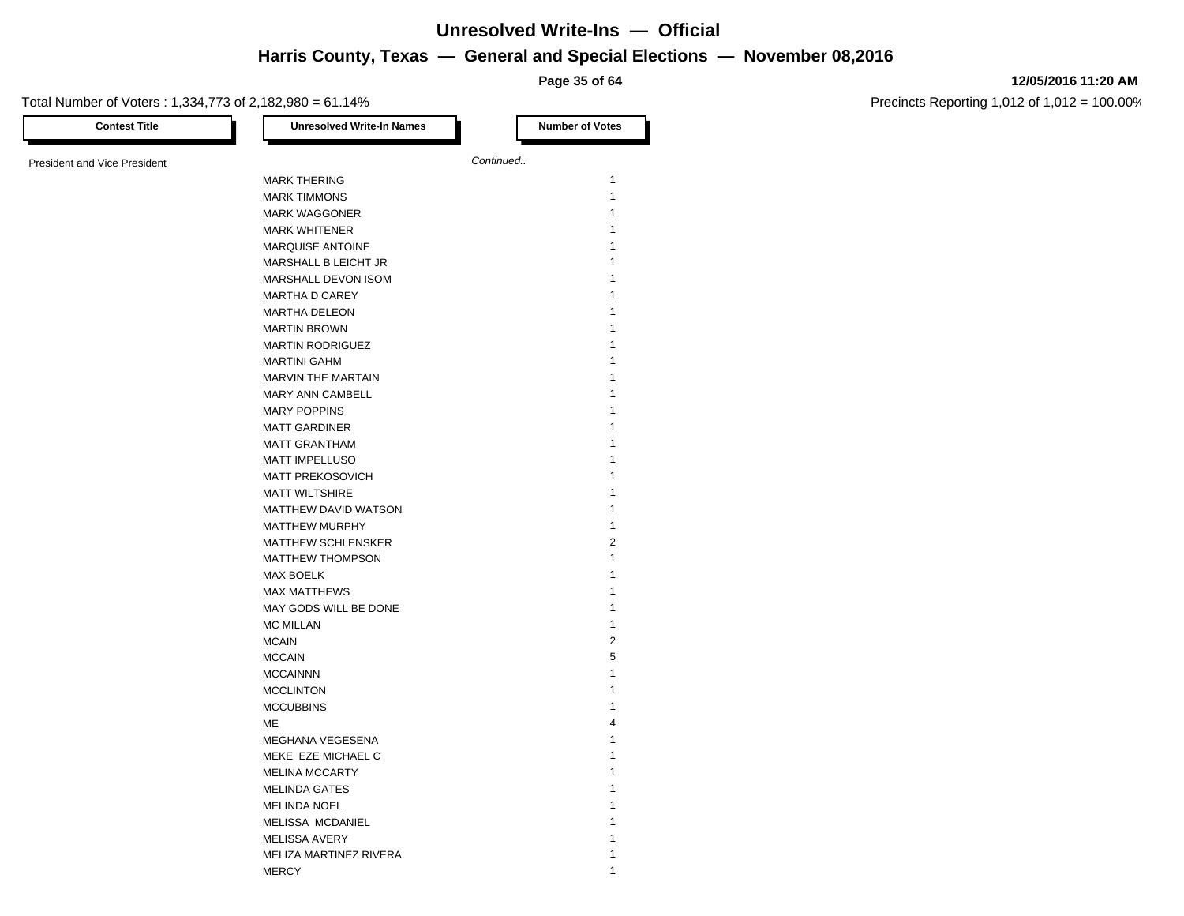**Page 35 of 64**

#### **12/05/2016 11:20 AM**

Precincts Reporting 1,012 of 1,012 = 100.00%

| <b>Contest Title</b>                | <b>Unresolved Write-In Names</b> |           | <b>Number of Votes</b> |
|-------------------------------------|----------------------------------|-----------|------------------------|
|                                     |                                  | Continued |                        |
| <b>President and Vice President</b> |                                  |           |                        |
|                                     | <b>MARK THERING</b>              |           | $\mathbf{1}$           |
|                                     | <b>MARK TIMMONS</b>              |           | $\mathbf{1}$           |
|                                     | <b>MARK WAGGONER</b>             |           | 1                      |
|                                     | <b>MARK WHITENER</b>             |           | 1                      |
|                                     | <b>MARQUISE ANTOINE</b>          |           | 1                      |
|                                     | MARSHALL B LEICHT JR             |           | 1                      |
|                                     | MARSHALL DEVON ISOM              |           |                        |
|                                     | <b>MARTHA D CAREY</b>            |           | 1                      |
|                                     | <b>MARTHA DELEON</b>             |           | 1                      |
|                                     | <b>MARTIN BROWN</b>              |           | 1                      |
|                                     | <b>MARTIN RODRIGUEZ</b>          |           | 1                      |
|                                     | <b>MARTINI GAHM</b>              |           |                        |
|                                     | MARVIN THE MARTAIN               |           | 1                      |
|                                     | MARY ANN CAMBELL                 |           | 1                      |
|                                     | <b>MARY POPPINS</b>              |           | 1                      |
|                                     | <b>MATT GARDINER</b>             |           | 1                      |
|                                     | <b>MATT GRANTHAM</b>             |           | 1                      |
|                                     | <b>MATT IMPELLUSO</b>            |           | 1                      |
|                                     | <b>MATT PREKOSOVICH</b>          |           | 1                      |
|                                     | <b>MATT WILTSHIRE</b>            |           | 1                      |
|                                     | MATTHEW DAVID WATSON             |           | 1                      |
|                                     | MATTHEW MURPHY                   |           | 1                      |
|                                     | <b>MATTHEW SCHLENSKER</b>        |           | $\overline{2}$         |
|                                     | <b>MATTHEW THOMPSON</b>          |           | 1                      |
|                                     | <b>MAX BOELK</b>                 |           | 1                      |
|                                     | <b>MAX MATTHEWS</b>              |           | 1                      |
|                                     | MAY GODS WILL BE DONE            |           | 1                      |
|                                     | <b>MC MILLAN</b>                 |           | 1                      |
|                                     | <b>MCAIN</b>                     |           | $\overline{2}$         |
|                                     | <b>MCCAIN</b>                    |           | 5                      |
|                                     | <b>MCCAINNN</b>                  |           | 1                      |
|                                     | <b>MCCLINTON</b>                 |           | 1                      |
|                                     | <b>MCCUBBINS</b>                 |           | 1                      |
|                                     | МE                               |           | 4                      |
|                                     | MEGHANA VEGESENA                 |           | 1                      |
|                                     | MEKE EZE MICHAEL C               |           | 1                      |
|                                     | <b>MELINA MCCARTY</b>            |           | 1                      |
|                                     | <b>MELINDA GATES</b>             |           | 1                      |
|                                     | <b>MELINDA NOEL</b>              |           | 1                      |
|                                     | MELISSA MCDANIEL                 |           |                        |
|                                     | <b>MELISSA AVERY</b>             |           | 1                      |
|                                     | MELIZA MARTINEZ RIVERA           |           | 1                      |

MERCY 1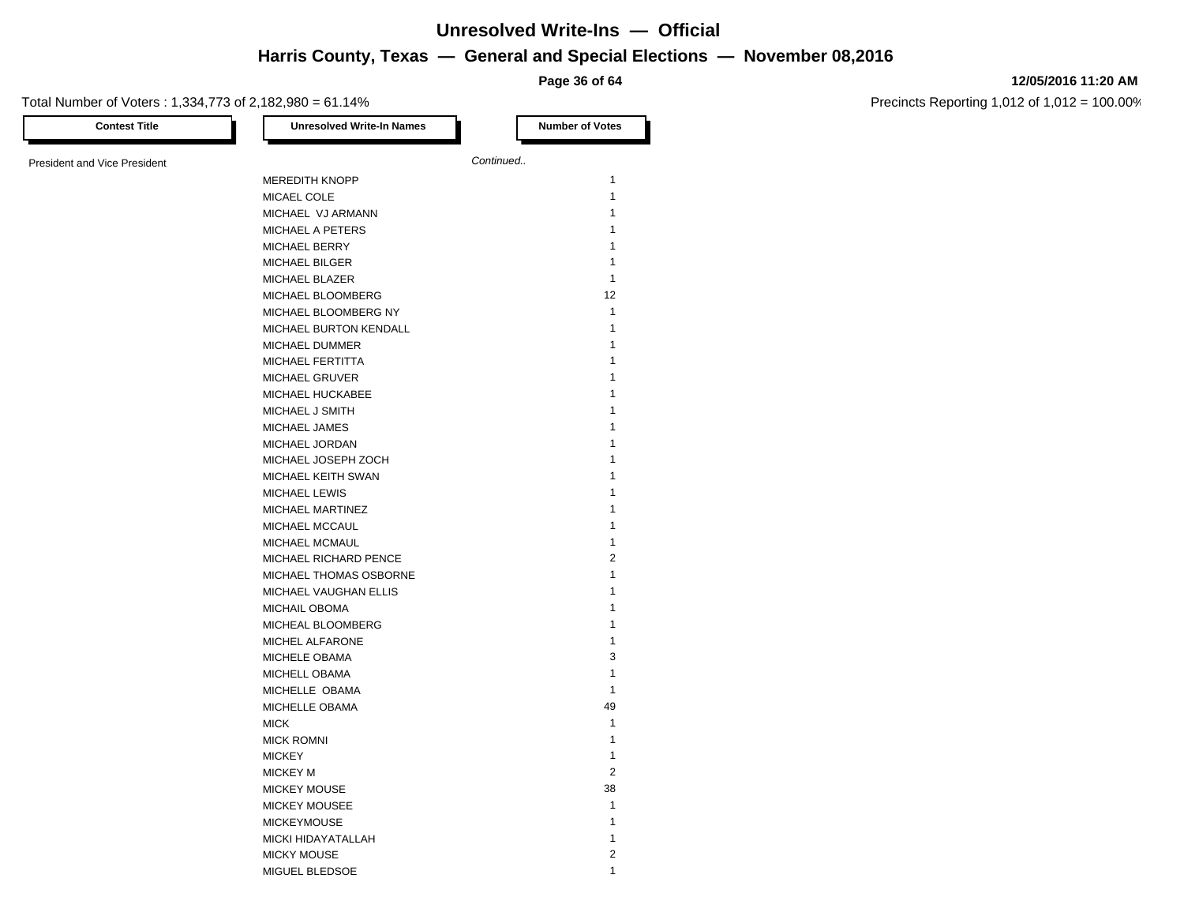**Page 36 of 64**

#### Total Number of Voters : 1,334,773 of 2,182,980 = 61.14%

**12/05/2016 11:20 AM**

| <b>Contest Title</b>                | <b>Unresolved Write-In Names</b>                | <b>Number of Votes</b> |
|-------------------------------------|-------------------------------------------------|------------------------|
| <b>President and Vice President</b> |                                                 | Continued              |
|                                     | <b>MEREDITH KNOPP</b>                           | $\mathbf{1}$           |
|                                     | MICAEL COLE                                     | $\mathbf{1}$           |
|                                     | MICHAEL VJ ARMANN                               | $\mathbf{1}$           |
|                                     | MICHAEL A PETERS                                | $\mathbf{1}$           |
|                                     | <b>MICHAEL BERRY</b>                            | $\mathbf{1}$           |
|                                     | <b>MICHAEL BILGER</b>                           | $\mathbf{1}$           |
|                                     | MICHAEL BLAZER                                  | $\mathbf{1}$           |
|                                     | MICHAEL BLOOMBERG                               | 12                     |
|                                     | MICHAEL BLOOMBERG NY                            | $\mathbf{1}$           |
|                                     | MICHAEL BURTON KENDALL                          | $\mathbf{1}$           |
|                                     | <b>MICHAEL DUMMER</b>                           | $\mathbf{1}$           |
|                                     | MICHAEL FERTITTA                                | $\mathbf{1}$           |
|                                     | <b>MICHAEL GRUVER</b>                           | $\mathbf{1}$           |
|                                     | MICHAEL HUCKABEE                                | $\mathbf{1}$           |
|                                     | MICHAEL J SMITH                                 | $\mathbf{1}$           |
|                                     | MICHAEL JAMES                                   | $\mathbf{1}$           |
|                                     | MICHAEL JORDAN                                  | $\mathbf{1}$           |
|                                     | MICHAEL JOSEPH ZOCH                             | $\mathbf{1}$           |
|                                     | MICHAEL KEITH SWAN                              | $\mathbf{1}$           |
|                                     | <b>MICHAEL LEWIS</b>                            | $\mathbf{1}$           |
|                                     | MICHAEL MARTINEZ                                | $\mathbf{1}$           |
|                                     | MICHAEL MCCAUL                                  | $\mathbf{1}$           |
|                                     | MICHAEL MCMAUL                                  | $\mathbf{1}$           |
|                                     |                                                 | $\overline{2}$         |
|                                     | MICHAEL RICHARD PENCE                           | $\mathbf{1}$           |
|                                     | MICHAEL THOMAS OSBORNE<br>MICHAEL VAUGHAN ELLIS | $\mathbf{1}$           |
|                                     |                                                 | $\mathbf{1}$           |
|                                     | MICHAIL OBOMA                                   | $\mathbf{1}$           |
|                                     | MICHEAL BLOOMBERG<br>MICHEL ALFARONE            | $\mathbf{1}$           |
|                                     |                                                 | 3                      |
|                                     | MICHELE OBAMA                                   | $\mathbf{1}$           |
|                                     | MICHELL OBAMA<br>MICHELLE OBAMA                 | $\mathbf{1}$           |
|                                     |                                                 | 49                     |
|                                     | MICHELLE OBAMA                                  | $\mathbf{1}$           |
|                                     | <b>MICK</b>                                     | $\mathbf{1}$           |
|                                     | <b>MICK ROMNI</b>                               | $\mathbf{1}$           |
|                                     | <b>MICKEY</b>                                   |                        |
|                                     | <b>MICKEY M</b>                                 | 2                      |
|                                     | <b>MICKEY MOUSE</b>                             | 38<br>$\mathbf{1}$     |
|                                     | <b>MICKEY MOUSEE</b>                            |                        |
|                                     | <b>MICKEYMOUSE</b>                              | $\mathbf{1}$           |
|                                     | MICKI HIDAYATALLAH                              | $\mathbf{1}$           |
|                                     | <b>MICKY MOUSE</b>                              | $\overline{2}$         |
|                                     | MIGUEL BLEDSOE                                  | $\mathbf{1}$           |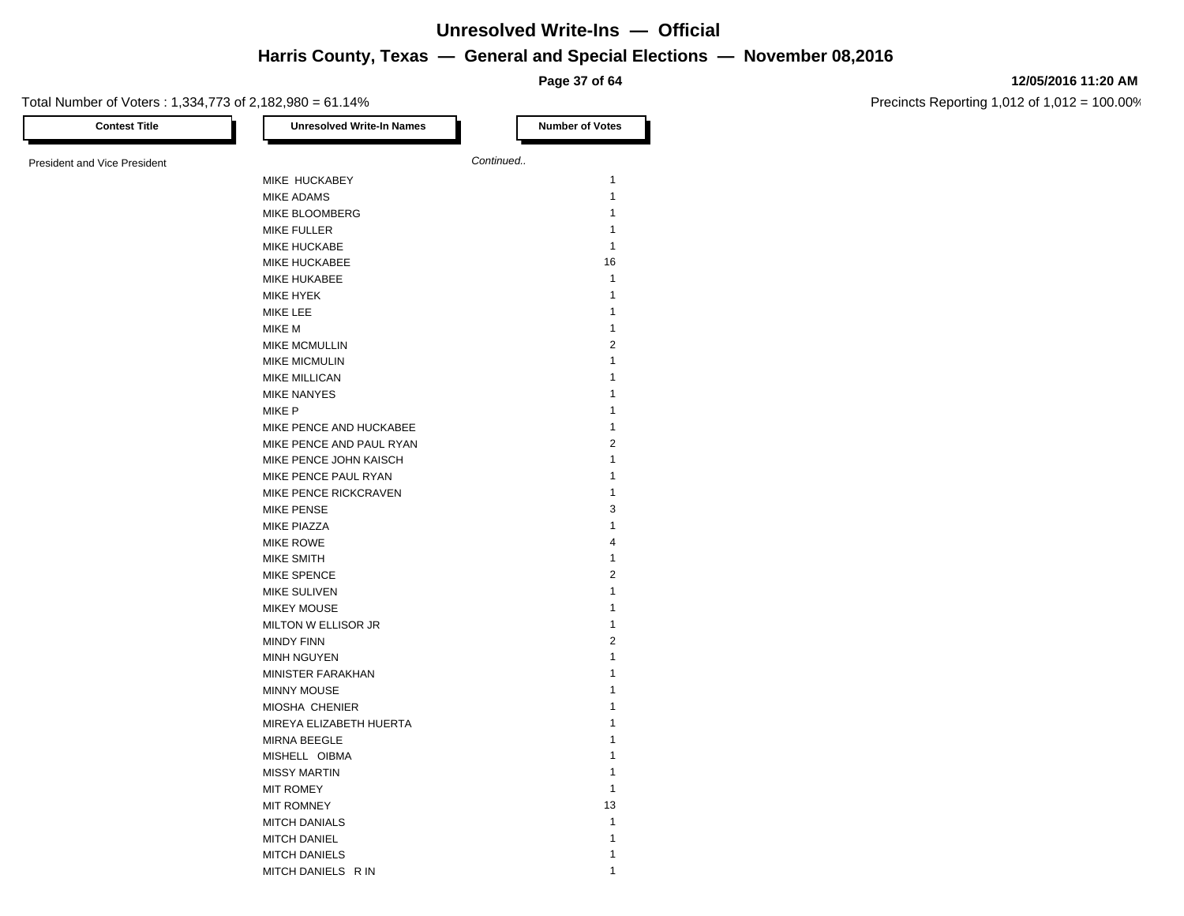**Page 37 of 64**

#### **12/05/2016 11:20 AM**

Precincts Reporting 1,012 of 1,012 = 100.00%

| Total Number of Voters: 1,334,773 of 2,182,980 = 61.14% |                                  | Page 37 OF 04          |
|---------------------------------------------------------|----------------------------------|------------------------|
| <b>Contest Title</b>                                    | <b>Unresolved Write-In Names</b> | <b>Number of Votes</b> |
| <b>President and Vice President</b>                     |                                  | Continued              |
|                                                         | MIKE HUCKABEY                    | $\mathbf{1}$           |
|                                                         | <b>MIKE ADAMS</b>                | $\mathbf{1}$           |
|                                                         | MIKE BLOOMBERG                   | $\mathbf{1}$           |
|                                                         | <b>MIKE FULLER</b>               | 1                      |
|                                                         | <b>MIKE HUCKABE</b>              | $\mathbf{1}$           |
|                                                         | MIKE HUCKABEE                    | 16                     |
|                                                         | <b>MIKE HUKABEE</b>              | $\mathbf{1}$           |
|                                                         | MIKE HYEK                        | 1                      |
|                                                         | MIKE LEE                         | $\mathbf{1}$           |
|                                                         | MIKE M                           | $\mathbf{1}$           |
|                                                         | MIKE MCMULLIN                    | $\overline{2}$         |
|                                                         | <b>MIKE MICMULIN</b>             | $\mathbf{1}$           |
|                                                         | <b>MIKE MILLICAN</b>             | $\mathbf{1}$           |
|                                                         | <b>MIKE NANYES</b>               | 1                      |
|                                                         | MIKE P                           | $\mathbf{1}$           |
|                                                         | MIKE PENCE AND HUCKABEE          | $\mathbf{1}$           |
|                                                         | MIKE PENCE AND PAUL RYAN         | $\overline{2}$         |
|                                                         | MIKE PENCE JOHN KAISCH           | $\mathbf{1}$           |
|                                                         | MIKE PENCE PAUL RYAN             | $\mathbf{1}$           |
|                                                         | MIKE PENCE RICKCRAVEN            | $\mathbf{1}$           |
|                                                         | <b>MIKE PENSE</b>                | 3                      |
|                                                         | <b>MIKE PIAZZA</b>               | $\mathbf{1}$           |
|                                                         | MIKE ROWE                        | $\overline{4}$         |
|                                                         | <b>MIKE SMITH</b>                | $\mathbf{1}$           |
|                                                         | MIKE SPENCE                      | $\overline{2}$         |
|                                                         | MIKE SULIVEN                     | 1                      |
|                                                         | <b>MIKEY MOUSE</b>               | $\mathbf{1}$           |
|                                                         | MILTON W ELLISOR JR              | 1                      |
|                                                         | <b>MINDY FINN</b>                | $\overline{2}$         |
|                                                         | <b>MINH NGUYEN</b>               | 1                      |
|                                                         | MINISTER FARAKHAN                | 1                      |
|                                                         | <b>MINNY MOUSE</b>               | 1                      |
|                                                         | MIOSHA CHENIER                   | 1                      |
|                                                         | MIREYA ELIZABETH HUERTA          | $\mathbf{1}$           |
|                                                         | MIRNA BEEGLE                     | $\mathbf{1}$           |
|                                                         | MISHELL OIBMA                    | 1                      |
|                                                         | <b>MISSY MARTIN</b>              | $\mathbf{1}$           |
|                                                         | <b>MIT ROMEY</b>                 | $\mathbf{1}$           |
|                                                         | <b>MIT ROMNEY</b>                | 13                     |
|                                                         | <b>MITCH DANIALS</b>             | $\mathbf{1}$           |
|                                                         | <b>MITCH DANIEL</b>              | $\mathbf{1}$           |

MITCH DANIELS 1 MITCH DANIELS R IN 1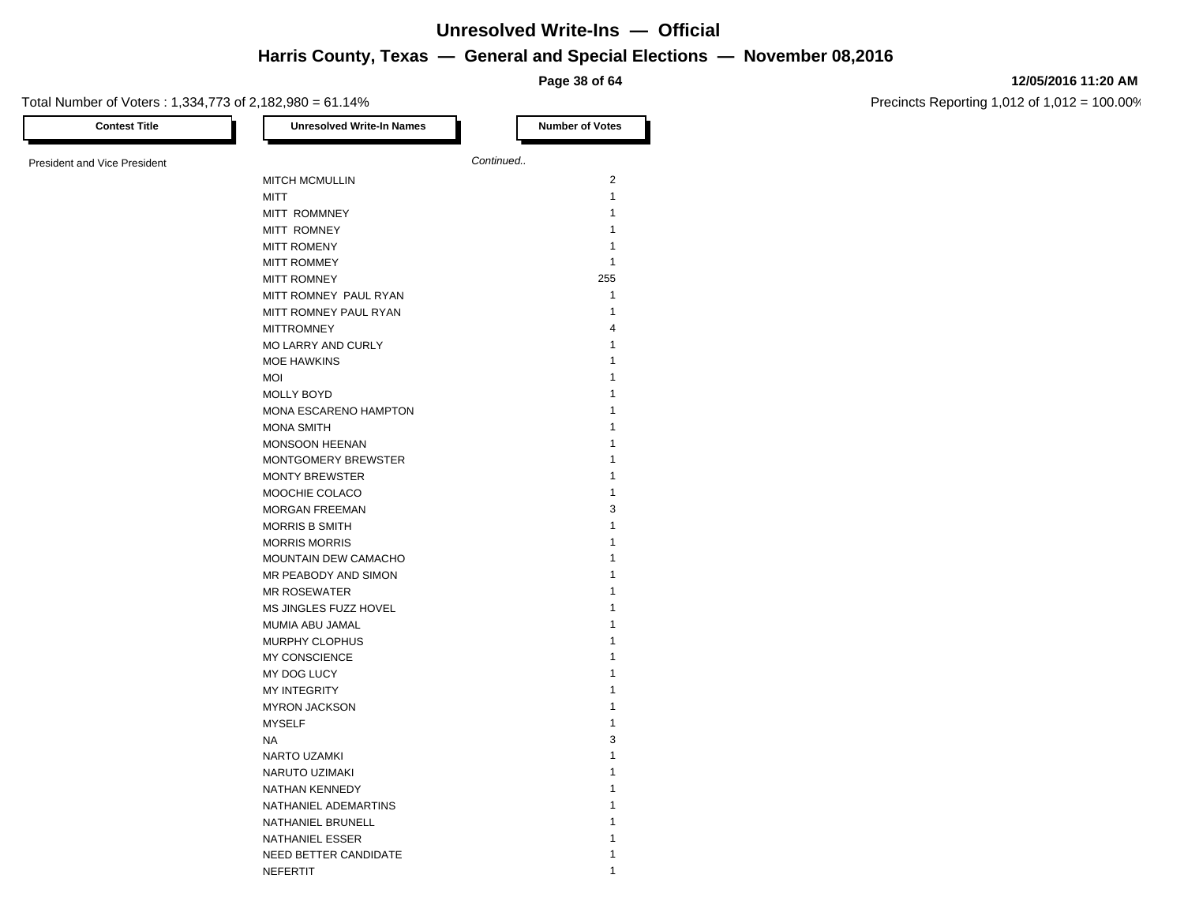**Page 38 of 64**

#### Total Number of Voters : 1,334,773 of 2,182,980 = 61.14%

| 12/05/2016 11:20 AM |  |
|---------------------|--|
|                     |  |

| Continued<br><b>President and Vice President</b><br><b>MITCH MCMULLIN</b><br><b>MITT</b><br>MITT ROMMNEY<br>MITT ROMNEY<br><b>MITT ROMENY</b><br><b>MITT ROMMEY</b><br><b>MITT ROMNEY</b><br>MITT ROMNEY PAUL RYAN<br>MITT ROMNEY PAUL RYAN<br><b>MITTROMNEY</b><br>MO LARRY AND CURLY<br><b>MOE HAWKINS</b><br><b>MOI</b><br><b>MOLLY BOYD</b><br>MONA ESCARENO HAMPTON<br><b>MONA SMITH</b><br><b>MONSOON HEENAN</b><br>MONTGOMERY BREWSTER<br><b>MONTY BREWSTER</b><br>MOOCHIE COLACO<br><b>MORGAN FREEMAN</b><br><b>MORRIS B SMITH</b><br><b>MORRIS MORRIS</b><br>MOUNTAIN DEW CAMACHO<br>MR PEABODY AND SIMON<br><b>MR ROSEWATER</b> | $\overline{2}$<br>$\mathbf{1}$<br>$\mathbf{1}$<br>$\mathbf{1}$<br>$\mathbf{1}$<br>$\mathbf{1}$<br>255<br>$\mathbf{1}$<br>1<br>$\overline{4}$<br>$\mathbf{1}$<br>$\mathbf{1}$<br>$\mathbf{1}$ |
|-------------------------------------------------------------------------------------------------------------------------------------------------------------------------------------------------------------------------------------------------------------------------------------------------------------------------------------------------------------------------------------------------------------------------------------------------------------------------------------------------------------------------------------------------------------------------------------------------------------------------------------------|----------------------------------------------------------------------------------------------------------------------------------------------------------------------------------------------|
|                                                                                                                                                                                                                                                                                                                                                                                                                                                                                                                                                                                                                                           |                                                                                                                                                                                              |
|                                                                                                                                                                                                                                                                                                                                                                                                                                                                                                                                                                                                                                           |                                                                                                                                                                                              |
|                                                                                                                                                                                                                                                                                                                                                                                                                                                                                                                                                                                                                                           |                                                                                                                                                                                              |
|                                                                                                                                                                                                                                                                                                                                                                                                                                                                                                                                                                                                                                           |                                                                                                                                                                                              |
|                                                                                                                                                                                                                                                                                                                                                                                                                                                                                                                                                                                                                                           |                                                                                                                                                                                              |
|                                                                                                                                                                                                                                                                                                                                                                                                                                                                                                                                                                                                                                           |                                                                                                                                                                                              |
|                                                                                                                                                                                                                                                                                                                                                                                                                                                                                                                                                                                                                                           |                                                                                                                                                                                              |
|                                                                                                                                                                                                                                                                                                                                                                                                                                                                                                                                                                                                                                           |                                                                                                                                                                                              |
|                                                                                                                                                                                                                                                                                                                                                                                                                                                                                                                                                                                                                                           |                                                                                                                                                                                              |
|                                                                                                                                                                                                                                                                                                                                                                                                                                                                                                                                                                                                                                           |                                                                                                                                                                                              |
|                                                                                                                                                                                                                                                                                                                                                                                                                                                                                                                                                                                                                                           |                                                                                                                                                                                              |
|                                                                                                                                                                                                                                                                                                                                                                                                                                                                                                                                                                                                                                           |                                                                                                                                                                                              |
|                                                                                                                                                                                                                                                                                                                                                                                                                                                                                                                                                                                                                                           |                                                                                                                                                                                              |
|                                                                                                                                                                                                                                                                                                                                                                                                                                                                                                                                                                                                                                           |                                                                                                                                                                                              |
|                                                                                                                                                                                                                                                                                                                                                                                                                                                                                                                                                                                                                                           | $\mathbf{1}$                                                                                                                                                                                 |
|                                                                                                                                                                                                                                                                                                                                                                                                                                                                                                                                                                                                                                           | 1                                                                                                                                                                                            |
|                                                                                                                                                                                                                                                                                                                                                                                                                                                                                                                                                                                                                                           |                                                                                                                                                                                              |
|                                                                                                                                                                                                                                                                                                                                                                                                                                                                                                                                                                                                                                           | 1<br>$\mathbf{1}$                                                                                                                                                                            |
|                                                                                                                                                                                                                                                                                                                                                                                                                                                                                                                                                                                                                                           | $\mathbf{1}$                                                                                                                                                                                 |
|                                                                                                                                                                                                                                                                                                                                                                                                                                                                                                                                                                                                                                           |                                                                                                                                                                                              |
|                                                                                                                                                                                                                                                                                                                                                                                                                                                                                                                                                                                                                                           | 1                                                                                                                                                                                            |
|                                                                                                                                                                                                                                                                                                                                                                                                                                                                                                                                                                                                                                           | $\mathbf{1}$                                                                                                                                                                                 |
|                                                                                                                                                                                                                                                                                                                                                                                                                                                                                                                                                                                                                                           | 3                                                                                                                                                                                            |
|                                                                                                                                                                                                                                                                                                                                                                                                                                                                                                                                                                                                                                           | $\mathbf{1}$                                                                                                                                                                                 |
|                                                                                                                                                                                                                                                                                                                                                                                                                                                                                                                                                                                                                                           | $\mathbf{1}$                                                                                                                                                                                 |
|                                                                                                                                                                                                                                                                                                                                                                                                                                                                                                                                                                                                                                           | 1                                                                                                                                                                                            |
|                                                                                                                                                                                                                                                                                                                                                                                                                                                                                                                                                                                                                                           | 1                                                                                                                                                                                            |
|                                                                                                                                                                                                                                                                                                                                                                                                                                                                                                                                                                                                                                           | $\mathbf{1}$                                                                                                                                                                                 |
| MS JINGLES FUZZ HOVEL                                                                                                                                                                                                                                                                                                                                                                                                                                                                                                                                                                                                                     | 1                                                                                                                                                                                            |
| MUMIA ABU JAMAL                                                                                                                                                                                                                                                                                                                                                                                                                                                                                                                                                                                                                           | $\mathbf{1}$                                                                                                                                                                                 |
| MURPHY CLOPHUS                                                                                                                                                                                                                                                                                                                                                                                                                                                                                                                                                                                                                            | 1                                                                                                                                                                                            |
| <b>MY CONSCIENCE</b>                                                                                                                                                                                                                                                                                                                                                                                                                                                                                                                                                                                                                      | 1                                                                                                                                                                                            |
| MY DOG LUCY                                                                                                                                                                                                                                                                                                                                                                                                                                                                                                                                                                                                                               | $\mathbf{1}$                                                                                                                                                                                 |
| <b>MY INTEGRITY</b>                                                                                                                                                                                                                                                                                                                                                                                                                                                                                                                                                                                                                       | 1                                                                                                                                                                                            |
| <b>MYRON JACKSON</b>                                                                                                                                                                                                                                                                                                                                                                                                                                                                                                                                                                                                                      | $\mathbf{1}$                                                                                                                                                                                 |
| <b>MYSELF</b>                                                                                                                                                                                                                                                                                                                                                                                                                                                                                                                                                                                                                             | 1                                                                                                                                                                                            |
| <b>NA</b>                                                                                                                                                                                                                                                                                                                                                                                                                                                                                                                                                                                                                                 | 3                                                                                                                                                                                            |
| NARTO UZAMKI                                                                                                                                                                                                                                                                                                                                                                                                                                                                                                                                                                                                                              | $\mathbf{1}$                                                                                                                                                                                 |
| NARUTO UZIMAKI                                                                                                                                                                                                                                                                                                                                                                                                                                                                                                                                                                                                                            | 1                                                                                                                                                                                            |
| NATHAN KENNEDY                                                                                                                                                                                                                                                                                                                                                                                                                                                                                                                                                                                                                            | $\mathbf{1}$                                                                                                                                                                                 |
| NATHANIEL ADEMARTINS                                                                                                                                                                                                                                                                                                                                                                                                                                                                                                                                                                                                                      | 1                                                                                                                                                                                            |
| NATHANIEL BRUNELL                                                                                                                                                                                                                                                                                                                                                                                                                                                                                                                                                                                                                         | 1                                                                                                                                                                                            |
| NATHANIEL ESSER                                                                                                                                                                                                                                                                                                                                                                                                                                                                                                                                                                                                                           | 1                                                                                                                                                                                            |
| NEED BETTER CANDIDATE                                                                                                                                                                                                                                                                                                                                                                                                                                                                                                                                                                                                                     | 1                                                                                                                                                                                            |
| <b>NEFERTIT</b>                                                                                                                                                                                                                                                                                                                                                                                                                                                                                                                                                                                                                           | 1                                                                                                                                                                                            |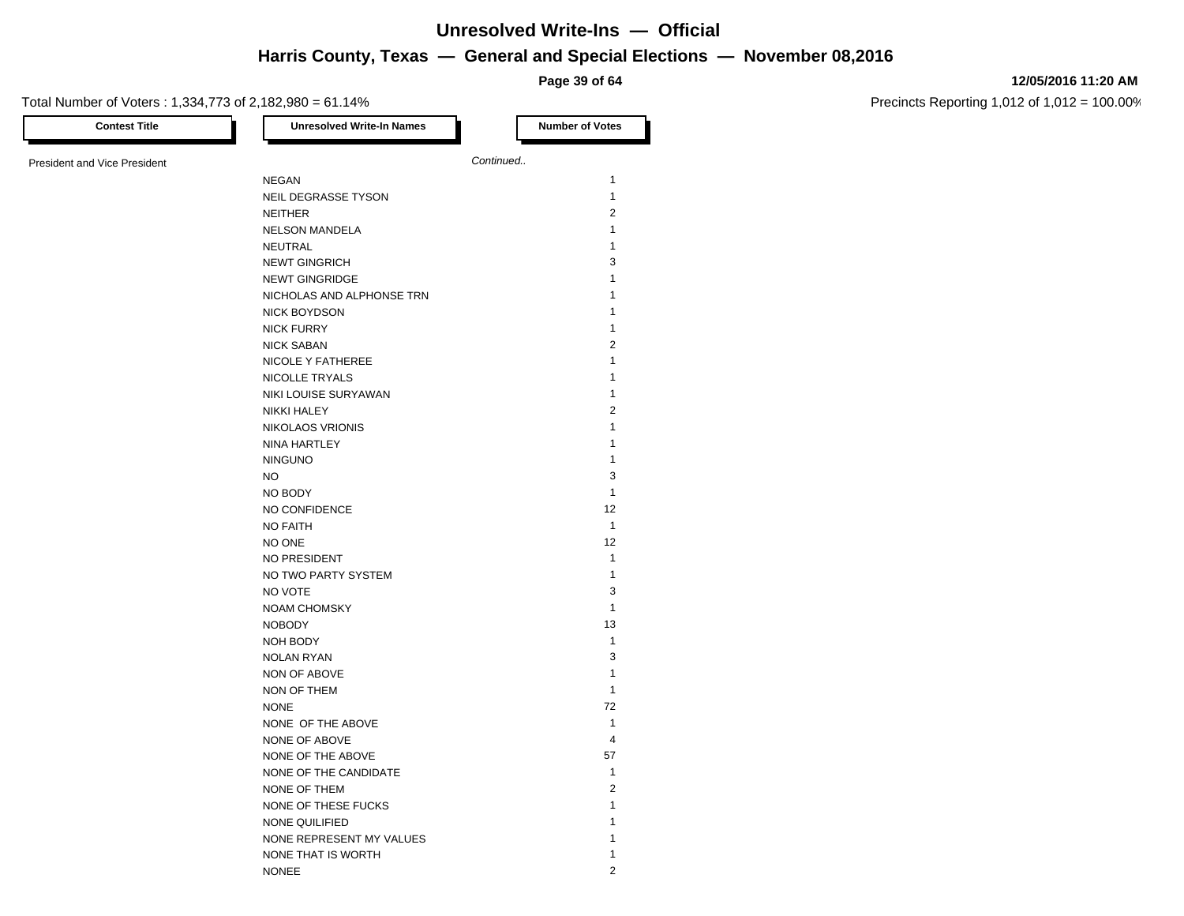**Page 39 of 64**

#### **12/05/2016 11:20 AM**

| <b>Contest Title</b>                | <b>Unresolved Write-In Names</b> | <b>Number of Votes</b> |
|-------------------------------------|----------------------------------|------------------------|
| <b>President and Vice President</b> |                                  | Continued              |
|                                     | <b>NEGAN</b>                     | $\mathbf{1}$           |
|                                     | NEIL DEGRASSE TYSON              | $\mathbf{1}$           |
|                                     | <b>NEITHER</b>                   | $\overline{2}$         |
|                                     | <b>NELSON MANDELA</b>            | $\mathbf{1}$           |
|                                     | NEUTRAL                          | 1                      |
|                                     | <b>NEWT GINGRICH</b>             | 3                      |
|                                     | <b>NEWT GINGRIDGE</b>            | 1                      |
|                                     | NICHOLAS AND ALPHONSE TRN        | 1                      |
|                                     | <b>NICK BOYDSON</b>              | 1                      |
|                                     | <b>NICK FURRY</b>                | 1                      |
|                                     | <b>NICK SABAN</b>                | $\overline{2}$         |
|                                     | NICOLE Y FATHEREE                | 1                      |
|                                     |                                  |                        |
|                                     | NICOLLE TRYALS                   | 1                      |
|                                     | NIKI LOUISE SURYAWAN             | 1<br>$\overline{2}$    |
|                                     | <b>NIKKI HALEY</b>               |                        |
|                                     | <b>NIKOLAOS VRIONIS</b>          | 1                      |
|                                     | NINA HARTLEY                     | 1                      |
|                                     | <b>NINGUNO</b>                   | $\mathbf{1}$           |
|                                     | <b>NO</b>                        | 3                      |
|                                     | NO BODY                          | $\mathbf{1}$           |
|                                     | NO CONFIDENCE                    | 12                     |
|                                     | <b>NO FAITH</b>                  | $\mathbf{1}$           |
|                                     | NO ONE                           | 12                     |
|                                     | NO PRESIDENT                     | $\mathbf{1}$           |
|                                     | NO TWO PARTY SYSTEM              | 1                      |
|                                     | NO VOTE                          | 3                      |
|                                     | <b>NOAM CHOMSKY</b>              | $\mathbf{1}$           |
|                                     | <b>NOBODY</b>                    | 13                     |
|                                     | NOH BODY                         | $\mathbf{1}$           |
|                                     | <b>NOLAN RYAN</b>                | 3                      |
|                                     | NON OF ABOVE                     | 1                      |
|                                     | NON OF THEM                      | $\mathbf{1}$           |
|                                     | <b>NONE</b>                      | 72                     |
|                                     | NONE OF THE ABOVE                | $\mathbf{1}$           |
|                                     | NONE OF ABOVE                    | $\overline{4}$         |
|                                     | NONE OF THE ABOVE                | 57                     |
|                                     | NONE OF THE CANDIDATE            | $\mathbf{1}$           |
|                                     | NONE OF THEM                     | $\overline{2}$         |
|                                     | NONE OF THESE FUCKS              | 1                      |
|                                     | NONE QUILIFIED                   | 1                      |
|                                     | NONE REPRESENT MY VALUES         | 1                      |
|                                     | NONE THAT IS WORTH               | 1                      |
|                                     | <b>NONEE</b>                     | $\overline{2}$         |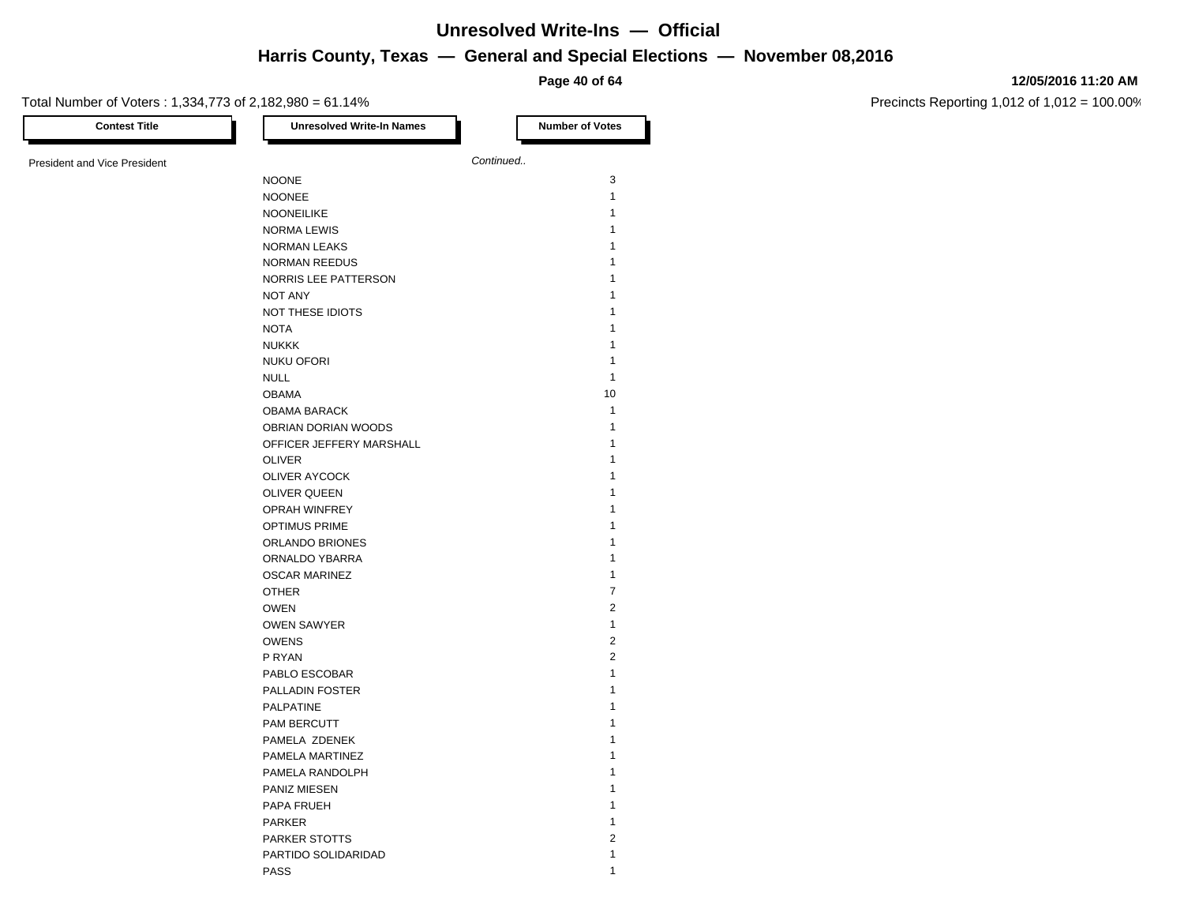**Page 40 of 64**

#### **12/05/2016 11:20 AM**

| <b>Contest Title</b>                | <b>Unresolved Write-In Names</b> | <b>Number of Votes</b>           |
|-------------------------------------|----------------------------------|----------------------------------|
| <b>President and Vice President</b> |                                  | Continued                        |
|                                     | <b>NOONE</b>                     | 3                                |
|                                     | <b>NOONEE</b>                    | $\mathbf{1}$                     |
|                                     | <b>NOONEILIKE</b>                | $\mathbf{1}$                     |
|                                     | <b>NORMA LEWIS</b>               | 1                                |
|                                     | <b>NORMAN LEAKS</b>              | 1                                |
|                                     | <b>NORMAN REEDUS</b>             | 1                                |
|                                     | NORRIS LEE PATTERSON             | 1                                |
|                                     | <b>NOT ANY</b>                   | 1                                |
|                                     | NOT THESE IDIOTS                 | 1                                |
|                                     | <b>NOTA</b>                      | 1                                |
|                                     | <b>NUKKK</b>                     | 1                                |
|                                     | <b>NUKU OFORI</b>                | 1                                |
|                                     | <b>NULL</b>                      | $\mathbf{1}$                     |
|                                     | <b>OBAMA</b>                     | 10                               |
|                                     | <b>OBAMA BARACK</b>              | $\mathbf{1}$                     |
|                                     | OBRIAN DORIAN WOODS              | $\mathbf{1}$                     |
|                                     | OFFICER JEFFERY MARSHALL         | 1                                |
|                                     | <b>OLIVER</b>                    | 1                                |
|                                     | <b>OLIVER AYCOCK</b>             | 1                                |
|                                     |                                  | 1                                |
|                                     | <b>OLIVER QUEEN</b>              | 1                                |
|                                     | <b>OPRAH WINFREY</b>             | 1                                |
|                                     | OPTIMUS PRIME                    | 1                                |
|                                     | ORLANDO BRIONES                  | 1                                |
|                                     | ORNALDO YBARRA                   |                                  |
|                                     | <b>OSCAR MARINEZ</b>             | $\mathbf{1}$                     |
|                                     | <b>OTHER</b>                     | $\overline{7}$<br>$\overline{2}$ |
|                                     | <b>OWEN</b>                      |                                  |
|                                     | <b>OWEN SAWYER</b>               | $\mathbf{1}$                     |
|                                     | <b>OWENS</b>                     | $\overline{2}$                   |
|                                     | P RYAN                           | $\overline{2}$                   |
|                                     | PABLO ESCOBAR                    | 1                                |
|                                     | PALLADIN FOSTER                  | 1                                |
|                                     | <b>PALPATINE</b>                 | 1                                |
|                                     | PAM BERCUTT                      | 1                                |
|                                     | PAMELA ZDENEK                    | 1                                |
|                                     | PAMELA MARTINEZ                  | 1                                |
|                                     | PAMELA RANDOLPH                  | 1                                |
|                                     | PANIZ MIESEN                     | 1                                |
|                                     | PAPA FRUEH                       | 1                                |
|                                     | PARKER                           | 1                                |
|                                     | PARKER STOTTS                    | $\overline{2}$                   |
|                                     | PARTIDO SOLIDARIDAD              | 1                                |
|                                     | <b>PASS</b>                      | 1                                |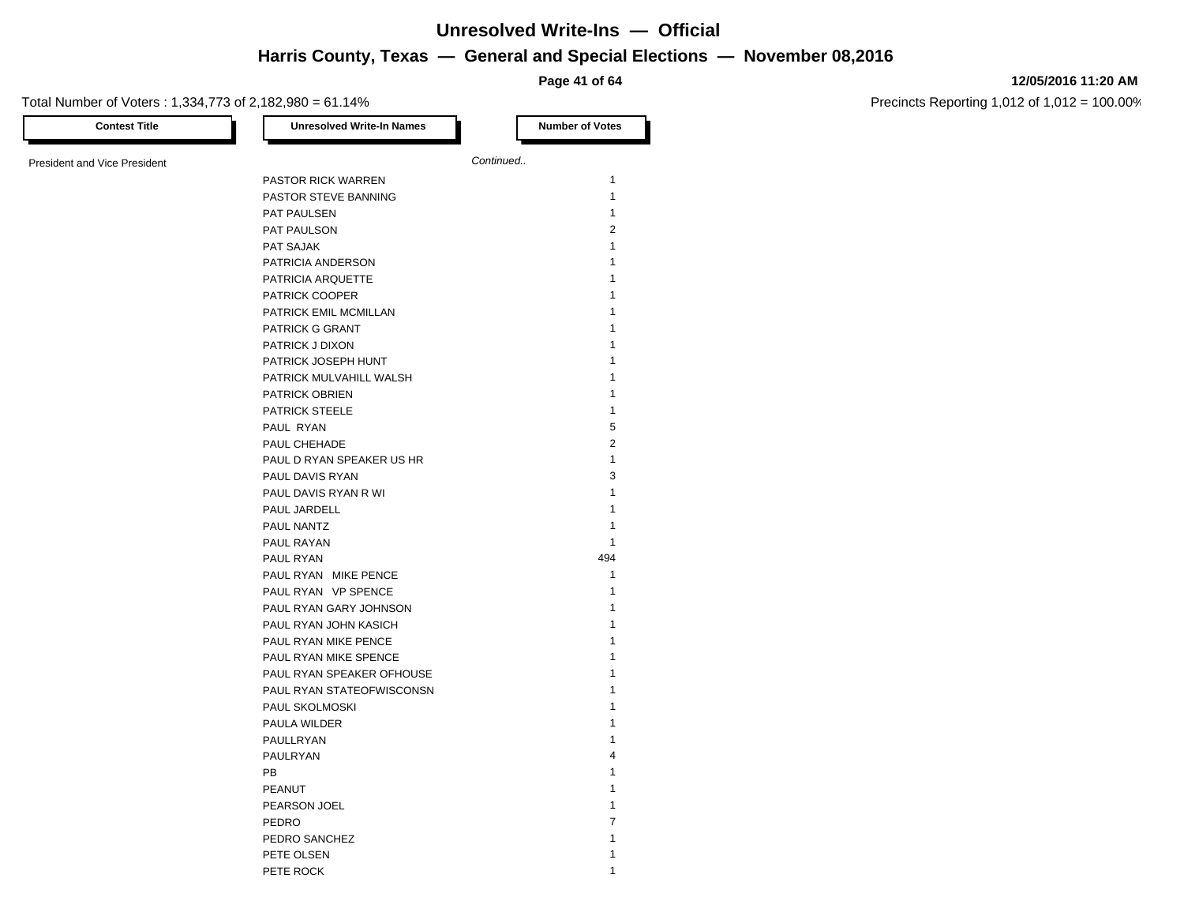**Page 41 of 64**

#### **12/05/2016 11:20 AM**

Precincts Reporting 1,012 of 1,012 = 100.00%

| <b>Contest Title</b>                | <b>Unresolved Write-In Names</b> | <b>Number of Votes</b> |
|-------------------------------------|----------------------------------|------------------------|
| <b>President and Vice President</b> |                                  | Continued              |
|                                     | PASTOR RICK WARREN               | $\mathbf{1}$           |
|                                     | PASTOR STEVE BANNING             | $\mathbf{1}$           |
|                                     | PAT PAULSEN                      | 1                      |
|                                     | PAT PAULSON                      | $\overline{2}$         |
|                                     | PAT SAJAK                        | $\mathbf{1}$           |
|                                     | PATRICIA ANDERSON                | 1                      |
|                                     | PATRICIA ARQUETTE                | 1                      |
|                                     | PATRICK COOPER                   | 1                      |
|                                     | PATRICK EMIL MCMILLAN            | 1                      |
|                                     | PATRICK G GRANT                  | 1                      |
|                                     | PATRICK J DIXON                  | 1                      |
|                                     | PATRICK JOSEPH HUNT              | 1                      |
|                                     |                                  | 1                      |
|                                     | PATRICK MULVAHILL WALSH          | 1                      |
|                                     | PATRICK OBRIEN                   | 1                      |
|                                     | <b>PATRICK STEELE</b>            |                        |
|                                     | PAUL RYAN                        | 5                      |
|                                     | PAUL CHEHADE                     | 2<br>$\mathbf{1}$      |
|                                     | PAUL D RYAN SPEAKER US HR        |                        |
|                                     | PAUL DAVIS RYAN                  | 3                      |
|                                     | PAUL DAVIS RYAN R WI             | 1                      |
|                                     | PAUL JARDELL                     | 1                      |
|                                     | PAUL NANTZ                       | $\mathbf{1}$           |
|                                     | PAUL RAYAN                       | $\mathbf{1}$           |
|                                     | PAUL RYAN                        | 494                    |
|                                     | PAUL RYAN MIKE PENCE             | $\mathbf{1}$           |
|                                     | PAUL RYAN VP SPENCE              | 1                      |
|                                     | PAUL RYAN GARY JOHNSON           | 1                      |
|                                     | PAUL RYAN JOHN KASICH            | 1                      |
|                                     | PAUL RYAN MIKE PENCE             | 1                      |
|                                     | PAUL RYAN MIKE SPENCE            | 1                      |
|                                     | PAUL RYAN SPEAKER OFHOUSE        | 1                      |
|                                     | PAUL RYAN STATEOFWISCONSN        | 1                      |
|                                     | PAUL SKOLMOSKI                   | 1                      |
|                                     | PAULA WILDER                     | 1                      |
|                                     | PAULLRYAN                        | 1                      |
|                                     | PAULRYAN                         | 4                      |
|                                     | PB                               | 1                      |
|                                     | PEANUT                           | 1                      |
|                                     | PEARSON JOEL                     | 1                      |
|                                     | PEDRO                            | 7                      |
|                                     | PEDRO SANCHEZ                    | 1                      |
|                                     | PETE OLSEN                       | 1                      |

PETE ROCK 2002 12 2003 12 2004 12 2005 12 2006 12 2007 12 2007 12 2007 12 2007 12 2007 12 2007 12 2007 12 2007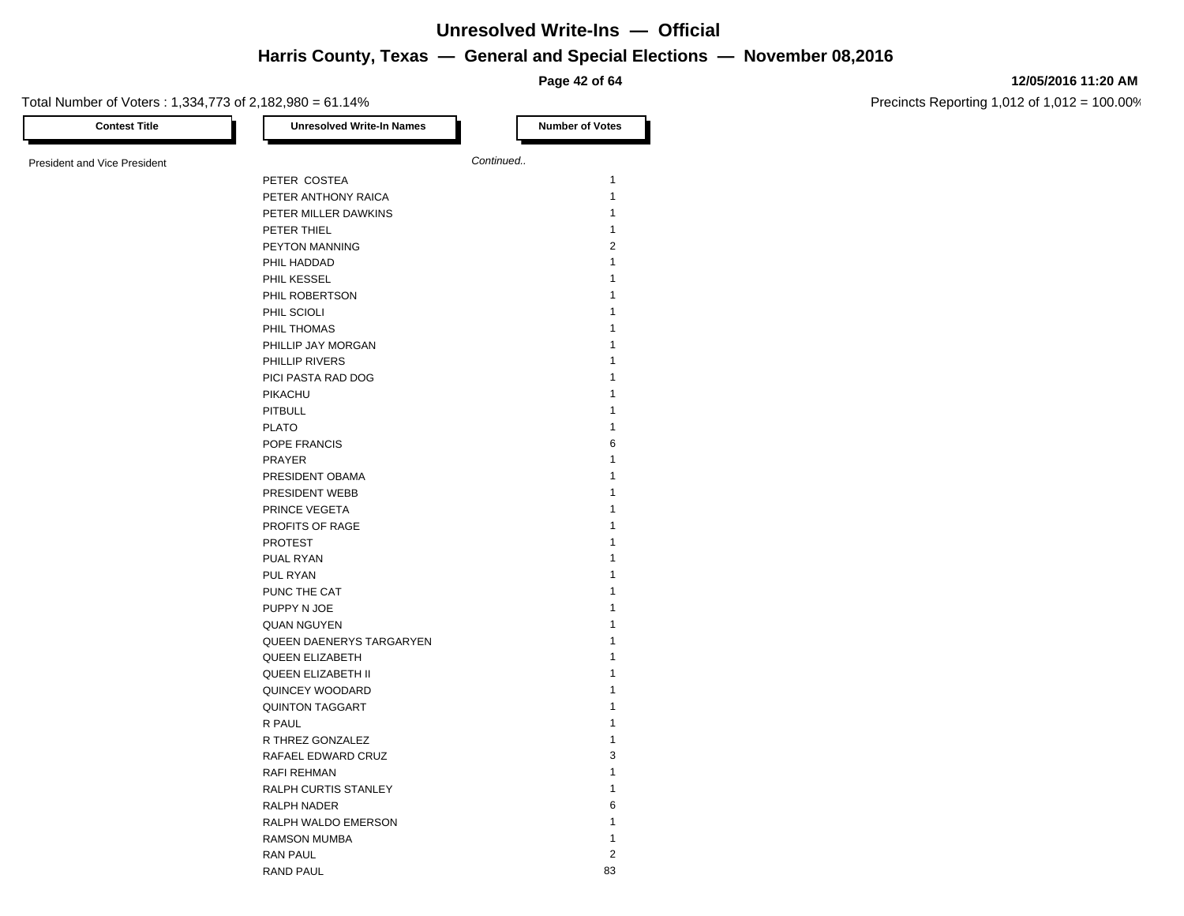**Page 42 of 64**

#### **12/05/2016 11:20 AM**

| <b>Contest Title</b>         | <b>Unresolved Write-In Names</b> | <b>Number of Votes</b> |                |
|------------------------------|----------------------------------|------------------------|----------------|
| President and Vice President |                                  | Continued              |                |
|                              | PETER COSTEA                     |                        | $\mathbf{1}$   |
|                              | PETER ANTHONY RAICA              |                        | $\mathbf{1}$   |
|                              | PETER MILLER DAWKINS             |                        | $\mathbf{1}$   |
|                              | PETER THIEL                      |                        | $\mathbf{1}$   |
|                              | PEYTON MANNING                   |                        | $\overline{2}$ |
|                              | PHIL HADDAD                      |                        | $\mathbf{1}$   |
|                              | PHIL KESSEL                      |                        | 1              |
|                              | PHIL ROBERTSON                   |                        | 1              |
|                              | PHIL SCIOLI                      |                        | 1              |
|                              | PHIL THOMAS                      |                        | 1              |
|                              | PHILLIP JAY MORGAN               |                        | 1              |
|                              | PHILLIP RIVERS                   |                        | 1              |
|                              | PICI PASTA RAD DOG               |                        | 1              |
|                              | PIKACHU                          |                        | 1              |
|                              |                                  |                        | 1              |
|                              | <b>PITBULL</b>                   |                        | 1              |
|                              | <b>PLATO</b>                     |                        | 6              |
|                              | POPE FRANCIS                     |                        | $\mathbf{1}$   |
|                              | PRAYER                           |                        |                |
|                              | PRESIDENT OBAMA                  |                        | 1<br>1         |
|                              | PRESIDENT WEBB                   |                        | 1              |
|                              | PRINCE VEGETA                    |                        |                |
|                              | PROFITS OF RAGE                  |                        | 1              |
|                              | <b>PROTEST</b>                   |                        | 1              |
|                              | PUAL RYAN                        |                        | 1              |
|                              | PUL RYAN                         |                        | 1              |
|                              | PUNC THE CAT                     |                        | 1              |
|                              | PUPPY N JOE                      |                        | 1              |
|                              | <b>QUAN NGUYEN</b>               |                        | 1              |
|                              | QUEEN DAENERYS TARGARYEN         |                        | 1              |
|                              | <b>QUEEN ELIZABETH</b>           |                        | 1              |
|                              | <b>QUEEN ELIZABETH II</b>        |                        | 1              |
|                              | QUINCEY WOODARD                  |                        | 1              |
|                              | <b>QUINTON TAGGART</b>           |                        | 1              |
|                              | R PAUL                           |                        | 1              |
|                              | R THREZ GONZALEZ                 |                        | $\mathbf{1}$   |
|                              | RAFAEL EDWARD CRUZ               |                        | 3              |
|                              | <b>RAFI REHMAN</b>               |                        | $\mathbf{1}$   |
|                              | RALPH CURTIS STANLEY             |                        | 1              |
|                              | <b>RALPH NADER</b>               |                        | 6              |
|                              | RALPH WALDO EMERSON              |                        | 1              |
|                              | <b>RAMSON MUMBA</b>              |                        | $\mathbf{1}$   |
|                              | <b>RAN PAUL</b>                  |                        | $\overline{2}$ |
|                              | <b>RAND PAUL</b>                 |                        | 83             |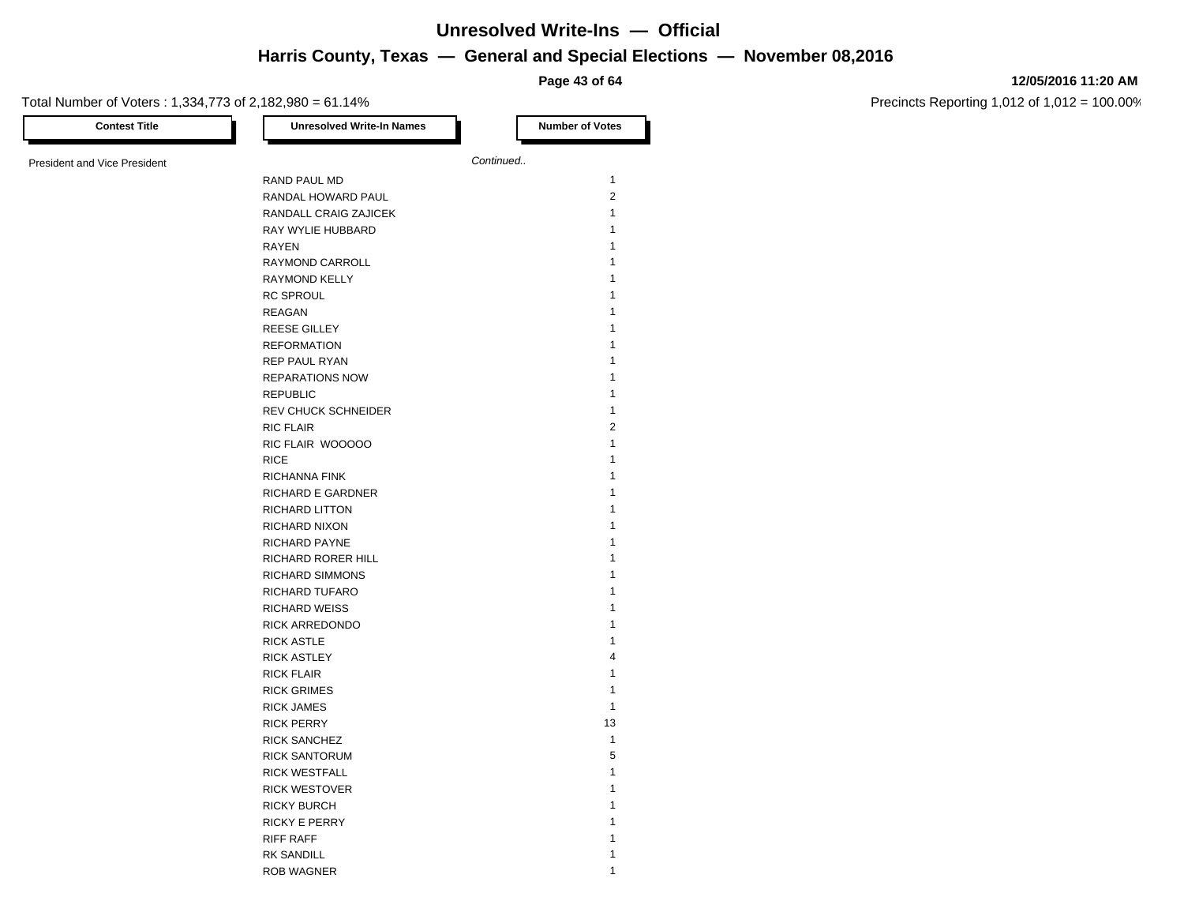**Page 43 of 64**

#### Total Number of Voters : 1,334,773 of 2,182,980 = 61.14% **Contest Title Number of Votes Number of Votes** President and Vice President **Continued. Continued.** RAND PAUL MD 1 RANDAL HOWARD PAUL 2 RANDALL CRAIG ZAJICEK 1 RAY WYLIE HUBBARD 1 **RAYEN** 1 RAYMOND CARROLL 1 RAYMOND KELLY 1 RC SPROUL 1 REAGAN **1** REESE GILLEY 1 REFORMATION 1 REP PAUL RYAN 1 REPARATIONS NOW 1 REPUBLIC 1 and 1 and 1 and 1 and 1 and 1 and 1 and 1 and 1 and 1 and 1 and 1 and 1 and 1 and 1 and 1 and 1 and 1 and 1 and 1 and 1 and 1 and 1 and 1 and 1 and 1 and 1 and 1 and 1 and 1 and 1 and 1 and 1 and 1 and 1 and 1 a REV CHUCK SCHNEIDER 1 RIC FLAIR 2 RIC FLAIR WOOOOO 1 1 RICE the contract of the contract of the contract of the contract of the contract of the contract of the contract of the contract of the contract of the contract of the contract of the contract of the contract of the contr RICHANNA FINK 1 RICHARD E GARDNER 1 RICHARD LITTON 1 RICHARD NIXON 1 RICHARD PAYNE 1 RICHARD RORER HILL 1 RICHARD SIMMONS 1 RICHARD TUFARO 1 RICHARD WEISS **1** RICK ARREDONDO 1 RICK ASTLE 1 RICK ASTLEY 4 RICK FLAIR 1 RICK GRIMES 1 RICK JAMES 1 RICK PERRY 13 RICK SANCHEZ 1 RICK SANTORUM 5 RICK WESTFALL 1 RICK WESTOVER 1 RICKY BURCH 2008 120 AM 2009 12:00 12:00 12:00 12:00 12:00 12:00 12:00 12:00 12:00 12:00 12:00 12:00 12:00 12:00 12:00 12:00 12:00 12:00 12:00 12:00 12:00 12:00 12:00 12:00 12:00 12:00 12:00 12:00 12:00 12:00 12:00 12:00 1 RICKY E PERRY 1 RIFF RAFF 1 2007 1 2007 1 2007 1 2007 1 2007 2 2007 2 2007 2 2007 2 2007 2 2007 2 2007 2 2007 2 2007 2 2007 2 2007 2 2007 2 2007 2 2007 2 2007 2 2007 2 2007 2 2007 2 2007 2 2007 2 2007 2 2007 2 2007 2 2007 2 2007 2 2007 2 RK SANDILL 1

ROB WAGNER 1

#### **12/05/2016 11:20 AM**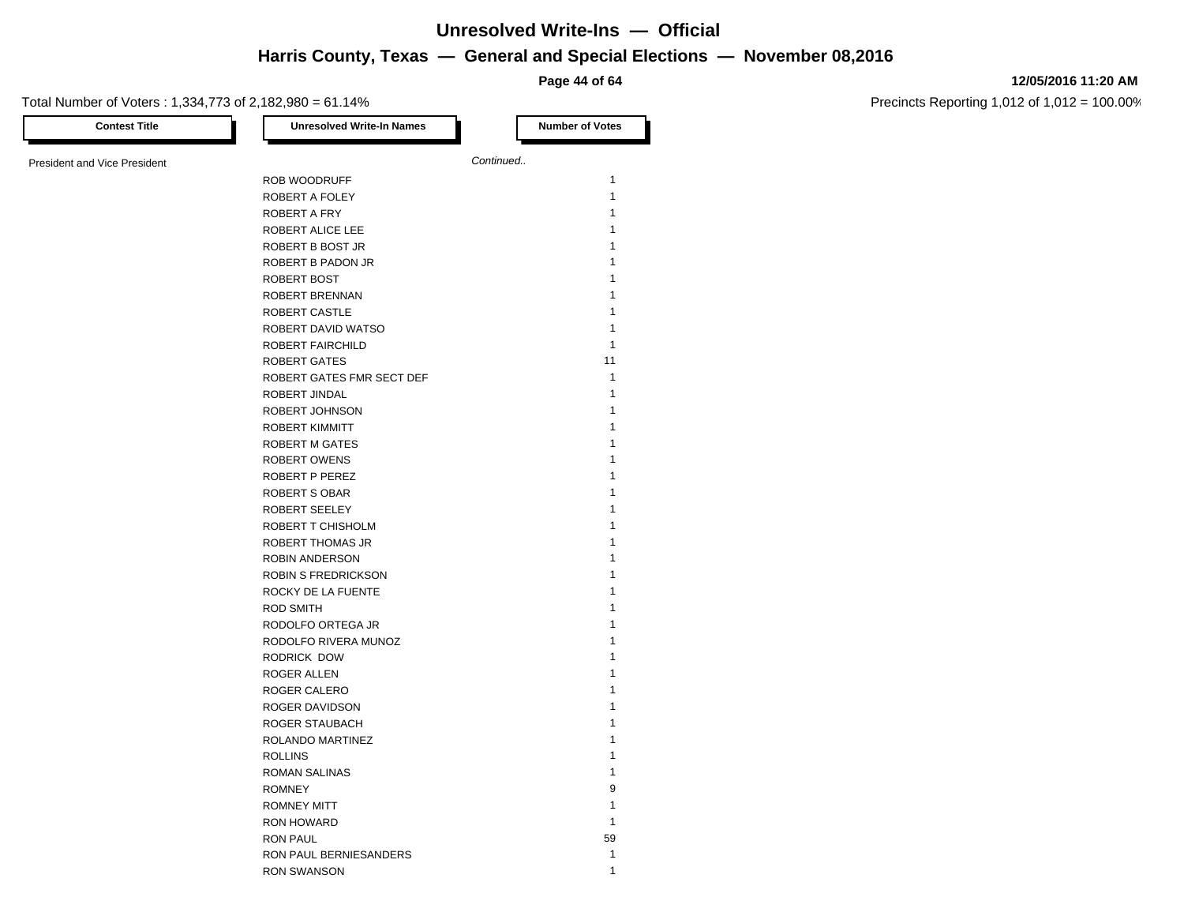**Page 44 of 64**

#### **12/05/2016 11:20 AM**

Precincts Reporting 1,012 of 1,012 = 100.00%

Total Number of Voters : 1,334,773 of 2,182,980 = 61.14%

| <b>Contest Title</b>                | <b>Unresolved Write-In Names</b> |           | <b>Number of Votes</b>       |
|-------------------------------------|----------------------------------|-----------|------------------------------|
| <b>President and Vice President</b> |                                  | Continued |                              |
|                                     | ROB WOODRUFF                     |           | $\mathbf{1}$                 |
|                                     | ROBERT A FOLEY                   |           | $\mathbf{1}$                 |
|                                     | ROBERT A FRY                     |           | $\mathbf{1}$                 |
|                                     | ROBERT ALICE LEE                 |           | $\mathbf{1}$                 |
|                                     | ROBERT B BOST JR                 |           | $\mathbf{1}$                 |
|                                     | ROBERT B PADON JR                |           | $\mathbf{1}$                 |
|                                     | ROBERT BOST                      |           | $\mathbf{1}$                 |
|                                     | ROBERT BRENNAN                   |           | $\mathbf{1}$                 |
|                                     | ROBERT CASTLE                    |           | $\mathbf{1}$                 |
|                                     | ROBERT DAVID WATSO               |           | $\mathbf{1}$                 |
|                                     | ROBERT FAIRCHILD                 |           | $\mathbf{1}$                 |
|                                     | <b>ROBERT GATES</b>              |           | 11                           |
|                                     | ROBERT GATES FMR SECT DEF        |           | $\mathbf{1}$                 |
|                                     | ROBERT JINDAL                    |           | $\mathbf{1}$                 |
|                                     |                                  |           | $\mathbf{1}$                 |
|                                     | ROBERT JOHNSON                   |           |                              |
|                                     | ROBERT KIMMITT                   |           | $\mathbf{1}$<br>$\mathbf{1}$ |
|                                     | <b>ROBERT M GATES</b>            |           |                              |
|                                     | <b>ROBERT OWENS</b>              |           | $\mathbf{1}$                 |
|                                     | ROBERT P PEREZ                   |           | $\mathbf{1}$                 |
|                                     | <b>ROBERT S OBAR</b>             |           | $\mathbf{1}$                 |
|                                     | ROBERT SEELEY                    |           | $\mathbf{1}$                 |
|                                     | ROBERT T CHISHOLM                |           | $\mathbf{1}$                 |
|                                     | ROBERT THOMAS JR                 |           | $\mathbf{1}$                 |
|                                     | ROBIN ANDERSON                   |           | $\mathbf{1}$                 |
|                                     | <b>ROBIN S FREDRICKSON</b>       |           | $\mathbf{1}$                 |
|                                     | ROCKY DE LA FUENTE               |           | $\mathbf{1}$                 |
|                                     | <b>ROD SMITH</b>                 |           | 1                            |
|                                     | RODOLFO ORTEGA JR                |           | $\mathbf{1}$                 |
|                                     | RODOLFO RIVERA MUNOZ             |           | $\mathbf{1}$                 |
|                                     | RODRICK DOW                      |           | $\mathbf{1}$                 |
|                                     | ROGER ALLEN                      |           | $\mathbf{1}$                 |
|                                     | ROGER CALERO                     |           | $\mathbf{1}$                 |
|                                     | ROGER DAVIDSON                   |           | $\mathbf{1}$                 |
|                                     | ROGER STAUBACH                   |           | $\mathbf{1}$                 |
|                                     | ROLANDO MARTINEZ                 |           | $\mathbf{1}$                 |
|                                     | <b>ROLLINS</b>                   |           | $\mathbf{1}$                 |
|                                     | <b>ROMAN SALINAS</b>             |           | $\mathbf{1}$                 |
|                                     | <b>ROMNEY</b>                    |           | 9                            |
|                                     | <b>ROMNEY MITT</b>               |           | $\mathbf{1}$                 |
|                                     | <b>RON HOWARD</b>                |           | $\mathbf{1}$                 |
|                                     | <b>RON PAUL</b>                  |           | 59                           |
|                                     | RON PAUL BERNIESANDERS           |           | $\mathbf{1}$                 |
|                                     | <b>RON SWANSON</b>               |           | $\mathbf{1}$                 |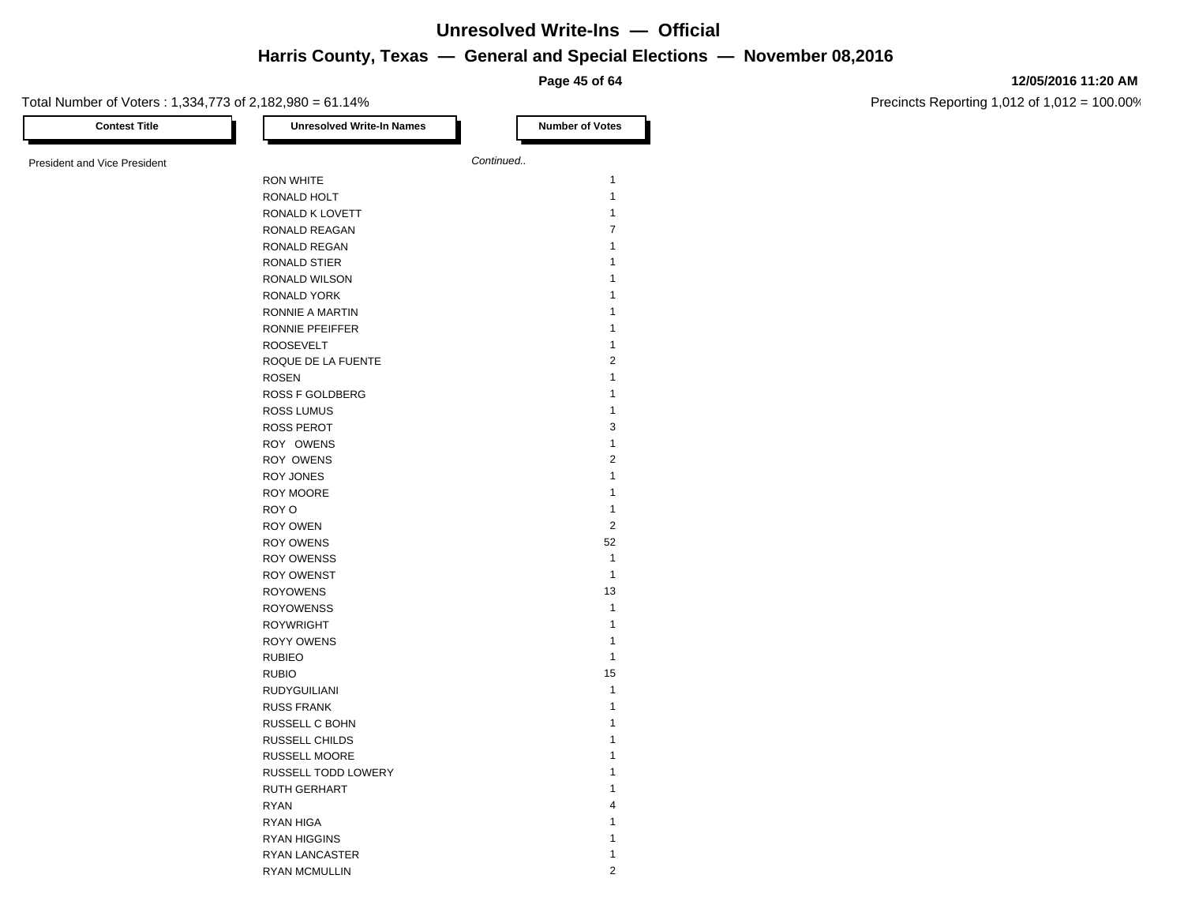**Page 45 of 64**

#### **12/05/2016 11:20 AM**

| <b>Contest Title</b>         | <b>Unresolved Write-In Names</b> | <b>Number of Votes</b> |
|------------------------------|----------------------------------|------------------------|
| President and Vice President |                                  | Continued              |
|                              | <b>RON WHITE</b>                 | $\mathbf{1}$           |
|                              | RONALD HOLT                      | $\mathbf{1}$           |
|                              | RONALD K LOVETT                  | $\mathbf{1}$           |
|                              | RONALD REAGAN                    | $\overline{7}$         |
|                              | RONALD REGAN                     | 1                      |
|                              | RONALD STIER                     | 1                      |
|                              | RONALD WILSON                    | 1                      |
|                              | RONALD YORK                      | 1                      |
|                              | RONNIE A MARTIN                  | 1                      |
|                              | RONNIE PFEIFFER                  | $\mathbf{1}$           |
|                              | <b>ROOSEVELT</b>                 | $\mathbf{1}$           |
|                              | ROQUE DE LA FUENTE               | $\sqrt{2}$             |
|                              | <b>ROSEN</b>                     | $\mathbf{1}$           |
|                              | ROSS F GOLDBERG                  | 1                      |
|                              | <b>ROSS LUMUS</b>                | $\mathbf{1}$           |
|                              | <b>ROSS PEROT</b>                | 3                      |
|                              | ROY OWENS                        | $\mathbf{1}$           |
|                              | ROY OWENS                        | $\overline{c}$         |
|                              | ROY JONES                        | $\mathbf{1}$           |
|                              | ROY MOORE                        | 1                      |
|                              | ROY O                            | $\mathbf{1}$           |
|                              | ROY OWEN                         | $\overline{2}$         |
|                              | <b>ROY OWENS</b>                 | 52                     |
|                              | <b>ROY OWENSS</b>                | $\mathbf{1}$           |
|                              | <b>ROY OWENST</b>                | $\mathbf{1}$           |
|                              | <b>ROYOWENS</b>                  | 13                     |
|                              | <b>ROYOWENSS</b>                 | $\mathbf{1}$           |
|                              | <b>ROYWRIGHT</b>                 | $\mathbf{1}$           |
|                              | <b>ROYY OWENS</b>                | $\mathbf{1}$           |
|                              | <b>RUBIEO</b>                    | $\mathbf{1}$           |
|                              | <b>RUBIO</b>                     | 15                     |
|                              | <b>RUDYGUILIANI</b>              | $\mathbf{1}$           |
|                              | <b>RUSS FRANK</b>                | $\mathbf{1}$           |
|                              | RUSSELL C BOHN                   | 1                      |
|                              | RUSSELL CHILDS                   | 1                      |
|                              | <b>RUSSELL MOORE</b>             | 1                      |
|                              | RUSSELL TODD LOWERY              | 1                      |
|                              | <b>RUTH GERHART</b>              | 1                      |
|                              | <b>RYAN</b>                      | 4                      |
|                              | RYAN HIGA                        | 1                      |
|                              | <b>RYAN HIGGINS</b>              | 1                      |
|                              | <b>RYAN LANCASTER</b>            | 1                      |
|                              | <b>RYAN MCMULLIN</b>             | $\overline{2}$         |
|                              |                                  |                        |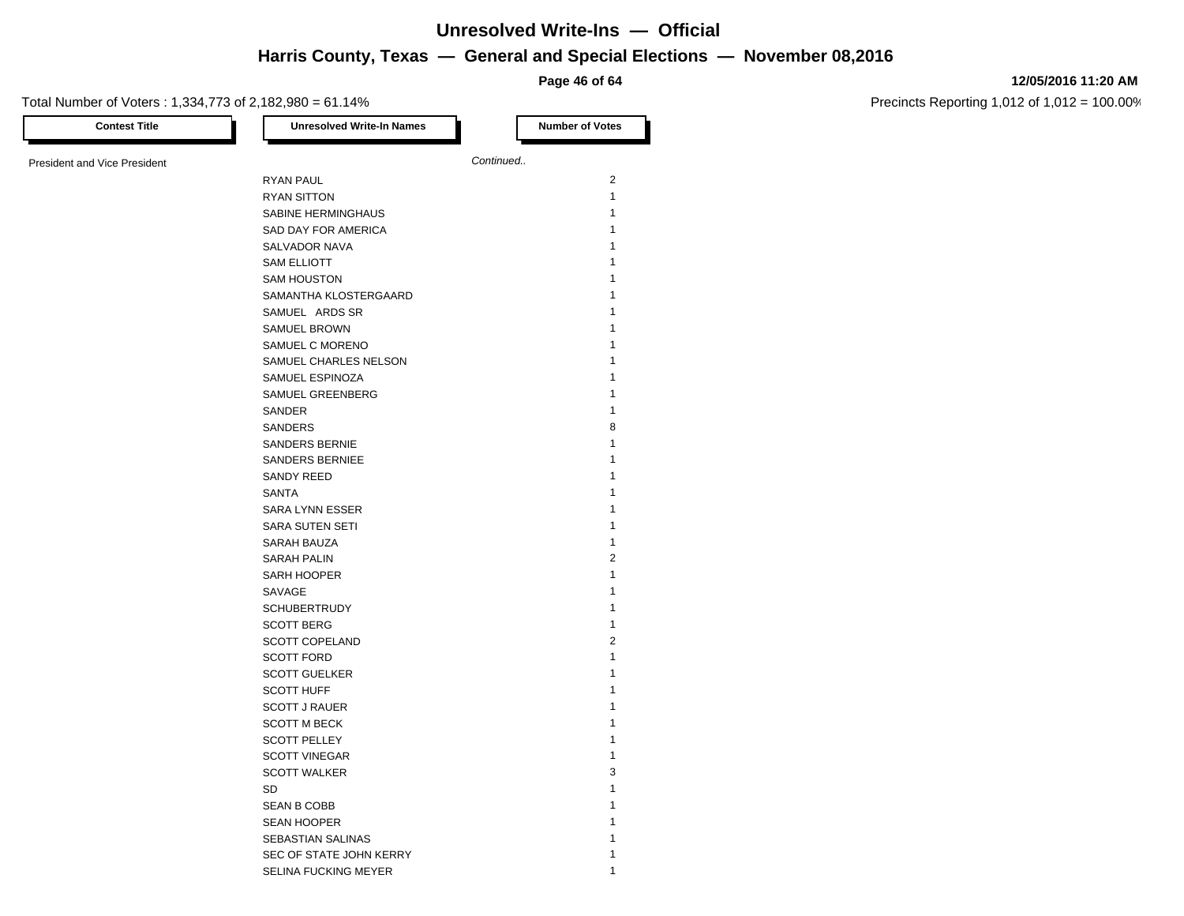**Page 46 of 64**

#### **12/05/2016 11:20 AM**

| <b>Contest Title</b>                | <b>Unresolved Write-In Names</b> | <b>Number of Votes</b> |
|-------------------------------------|----------------------------------|------------------------|
| <b>President and Vice President</b> |                                  | Continued              |
|                                     | RYAN PAUL                        | $\overline{2}$         |
|                                     | <b>RYAN SITTON</b>               | $\mathbf{1}$           |
|                                     | SABINE HERMINGHAUS               | 1                      |
|                                     | SAD DAY FOR AMERICA              | 1                      |
|                                     | SALVADOR NAVA                    | 1                      |
|                                     | <b>SAM ELLIOTT</b>               | 1                      |
|                                     | <b>SAM HOUSTON</b>               | 1                      |
|                                     | SAMANTHA KLOSTERGAARD            | 1                      |
|                                     | SAMUEL ARDS SR                   | 1                      |
|                                     | SAMUEL BROWN                     | 1                      |
|                                     | SAMUEL C MORENO                  | 1                      |
|                                     | SAMUEL CHARLES NELSON            | 1                      |
|                                     | SAMUEL ESPINOZA                  | 1                      |
|                                     | SAMUEL GREENBERG                 | 1                      |
|                                     | SANDER                           | 1                      |
|                                     | SANDERS                          | 8                      |
|                                     | <b>SANDERS BERNIE</b>            | 1                      |
|                                     |                                  | 1                      |
|                                     | <b>SANDERS BERNIEE</b>           | 1                      |
|                                     | SANDY REED                       | 1                      |
|                                     | SANTA                            | 1                      |
|                                     | SARA LYNN ESSER                  |                        |
|                                     | SARA SUTEN SETI                  | 1                      |
|                                     | <b>SARAH BAUZA</b>               | $\mathbf{1}$           |
|                                     | <b>SARAH PALIN</b>               | $\overline{2}$         |
|                                     | SARH HOOPER                      | 1                      |
|                                     | SAVAGE                           | 1                      |
|                                     | <b>SCHUBERTRUDY</b>              | 1                      |
|                                     | <b>SCOTT BERG</b>                | $\mathbf{1}$           |
|                                     | <b>SCOTT COPELAND</b>            | $\overline{2}$         |
|                                     | <b>SCOTT FORD</b>                | $\mathbf{1}$           |
|                                     | <b>SCOTT GUELKER</b>             | 1                      |
|                                     | <b>SCOTT HUFF</b>                | 1                      |
|                                     | <b>SCOTT J RAUER</b>             | 1                      |
|                                     | <b>SCOTT M BECK</b>              | 1                      |
|                                     | <b>SCOTT PELLEY</b>              | 1                      |
|                                     | <b>SCOTT VINEGAR</b>             | 1                      |
|                                     | <b>SCOTT WALKER</b>              | 3                      |
|                                     | SD                               | 1                      |
|                                     | <b>SEAN B COBB</b>               | 1                      |
|                                     | <b>SEAN HOOPER</b>               | 1                      |
|                                     | SEBASTIAN SALINAS                | 1                      |
|                                     | SEC OF STATE JOHN KERRY          | 1                      |
|                                     | SELINA FUCKING MEYER             | 1                      |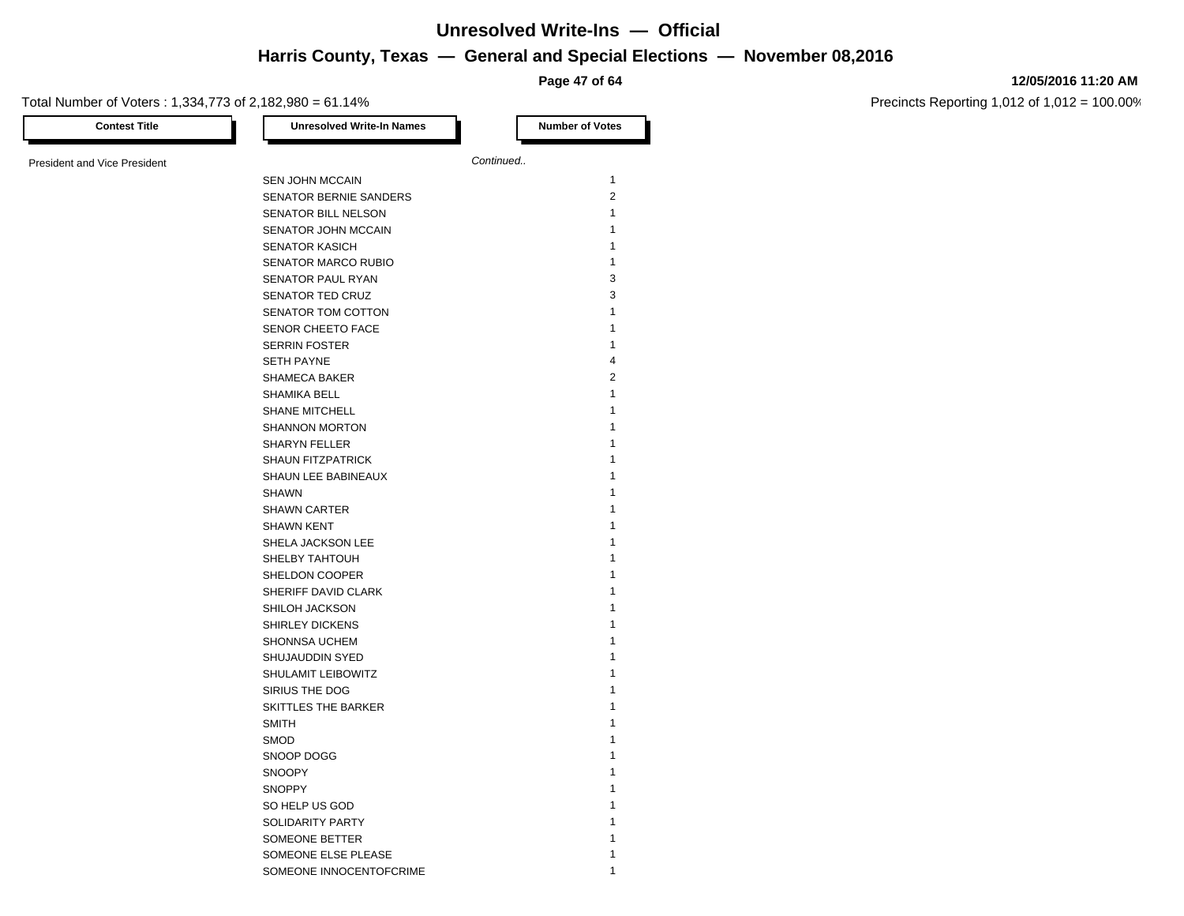**Page 47 of 64**

#### **12/05/2016 11:20 AM**

| <b>Contest Title</b>                | <b>Unresolved Write-In Names</b> | <b>Number of Votes</b>  |
|-------------------------------------|----------------------------------|-------------------------|
| <b>President and Vice President</b> |                                  | Continued               |
|                                     | SEN JOHN MCCAIN                  | $\mathbf{1}$            |
|                                     | SENATOR BERNIE SANDERS           | $\overline{2}$          |
|                                     | <b>SENATOR BILL NELSON</b>       | $\mathbf{1}$            |
|                                     | SENATOR JOHN MCCAIN              | 1                       |
|                                     | <b>SENATOR KASICH</b>            | 1                       |
|                                     | <b>SENATOR MARCO RUBIO</b>       | $\mathbf{1}$            |
|                                     | SENATOR PAUL RYAN                | 3                       |
|                                     | SENATOR TED CRUZ                 | 3                       |
|                                     | SENATOR TOM COTTON               | $\mathbf{1}$            |
|                                     | SENOR CHEETO FACE                | $\mathbf{1}$            |
|                                     | <b>SERRIN FOSTER</b>             | $\mathbf{1}$            |
|                                     | <b>SETH PAYNE</b>                | $\overline{\mathbf{4}}$ |
|                                     | SHAMECA BAKER                    | $\overline{2}$          |
|                                     | SHAMIKA BELL                     | 1                       |
|                                     | <b>SHANE MITCHELL</b>            | 1                       |
|                                     | <b>SHANNON MORTON</b>            | 1                       |
|                                     | <b>SHARYN FELLER</b>             | 1                       |
|                                     | <b>SHAUN FITZPATRICK</b>         | 1                       |
|                                     | SHAUN LEE BABINEAUX              | 1                       |
|                                     | <b>SHAWN</b>                     | 1                       |
|                                     | <b>SHAWN CARTER</b>              | 1                       |
|                                     | <b>SHAWN KENT</b>                | 1                       |
|                                     | SHELA JACKSON LEE                | 1                       |
|                                     | SHELBY TAHTOUH                   | 1                       |
|                                     | SHELDON COOPER                   | 1                       |
|                                     | SHERIFF DAVID CLARK              | 1                       |
|                                     | SHILOH JACKSON                   | 1                       |
|                                     | SHIRLEY DICKENS                  | 1                       |
|                                     | SHONNSA UCHEM                    | 1                       |
|                                     | SHUJAUDDIN SYED                  | 1                       |
|                                     | SHULAMIT LEIBOWITZ               | 1                       |
|                                     | SIRIUS THE DOG                   | 1                       |
|                                     | SKITTLES THE BARKER              | 1                       |
|                                     | <b>SMITH</b>                     | 1                       |
|                                     | <b>SMOD</b>                      | 1                       |
|                                     | SNOOP DOGG                       | 1                       |
|                                     | <b>SNOOPY</b>                    | 1                       |
|                                     | <b>SNOPPY</b>                    | 1                       |
|                                     |                                  | 1                       |
|                                     | SO HELP US GOD                   | 1                       |
|                                     | SOLIDARITY PARTY                 |                         |
|                                     | SOMEONE BETTER                   | 1                       |
|                                     | SOMEONE ELSE PLEASE              | 1                       |
|                                     | SOMEONE INNOCENTOFCRIME          |                         |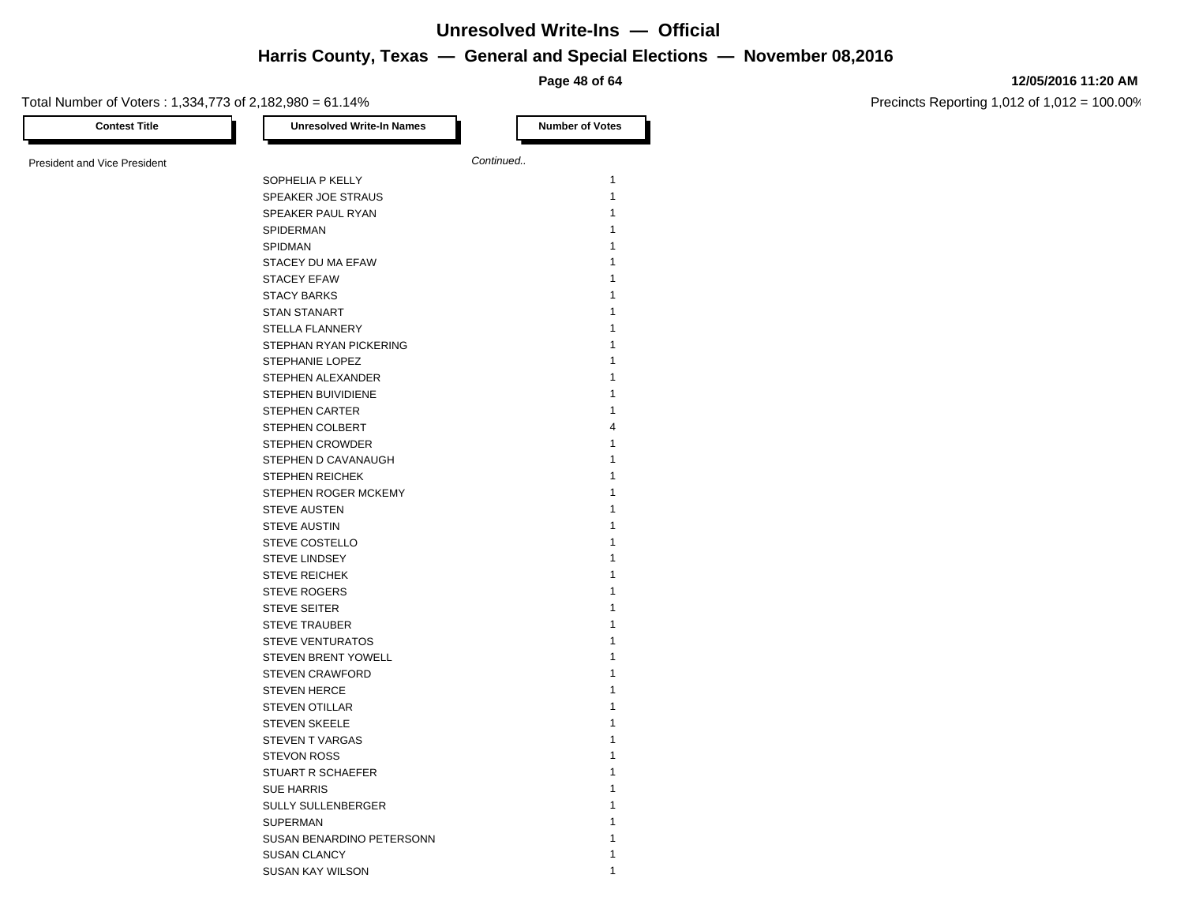#### **12/05/2016 11:20 AM**

Precincts Reporting 1,012 of 1,012 = 100.00%

**Page 48 of 64** Total Number of Voters : 1,334,773 of 2,182,980 = 61.14% **Contest Title Number of Votes Number of Votes Number of Votes** President and Vice President **Continued. Continued.** SOPHELIA P KELLY 1 SPEAKER JOE STRAUS 1 SPEAKER PAUL RYAN 1 SPIDERMAN 1 SPIDMAN 2008 and 2008 and 2008 and 2008 and 2008 and 2008 and 2008 and 2008 and 2008 and 2008 and 2008 and 200 STACEY DU MA EFAW 1 STACEY EFAW 1 STACY BARKS STAN STANART STELLA FLANNERY 1 STEPHAN RYAN PICKERING 1 STEPHANIE LOPEZ 1 STEPHEN ALEXANDER 1 STEPHEN BUIVIDIENE 1 STEPHEN CARTER 1 STEPHEN COLBERT 4 STEPHEN CROWDER 1 STEPHEN D CAVANAUGH 1 STEPHEN REICHEK 1 STEPHEN ROGER MCKEMY 1 STEVE AUSTEN 1 STEVE AUSTIN 1 STEVE COSTELLO 1 STEVE LINDSEY 1 STEVE REICHEK 1 STEVE ROGERS STEVE SEITER 1 STEVE TRAUBER 1 STEVE VENTURATOS **1** STEVEN BRENT YOWELL 1 STEVEN CRAWFORD 1 STEVEN HERCE 1 STEVEN OTILLAR 1 STEVEN SKEELE 1 STEVEN T VARGAS 1 STEVON ROSS 1 STUART R SCHAEFER 1 SUE HARRIS SULLY SULLENBERGER SUPERMAN 1 SUSAN BENARDINO PETERSONN 1

> SUSAN CLANCY 1 SUSAN KAY WILSON 1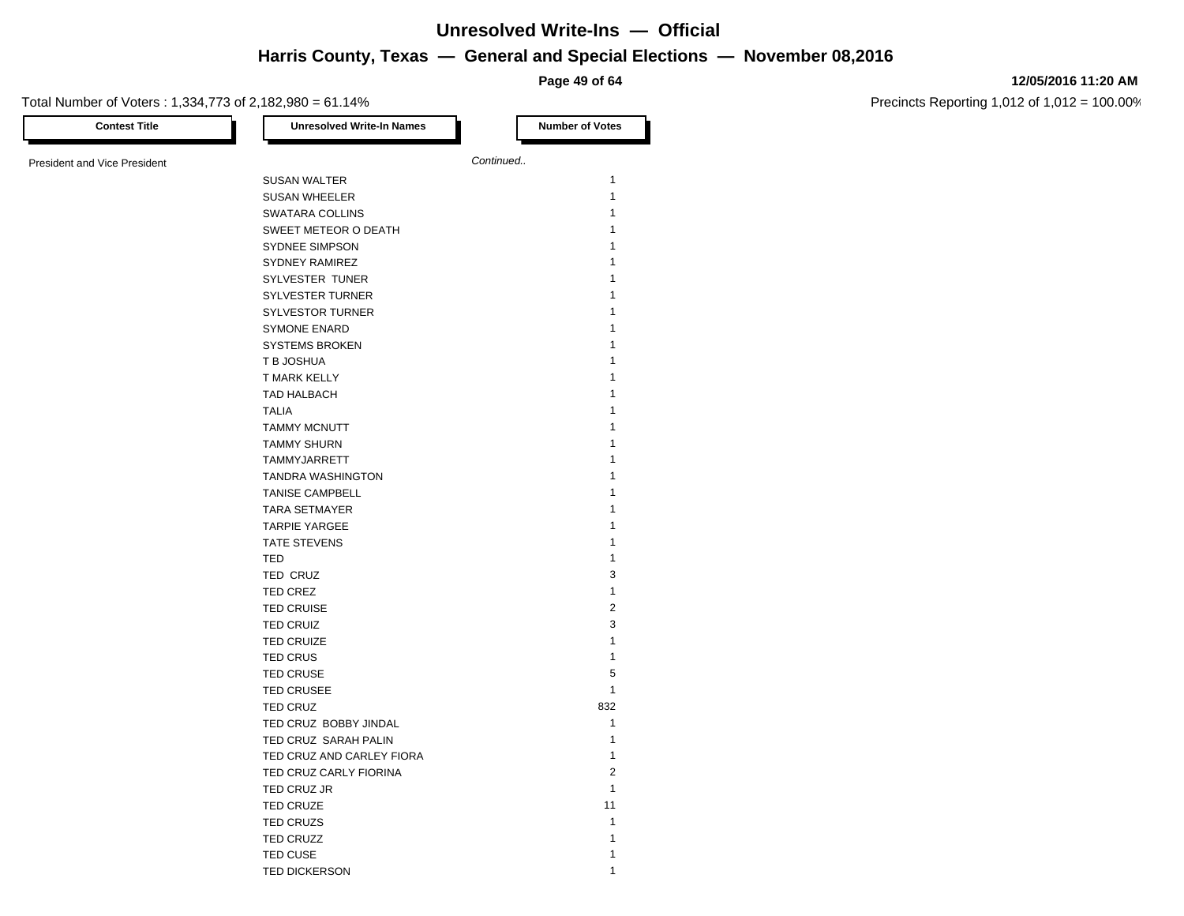**Page 49 of 64**

#### **12/05/2016 11:20 AM**

Precincts Reporting 1,012 of 1,012 = 100.00%

| Continued<br><b>SUSAN WALTER</b><br><b>SUSAN WHEELER</b><br>SWATARA COLLINS<br>SWEET METEOR O DEATH<br><b>SYDNEE SIMPSON</b><br>SYDNEY RAMIREZ<br>SYLVESTER TUNER<br><b>SYLVESTER TURNER</b><br><b>SYLVESTOR TURNER</b><br><b>SYMONE ENARD</b><br><b>SYSTEMS BROKEN</b><br>T B JOSHUA<br>T MARK KELLY<br>TAD HALBACH<br><b>TALIA</b><br><b>TAMMY MCNUTT</b><br><b>TAMMY SHURN</b><br>TAMMYJARRETT<br><b>TANDRA WASHINGTON</b><br><b>TANISE CAMPBELL</b><br><b>TARA SETMAYER</b><br><b>TARPIE YARGEE</b><br>TATE STEVENS<br>TED<br>TED CRUZ<br>TED CREZ<br><b>TED CRUISE</b><br><b>TED CRUIZ</b><br><b>TED CRUIZE</b><br><b>TED CRUS</b><br><b>TED CRUSE</b><br><b>TED CRUSEE</b><br>TED CRUZ<br>TED CRUZ BOBBY JINDAL<br>TED CRUZ SARAH PALIN<br>TED CRUZ AND CARLEY FIORA<br>TED CRUZ CARLY FIORINA<br>TED CRUZ JR<br>TED CRUZE<br>TED CRUZS<br><b>TED CRUZZ</b> | <b>Contest Title</b>         | <b>Unresolved Write-In Names</b> | <b>Number of Votes</b> |
|-------------------------------------------------------------------------------------------------------------------------------------------------------------------------------------------------------------------------------------------------------------------------------------------------------------------------------------------------------------------------------------------------------------------------------------------------------------------------------------------------------------------------------------------------------------------------------------------------------------------------------------------------------------------------------------------------------------------------------------------------------------------------------------------------------------------------------------------------------------------|------------------------------|----------------------------------|------------------------|
|                                                                                                                                                                                                                                                                                                                                                                                                                                                                                                                                                                                                                                                                                                                                                                                                                                                                   |                              |                                  |                        |
|                                                                                                                                                                                                                                                                                                                                                                                                                                                                                                                                                                                                                                                                                                                                                                                                                                                                   | President and Vice President |                                  |                        |
|                                                                                                                                                                                                                                                                                                                                                                                                                                                                                                                                                                                                                                                                                                                                                                                                                                                                   |                              |                                  | $\mathbf{1}$           |
|                                                                                                                                                                                                                                                                                                                                                                                                                                                                                                                                                                                                                                                                                                                                                                                                                                                                   |                              |                                  | 1                      |
|                                                                                                                                                                                                                                                                                                                                                                                                                                                                                                                                                                                                                                                                                                                                                                                                                                                                   |                              |                                  | 1                      |
|                                                                                                                                                                                                                                                                                                                                                                                                                                                                                                                                                                                                                                                                                                                                                                                                                                                                   |                              |                                  | 1                      |
|                                                                                                                                                                                                                                                                                                                                                                                                                                                                                                                                                                                                                                                                                                                                                                                                                                                                   |                              |                                  | 1                      |
|                                                                                                                                                                                                                                                                                                                                                                                                                                                                                                                                                                                                                                                                                                                                                                                                                                                                   |                              |                                  | 1                      |
|                                                                                                                                                                                                                                                                                                                                                                                                                                                                                                                                                                                                                                                                                                                                                                                                                                                                   |                              |                                  | 1                      |
|                                                                                                                                                                                                                                                                                                                                                                                                                                                                                                                                                                                                                                                                                                                                                                                                                                                                   |                              |                                  | 1                      |
|                                                                                                                                                                                                                                                                                                                                                                                                                                                                                                                                                                                                                                                                                                                                                                                                                                                                   |                              |                                  | 1                      |
|                                                                                                                                                                                                                                                                                                                                                                                                                                                                                                                                                                                                                                                                                                                                                                                                                                                                   |                              |                                  | 1                      |
|                                                                                                                                                                                                                                                                                                                                                                                                                                                                                                                                                                                                                                                                                                                                                                                                                                                                   |                              |                                  | 1                      |
|                                                                                                                                                                                                                                                                                                                                                                                                                                                                                                                                                                                                                                                                                                                                                                                                                                                                   |                              |                                  | 1                      |
|                                                                                                                                                                                                                                                                                                                                                                                                                                                                                                                                                                                                                                                                                                                                                                                                                                                                   |                              |                                  | 1                      |
|                                                                                                                                                                                                                                                                                                                                                                                                                                                                                                                                                                                                                                                                                                                                                                                                                                                                   |                              |                                  | 1                      |
|                                                                                                                                                                                                                                                                                                                                                                                                                                                                                                                                                                                                                                                                                                                                                                                                                                                                   |                              |                                  | 1                      |
|                                                                                                                                                                                                                                                                                                                                                                                                                                                                                                                                                                                                                                                                                                                                                                                                                                                                   |                              |                                  | 1                      |
|                                                                                                                                                                                                                                                                                                                                                                                                                                                                                                                                                                                                                                                                                                                                                                                                                                                                   |                              |                                  | 1                      |
|                                                                                                                                                                                                                                                                                                                                                                                                                                                                                                                                                                                                                                                                                                                                                                                                                                                                   |                              |                                  | 1                      |
|                                                                                                                                                                                                                                                                                                                                                                                                                                                                                                                                                                                                                                                                                                                                                                                                                                                                   |                              |                                  | 1                      |
|                                                                                                                                                                                                                                                                                                                                                                                                                                                                                                                                                                                                                                                                                                                                                                                                                                                                   |                              |                                  | 1                      |
|                                                                                                                                                                                                                                                                                                                                                                                                                                                                                                                                                                                                                                                                                                                                                                                                                                                                   |                              |                                  | 1                      |
|                                                                                                                                                                                                                                                                                                                                                                                                                                                                                                                                                                                                                                                                                                                                                                                                                                                                   |                              |                                  | 1                      |
|                                                                                                                                                                                                                                                                                                                                                                                                                                                                                                                                                                                                                                                                                                                                                                                                                                                                   |                              |                                  | 1                      |
|                                                                                                                                                                                                                                                                                                                                                                                                                                                                                                                                                                                                                                                                                                                                                                                                                                                                   |                              |                                  | 1                      |
|                                                                                                                                                                                                                                                                                                                                                                                                                                                                                                                                                                                                                                                                                                                                                                                                                                                                   |                              |                                  | 3                      |
|                                                                                                                                                                                                                                                                                                                                                                                                                                                                                                                                                                                                                                                                                                                                                                                                                                                                   |                              |                                  | $\mathbf{1}$           |
|                                                                                                                                                                                                                                                                                                                                                                                                                                                                                                                                                                                                                                                                                                                                                                                                                                                                   |                              |                                  | $\overline{2}$         |
|                                                                                                                                                                                                                                                                                                                                                                                                                                                                                                                                                                                                                                                                                                                                                                                                                                                                   |                              |                                  |                        |
|                                                                                                                                                                                                                                                                                                                                                                                                                                                                                                                                                                                                                                                                                                                                                                                                                                                                   |                              |                                  | 3                      |
|                                                                                                                                                                                                                                                                                                                                                                                                                                                                                                                                                                                                                                                                                                                                                                                                                                                                   |                              |                                  | $\mathbf{1}$           |
|                                                                                                                                                                                                                                                                                                                                                                                                                                                                                                                                                                                                                                                                                                                                                                                                                                                                   |                              |                                  | $\mathbf{1}$           |
|                                                                                                                                                                                                                                                                                                                                                                                                                                                                                                                                                                                                                                                                                                                                                                                                                                                                   |                              |                                  | 5                      |
|                                                                                                                                                                                                                                                                                                                                                                                                                                                                                                                                                                                                                                                                                                                                                                                                                                                                   |                              |                                  | $\mathbf{1}$           |
|                                                                                                                                                                                                                                                                                                                                                                                                                                                                                                                                                                                                                                                                                                                                                                                                                                                                   |                              |                                  | 832                    |
|                                                                                                                                                                                                                                                                                                                                                                                                                                                                                                                                                                                                                                                                                                                                                                                                                                                                   |                              |                                  | $\mathbf{1}$           |
|                                                                                                                                                                                                                                                                                                                                                                                                                                                                                                                                                                                                                                                                                                                                                                                                                                                                   |                              |                                  | $\mathbf{1}$           |
|                                                                                                                                                                                                                                                                                                                                                                                                                                                                                                                                                                                                                                                                                                                                                                                                                                                                   |                              |                                  | $\mathbf{1}$           |
|                                                                                                                                                                                                                                                                                                                                                                                                                                                                                                                                                                                                                                                                                                                                                                                                                                                                   |                              |                                  | $\overline{2}$         |
|                                                                                                                                                                                                                                                                                                                                                                                                                                                                                                                                                                                                                                                                                                                                                                                                                                                                   |                              |                                  | $\mathbf{1}$           |
|                                                                                                                                                                                                                                                                                                                                                                                                                                                                                                                                                                                                                                                                                                                                                                                                                                                                   |                              |                                  | 11                     |
|                                                                                                                                                                                                                                                                                                                                                                                                                                                                                                                                                                                                                                                                                                                                                                                                                                                                   |                              |                                  | $\mathbf{1}$           |
|                                                                                                                                                                                                                                                                                                                                                                                                                                                                                                                                                                                                                                                                                                                                                                                                                                                                   |                              |                                  | 1                      |
|                                                                                                                                                                                                                                                                                                                                                                                                                                                                                                                                                                                                                                                                                                                                                                                                                                                                   |                              | <b>TED CUSE</b>                  | $\mathbf{1}$           |

TED DICKERSON 1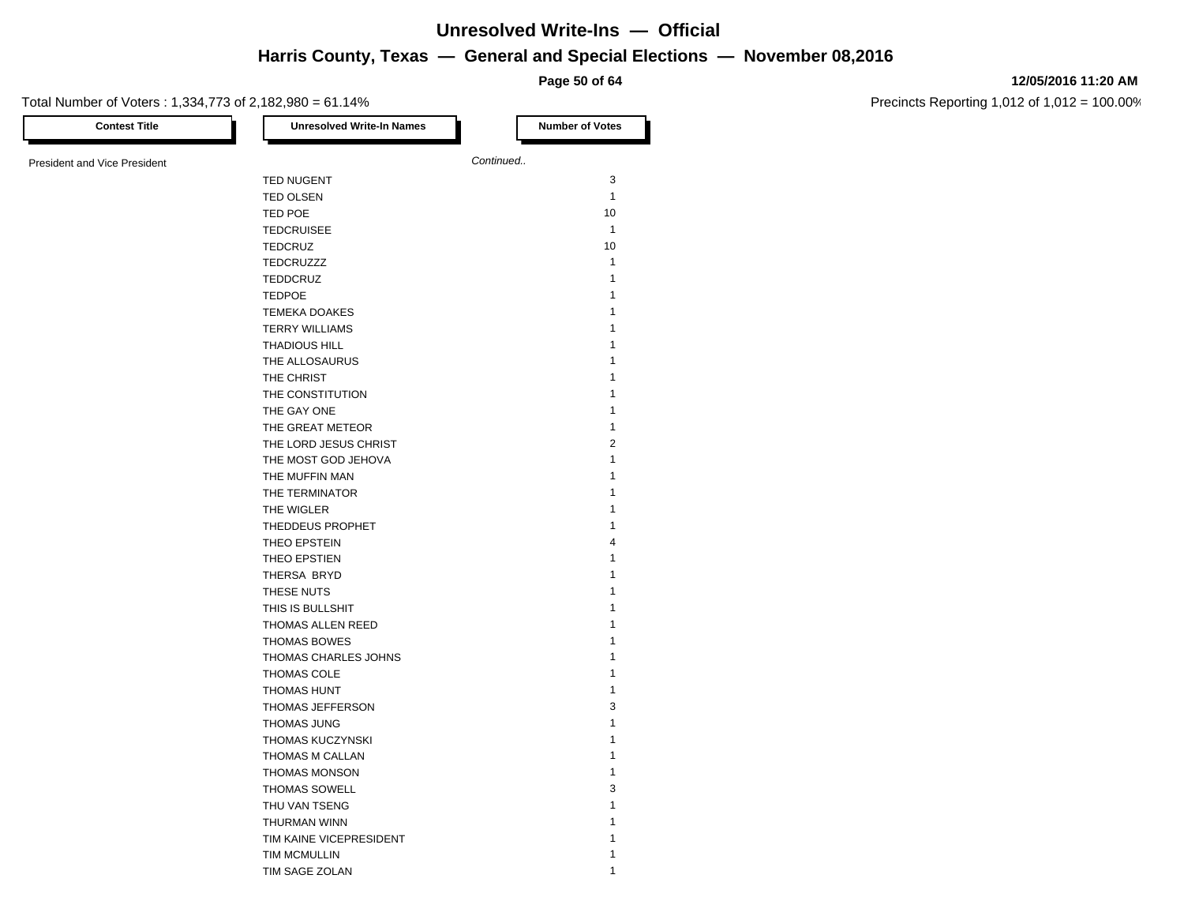**Page 50 of 64**

#### **12/05/2016 11:20 AM**

| <b>Contest Title</b>         | <b>Unresolved Write-In Names</b> | <b>Number of Votes</b> |
|------------------------------|----------------------------------|------------------------|
| President and Vice President |                                  | Continued              |
|                              | TED NUGENT                       | 3                      |
|                              | <b>TED OLSEN</b>                 | $\mathbf{1}$           |
|                              | TED POE                          | 10                     |
|                              | <b>TEDCRUISEE</b>                | $\mathbf{1}$           |
|                              | <b>TEDCRUZ</b>                   | 10                     |
|                              | TEDCRUZZZ                        | $\mathbf{1}$           |
|                              | TEDDCRUZ                         | $\mathbf{1}$           |
|                              | <b>TEDPOE</b>                    | 1                      |
|                              | <b>TEMEKA DOAKES</b>             | 1                      |
|                              | <b>TERRY WILLIAMS</b>            | 1                      |
|                              | THADIOUS HILL                    | 1                      |
|                              | THE ALLOSAURUS                   | 1                      |
|                              | THE CHRIST                       | 1                      |
|                              | THE CONSTITUTION                 | 1                      |
|                              | THE GAY ONE                      | 1                      |
|                              | THE GREAT METEOR                 | $\mathbf{1}$           |
|                              | THE LORD JESUS CHRIST            | $\overline{2}$         |
|                              |                                  | $\mathbf{1}$           |
|                              | THE MOST GOD JEHOVA              | 1                      |
|                              | THE MUFFIN MAN                   | 1                      |
|                              | THE TERMINATOR                   | 1                      |
|                              | THE WIGLER                       |                        |
|                              | THEDDEUS PROPHET                 | 1                      |
|                              | THEO EPSTEIN                     | $\overline{4}$         |
|                              | THEO EPSTIEN                     | 1                      |
|                              | THERSA BRYD                      | 1                      |
|                              | THESE NUTS                       | 1                      |
|                              | THIS IS BULLSHIT                 | 1                      |
|                              | THOMAS ALLEN REED                | 1                      |
|                              | <b>THOMAS BOWES</b>              | 1                      |
|                              | THOMAS CHARLES JOHNS             | 1                      |
|                              | THOMAS COLE                      | 1                      |
|                              | THOMAS HUNT                      | $\mathbf{1}$           |
|                              | THOMAS JEFFERSON                 | 3                      |
|                              | <b>THOMAS JUNG</b>               | 1                      |
|                              | THOMAS KUCZYNSKI                 | 1                      |
|                              | THOMAS M CALLAN                  | 1                      |
|                              | <b>THOMAS MONSON</b>             | 1                      |
|                              | <b>THOMAS SOWELL</b>             | 3                      |
|                              | THU VAN TSENG                    | 1                      |
|                              | THURMAN WINN                     | 1                      |
|                              | TIM KAINE VICEPRESIDENT          |                        |
|                              | <b>TIM MCMULLIN</b>              | 1                      |
|                              | TIM SAGE ZOLAN                   | 1                      |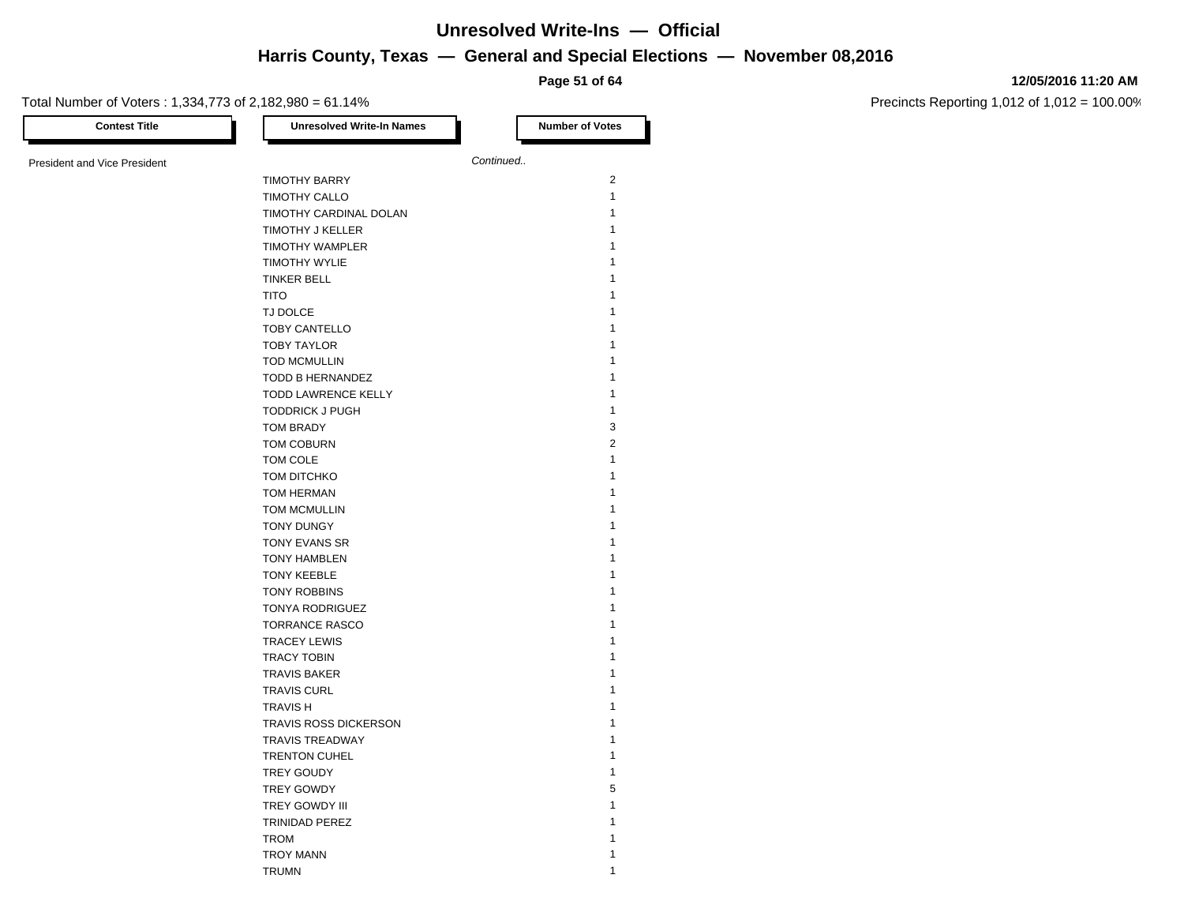**Page 51 of 64**

#### **12/05/2016 11:20 AM**

| <b>Contest Title</b>         | <b>Unresolved Write-In Names</b> | <b>Number of Votes</b> |
|------------------------------|----------------------------------|------------------------|
|                              |                                  | Continued              |
| President and Vice President |                                  |                        |
|                              | <b>TIMOTHY BARRY</b>             | $\overline{2}$         |
|                              | TIMOTHY CALLO                    | $\mathbf{1}$           |
|                              | TIMOTHY CARDINAL DOLAN           | $\mathbf{1}$           |
|                              | TIMOTHY J KELLER                 | 1                      |
|                              | TIMOTHY WAMPLER                  | 1                      |
|                              | <b>TIMOTHY WYLIE</b>             | 1                      |
|                              | <b>TINKER BELL</b>               | 1                      |
|                              | <b>TITO</b>                      | 1                      |
|                              | TJ DOLCE                         | 1                      |
|                              | TOBY CANTELLO                    | 1                      |
|                              | <b>TOBY TAYLOR</b>               | 1                      |
|                              | <b>TOD MCMULLIN</b>              | 1                      |
|                              | TODD B HERNANDEZ                 | 1                      |
|                              | TODD LAWRENCE KELLY              | 1                      |
|                              | <b>TODDRICK J PUGH</b>           | $\mathbf{1}$           |
|                              | <b>TOM BRADY</b>                 | 3                      |
|                              | TOM COBURN                       | $\overline{2}$         |
|                              | TOM COLE                         | $\mathbf{1}$           |
|                              |                                  | 1                      |
|                              | TOM DITCHKO                      |                        |
|                              | TOM HERMAN                       | 1                      |
|                              | <b>TOM MCMULLIN</b>              | 1                      |
|                              | <b>TONY DUNGY</b>                | 1                      |
|                              | TONY EVANS SR                    | 1                      |
|                              | <b>TONY HAMBLEN</b>              | 1                      |
|                              | <b>TONY KEEBLE</b>               | 1                      |
|                              | <b>TONY ROBBINS</b>              | 1                      |
|                              | <b>TONYA RODRIGUEZ</b>           | 1                      |
|                              | <b>TORRANCE RASCO</b>            | $\mathbf{1}$           |
|                              | <b>TRACEY LEWIS</b>              | 1                      |
|                              | <b>TRACY TOBIN</b>               | 1                      |
|                              | <b>TRAVIS BAKER</b>              | 1                      |
|                              | <b>TRAVIS CURL</b>               | 1                      |
|                              | <b>TRAVISH</b>                   | 1                      |
|                              | TRAVIS ROSS DICKERSON            | 1                      |
|                              | <b>TRAVIS TREADWAY</b>           | $\mathbf{1}$           |
|                              | TRENTON CUHEL                    | $\mathbf{1}$           |
|                              | TREY GOUDY                       | 1                      |
|                              | TREY GOWDY                       | 5                      |
|                              | TREY GOWDY III                   | 1                      |
|                              |                                  | 1                      |
|                              | <b>TRINIDAD PEREZ</b>            | 1                      |
|                              | <b>TROM</b>                      |                        |
|                              | <b>TROY MANN</b>                 | 1                      |
|                              | <b>TRUMN</b>                     | 1                      |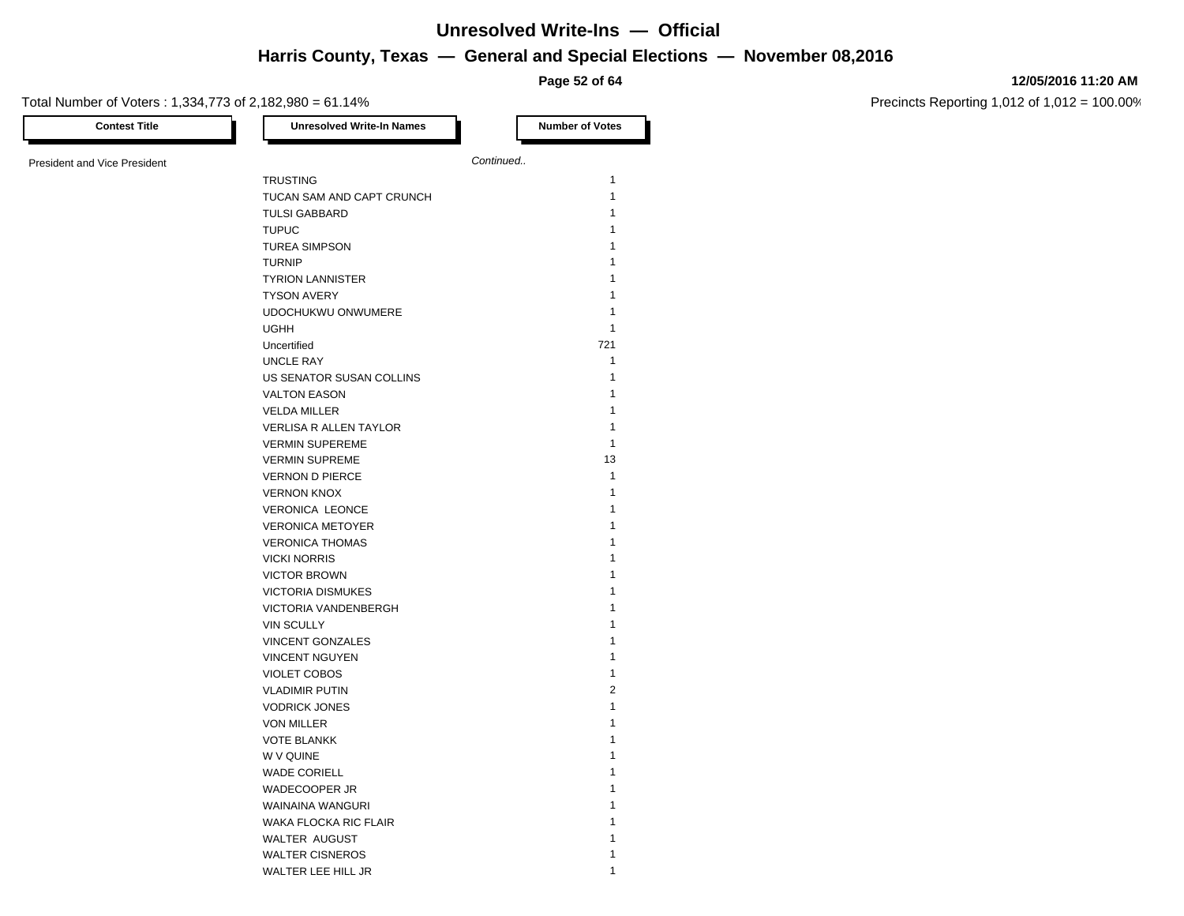**Page 52 of 64**

#### **12/05/2016 11:20 AM**

| <b>Contest Title</b>                | <b>Unresolved Write-In Names</b> | <b>Number of Votes</b> |
|-------------------------------------|----------------------------------|------------------------|
| <b>President and Vice President</b> |                                  | Continued              |
|                                     | <b>TRUSTING</b>                  | 1                      |
|                                     | TUCAN SAM AND CAPT CRUNCH        | $\mathbf{1}$           |
|                                     | <b>TULSI GABBARD</b>             | 1                      |
|                                     | <b>TUPUC</b>                     | 1                      |
|                                     | <b>TUREA SIMPSON</b>             | 1                      |
|                                     | <b>TURNIP</b>                    | 1                      |
|                                     | <b>TYRION LANNISTER</b>          | 1                      |
|                                     | <b>TYSON AVERY</b>               | 1                      |
|                                     | UDOCHUKWU ONWUMERE               | $\mathbf{1}$           |
|                                     | <b>UGHH</b>                      | $\mathbf{1}$           |
|                                     | Uncertified                      | 721                    |
|                                     | <b>UNCLE RAY</b>                 | $\mathbf{1}$           |
|                                     | US SENATOR SUSAN COLLINS         | $\mathbf{1}$           |
|                                     | <b>VALTON EASON</b>              | 1                      |
|                                     | <b>VELDA MILLER</b>              | $\mathbf{1}$           |
|                                     | VERLISA R ALLEN TAYLOR           | $\mathbf{1}$           |
|                                     | <b>VERMIN SUPEREME</b>           | $\mathbf{1}$           |
|                                     | <b>VERMIN SUPREME</b>            | 13                     |
|                                     | <b>VERNON D PIERCE</b>           | $\mathbf{1}$           |
|                                     | <b>VERNON KNOX</b>               | 1                      |
|                                     | <b>VERONICA LEONCE</b>           | 1                      |
|                                     | <b>VERONICA METOYER</b>          | 1                      |
|                                     | <b>VERONICA THOMAS</b>           | 1                      |
|                                     | <b>VICKI NORRIS</b>              | 1                      |
|                                     | <b>VICTOR BROWN</b>              | 1                      |
|                                     | <b>VICTORIA DISMUKES</b>         | 1                      |
|                                     | VICTORIA VANDENBERGH             | 1                      |
|                                     | <b>VIN SCULLY</b>                | 1                      |
|                                     | <b>VINCENT GONZALES</b>          | 1                      |
|                                     | <b>VINCENT NGUYEN</b>            | 1                      |
|                                     | <b>VIOLET COBOS</b>              | 1                      |
|                                     | <b>VLADIMIR PUTIN</b>            | $\overline{2}$         |
|                                     | <b>VODRICK JONES</b>             | $\mathbf{1}$           |
|                                     | <b>VON MILLER</b>                | $\mathbf{1}$           |
|                                     | <b>VOTE BLANKK</b>               | 1                      |
|                                     | W V QUINE                        | 1                      |
|                                     | <b>WADE CORIELL</b>              | 1                      |
|                                     | WADECOOPER JR                    | 1                      |
|                                     | WAINAINA WANGURI                 | 1                      |
|                                     | WAKA FLOCKA RIC FLAIR            | 1                      |
|                                     | WALTER AUGUST                    | 1                      |
|                                     | <b>WALTER CISNEROS</b>           | 1                      |
|                                     | WALTER LEE HILL JR               | 1                      |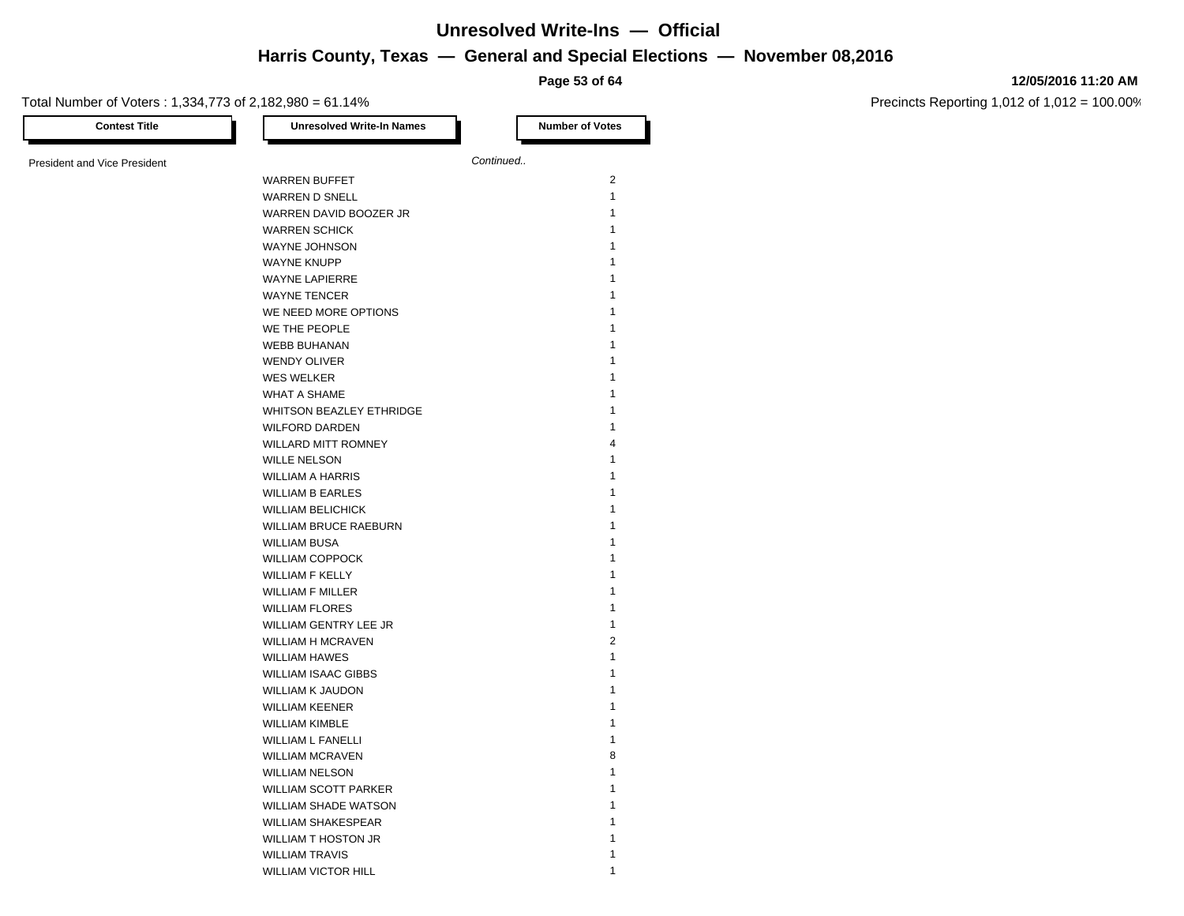**Page 53 of 64**

#### **12/05/2016 11:20 AM**

| <b>Contest Title</b>                | <b>Unresolved Write-In Names</b> | <b>Number of Votes</b> |
|-------------------------------------|----------------------------------|------------------------|
| <b>President and Vice President</b> |                                  | Continued              |
|                                     | <b>WARREN BUFFET</b>             | $\overline{2}$         |
|                                     | <b>WARREN D SNELL</b>            | $\mathbf{1}$           |
|                                     | WARREN DAVID BOOZER JR           | 1                      |
|                                     | <b>WARREN SCHICK</b>             | 1                      |
|                                     | WAYNE JOHNSON                    | 1                      |
|                                     | <b>WAYNE KNUPP</b>               | 1                      |
|                                     | <b>WAYNE LAPIERRE</b>            | 1                      |
|                                     | <b>WAYNE TENCER</b>              | 1                      |
|                                     | WE NEED MORE OPTIONS             | 1                      |
|                                     | WE THE PEOPLE                    | 1                      |
|                                     | <b>WEBB BUHANAN</b>              | 1                      |
|                                     | WENDY OLIVER                     | 1                      |
|                                     | <b>WES WELKER</b>                | 1                      |
|                                     |                                  | 1                      |
|                                     | <b>WHAT A SHAME</b>              | 1                      |
|                                     | WHITSON BEAZLEY ETHRIDGE         |                        |
|                                     | <b>WILFORD DARDEN</b>            | 1<br>4                 |
|                                     | <b>WILLARD MITT ROMNEY</b>       |                        |
|                                     | <b>WILLE NELSON</b>              | 1                      |
|                                     | <b>WILLIAM A HARRIS</b>          | 1                      |
|                                     | <b>WILLIAM B EARLES</b>          | 1                      |
|                                     | <b>WILLIAM BELICHICK</b>         | 1                      |
|                                     | WILLIAM BRUCE RAEBURN            | 1                      |
|                                     | <b>WILLIAM BUSA</b>              | 1                      |
|                                     | <b>WILLIAM COPPOCK</b>           | 1                      |
|                                     | <b>WILLIAM F KELLY</b>           | 1                      |
|                                     | <b>WILLIAM F MILLER</b>          | 1                      |
|                                     | <b>WILLIAM FLORES</b>            | 1                      |
|                                     | WILLIAM GENTRY LEE JR            | 1                      |
|                                     | <b>WILLIAM H MCRAVEN</b>         | $\overline{2}$         |
|                                     | <b>WILLIAM HAWES</b>             | 1                      |
|                                     | <b>WILLIAM ISAAC GIBBS</b>       | 1                      |
|                                     | <b>WILLIAM K JAUDON</b>          | 1                      |
|                                     | <b>WILLIAM KEENER</b>            | 1                      |
|                                     | <b>WILLIAM KIMBLE</b>            | 1                      |
|                                     | <b>WILLIAM L FANELLI</b>         | $\mathbf{1}$           |
|                                     | <b>WILLIAM MCRAVEN</b>           | 8                      |
|                                     | <b>WILLIAM NELSON</b>            | 1                      |
|                                     | <b>WILLIAM SCOTT PARKER</b>      | 1                      |
|                                     | <b>WILLIAM SHADE WATSON</b>      | 1                      |
|                                     | <b>WILLIAM SHAKESPEAR</b>        | 1                      |
|                                     | <b>WILLIAM T HOSTON JR</b>       | 1                      |
|                                     | <b>WILLIAM TRAVIS</b>            | 1                      |
|                                     | <b>WILLIAM VICTOR HILL</b>       | 1                      |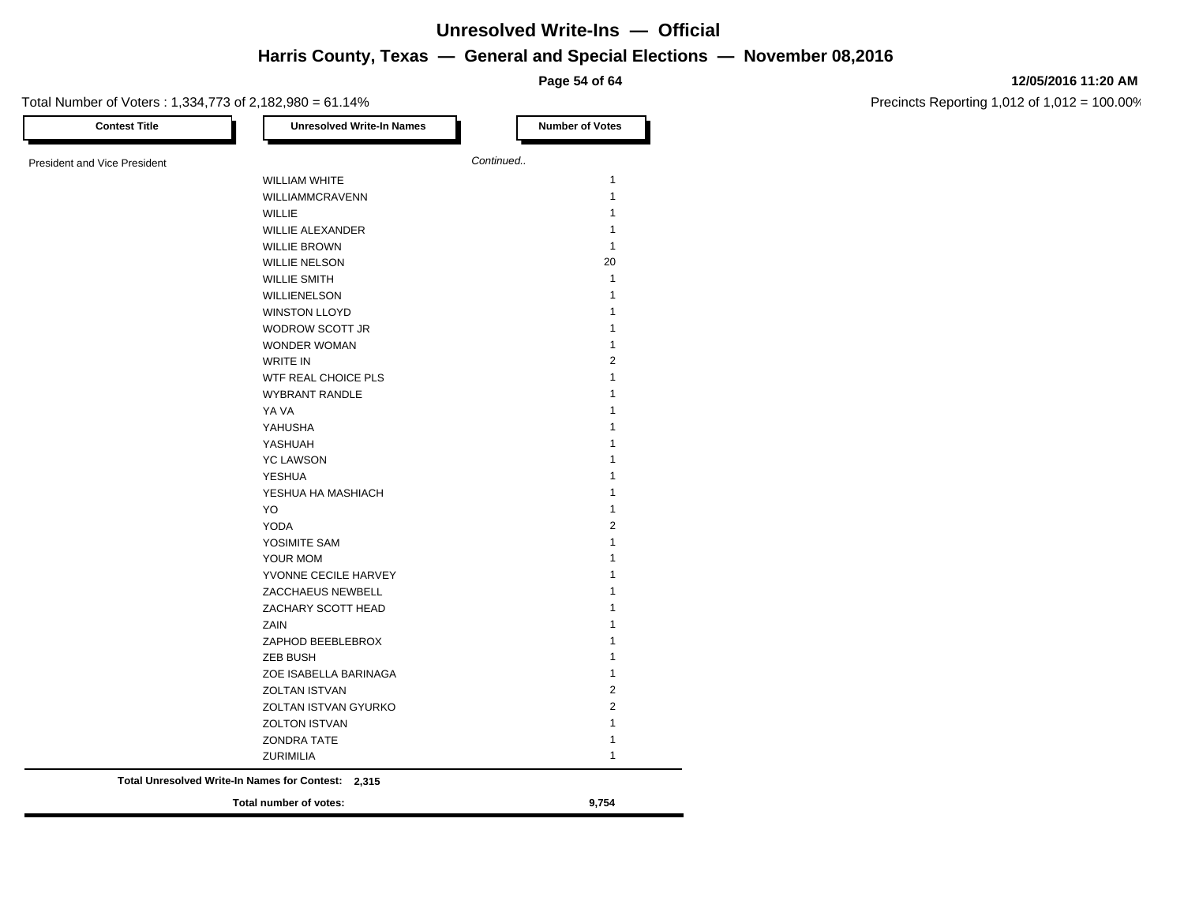**Page 54 of 64**

### Total Number of Voters : 1,334,773 of 2,182,980 = 61.14% **Contest Title Number of Votes Number of Votes** President and Vice President **Continued.** WILLIAM WHITE 1 WILLIAMMCRAVENN 1 will be a set of the contract of the contract of the contract of the contract of the contract of the contract of the contract of the contract of the contract of the contract of the contract of the contract of the contract WILLIE ALEXANDER 1 WILLIE BROWN 1 WILLIE NELSON 20 WILLIE SMITH 1 WILLIENELSON 1 WINSTON LLOYD 1 WODROW SCOTT JR 1 WONDER WOMAN

| WONDER WOMAN          | п.             |
|-----------------------|----------------|
| <b>WRITE IN</b>       | 2              |
| WTF REAL CHOICE PLS   |                |
| <b>WYBRANT RANDLE</b> |                |
| YA VA                 |                |
| YAHUSHA               |                |
| YASHUAH               |                |
| <b>YC LAWSON</b>      |                |
| <b>YESHUA</b>         |                |
| YESHUA HA MASHIACH    |                |
| YO.                   |                |
| <b>YODA</b>           | $\overline{2}$ |
| YOSIMITE SAM          |                |
| YOUR MOM              |                |
| YVONNE CECILE HARVEY  |                |
| ZACCHAEUS NEWBELL     |                |
| ZACHARY SCOTT HEAD    |                |
| ZAIN                  |                |
| ZAPHOD BEEBLEBROX     |                |
| <b>ZEB BUSH</b>       |                |
| ZOE ISABELLA BARINAGA |                |
| <b>ZOLTAN ISTVAN</b>  | 2              |
| ZOLTAN ISTVAN GYURKO  | 2              |
| <b>ZOLTON ISTVAN</b>  |                |
| <b>ZONDRA TATE</b>    |                |
| <b>ZURIMILIA</b>      |                |
|                       |                |

**Total Unresolved Write-In Names for Contest: 2,315**

**Total number of votes: 9,754**

#### **12/05/2016 11:20 AM**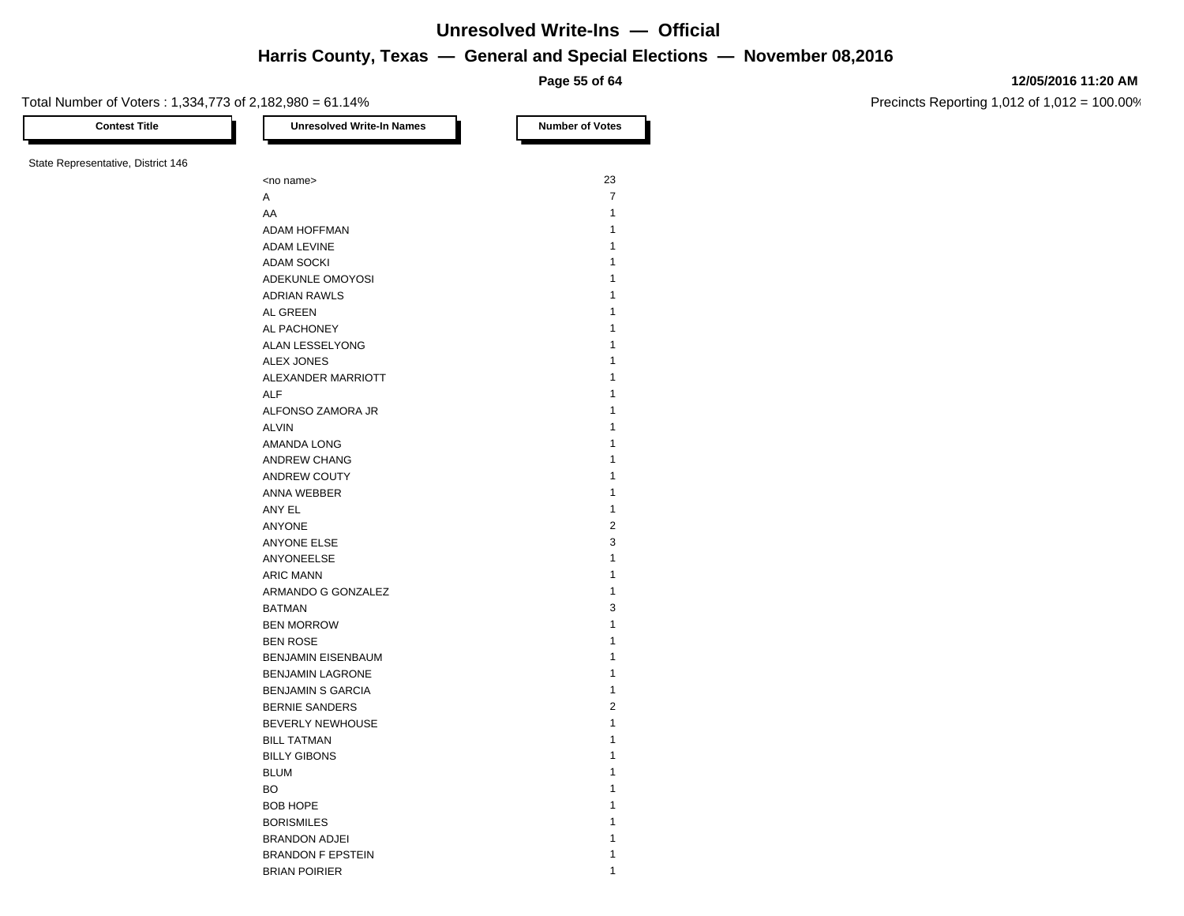**Page 55 of 64**

#### **12/05/2016 11:20 AM**

Precincts Reporting 1,012 of 1,012 = 100.00%

Total Number of Voters : 1,334,773 of 2,182,980 = 61.14%

| <b>Contest Title</b>               | <b>Unresolved Write-In Names</b> | <b>Number of Votes</b> |
|------------------------------------|----------------------------------|------------------------|
| State Representative, District 146 |                                  |                        |
|                                    | <no name=""></no>                | 23                     |
|                                    | Α                                | $\overline{7}$         |
|                                    | AA                               | $\mathbf{1}$           |
|                                    | <b>ADAM HOFFMAN</b>              | $\mathbf{1}$           |
|                                    | <b>ADAM LEVINE</b>               | $\mathbf{1}$           |
|                                    | <b>ADAM SOCKI</b>                | 1                      |
|                                    | ADEKUNLE OMOYOSI                 | 1                      |
|                                    | <b>ADRIAN RAWLS</b>              | 1                      |
|                                    | AL GREEN                         | 1                      |
|                                    | AL PACHONEY                      | $\mathbf{1}$           |
|                                    | ALAN LESSELYONG                  | 1                      |
|                                    | ALEX JONES                       | 1                      |
|                                    | ALEXANDER MARRIOTT               | 1                      |
|                                    | <b>ALF</b>                       | 1                      |
|                                    |                                  | $\mathbf{1}$           |
|                                    | ALFONSO ZAMORA JR                |                        |
|                                    | <b>ALVIN</b>                     | 1                      |
|                                    | AMANDA LONG                      | 1                      |
|                                    | ANDREW CHANG                     | $\mathbf{1}$           |
|                                    | ANDREW COUTY                     | 1                      |
|                                    | ANNA WEBBER                      | 1                      |
|                                    | ANY EL                           | $\mathbf{1}$           |
|                                    | ANYONE                           | $\boldsymbol{2}$       |
|                                    | ANYONE ELSE                      | 3                      |
|                                    | ANYONEELSE                       | 1                      |
|                                    | <b>ARIC MANN</b>                 | $\mathbf{1}$           |
|                                    | ARMANDO G GONZALEZ               | 1                      |
|                                    | <b>BATMAN</b>                    | 3                      |
|                                    | <b>BEN MORROW</b>                | $\mathbf{1}$           |
|                                    | <b>BEN ROSE</b>                  | $\mathbf{1}$           |
|                                    | BENJAMIN EISENBAUM               | 1                      |
|                                    | <b>BENJAMIN LAGRONE</b>          | 1                      |
|                                    | <b>BENJAMIN S GARCIA</b>         | 1                      |
|                                    | <b>BERNIE SANDERS</b>            | $\overline{2}$         |
|                                    | BEVERLY NEWHOUSE                 | $\mathbf{1}$           |
|                                    | <b>BILL TATMAN</b>               | $\mathbf{1}$           |
|                                    | <b>BILLY GIBONS</b>              | 1                      |
|                                    | <b>BLUM</b>                      | 1                      |
|                                    | <b>BO</b>                        | 1                      |
|                                    | <b>BOB HOPE</b>                  | 1                      |
|                                    | <b>BORISMILES</b>                | 1                      |
|                                    | BRANDON ADJEI                    | 1                      |
|                                    | <b>BRANDON F EPSTEIN</b>         | 1                      |
|                                    | <b>BRIAN POIRIER</b>             | 1                      |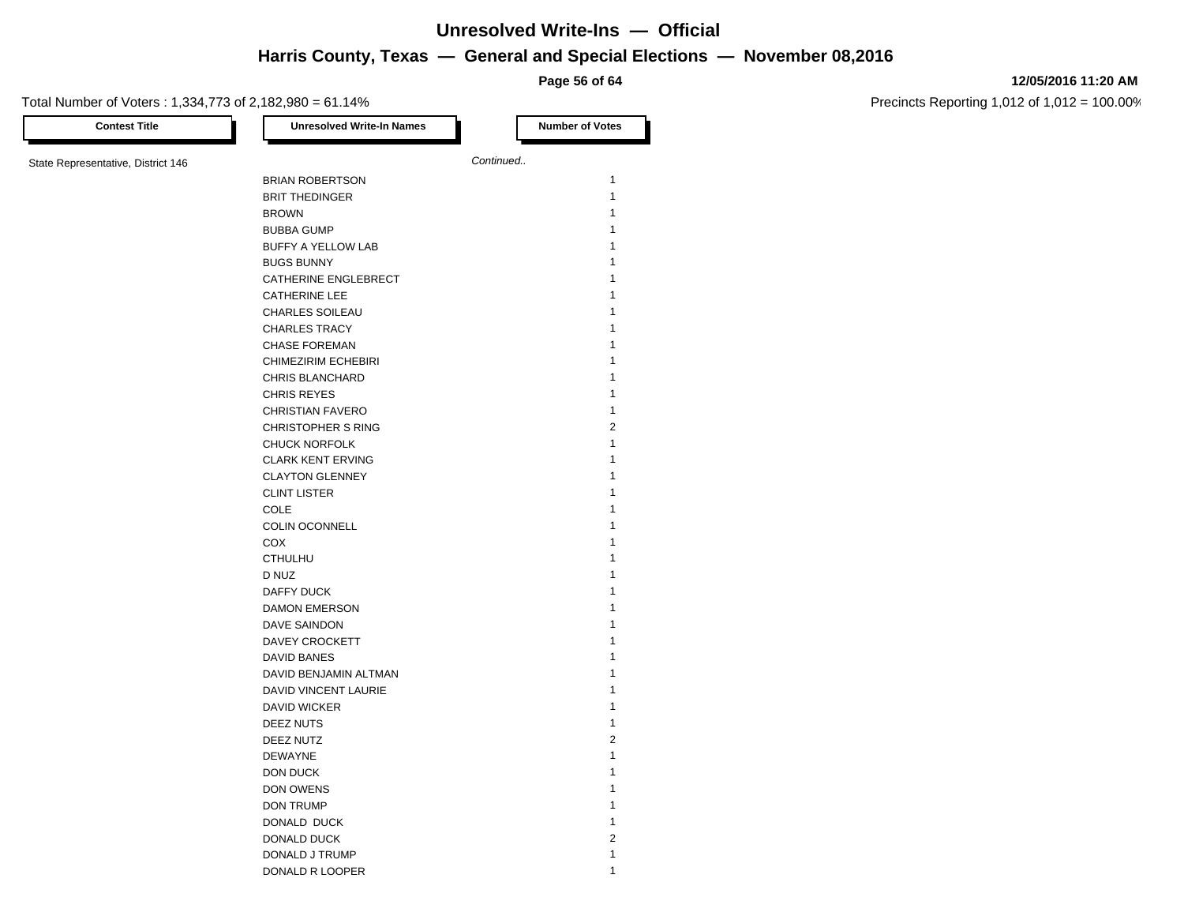**Page 56 of 64**

#### **12/05/2016 11:20 AM**

| <b>Contest Title</b>               | <b>Unresolved Write-In Names</b> |           | <b>Number of Votes</b> |
|------------------------------------|----------------------------------|-----------|------------------------|
| State Representative, District 146 |                                  | Continued |                        |
|                                    | <b>BRIAN ROBERTSON</b>           |           | $\mathbf{1}$           |
|                                    |                                  |           | $\mathbf{1}$           |
|                                    | <b>BRIT THEDINGER</b>            |           |                        |
|                                    | <b>BROWN</b>                     |           | 1                      |
|                                    | <b>BUBBA GUMP</b>                |           | 1                      |
|                                    | BUFFY A YELLOW LAB               |           | 1                      |
|                                    | <b>BUGS BUNNY</b>                |           | 1                      |
|                                    | CATHERINE ENGLEBRECT             |           | 1                      |
|                                    | <b>CATHERINE LEE</b>             |           | 1                      |
|                                    | <b>CHARLES SOILEAU</b>           |           | 1                      |
|                                    | <b>CHARLES TRACY</b>             |           | 1                      |
|                                    | <b>CHASE FOREMAN</b>             |           | 1                      |
|                                    | CHIMEZIRIM ECHEBIRI              |           | 1                      |
|                                    | <b>CHRIS BLANCHARD</b>           |           | 1                      |
|                                    | <b>CHRIS REYES</b>               |           | $\mathbf{1}$           |
|                                    | <b>CHRISTIAN FAVERO</b>          |           | $\mathbf{1}$           |
|                                    | <b>CHRISTOPHER S RING</b>        |           | $\overline{2}$         |
|                                    | <b>CHUCK NORFOLK</b>             |           | 1                      |
|                                    | <b>CLARK KENT ERVING</b>         |           | 1                      |
|                                    | <b>CLAYTON GLENNEY</b>           |           | 1                      |
|                                    | <b>CLINT LISTER</b>              |           | 1                      |
|                                    | <b>COLE</b>                      |           | $\mathbf{1}$           |
|                                    | COLIN OCONNELL                   |           | 1                      |
|                                    |                                  |           | 1                      |
|                                    | COX                              |           |                        |
|                                    | <b>CTHULHU</b>                   |           | 1                      |
|                                    | D NUZ                            |           | 1                      |
|                                    | DAFFY DUCK                       |           | 1                      |
|                                    | <b>DAMON EMERSON</b>             |           | 1                      |
|                                    | DAVE SAINDON                     |           | 1                      |
|                                    | DAVEY CROCKETT                   |           | 1                      |
|                                    | DAVID BANES                      |           | 1                      |
|                                    | DAVID BENJAMIN ALTMAN            |           | 1                      |
|                                    | DAVID VINCENT LAURIE             |           | 1                      |
|                                    | DAVID WICKER                     |           | $\mathbf{1}$           |
|                                    | DEEZ NUTS                        |           | $\mathbf{1}$           |
|                                    | DEEZ NUTZ                        |           | $\overline{2}$         |
|                                    | <b>DEWAYNE</b>                   |           | 1                      |
|                                    | DON DUCK                         |           | 1                      |
|                                    | DON OWENS                        |           | 1                      |
|                                    | DON TRUMP                        |           | 1                      |
|                                    | DONALD DUCK                      |           | 1                      |
|                                    | DONALD DUCK                      |           | $\overline{2}$         |
|                                    | DONALD J TRUMP                   |           | 1                      |
|                                    |                                  |           | 1                      |
|                                    | DONALD R LOOPER                  |           |                        |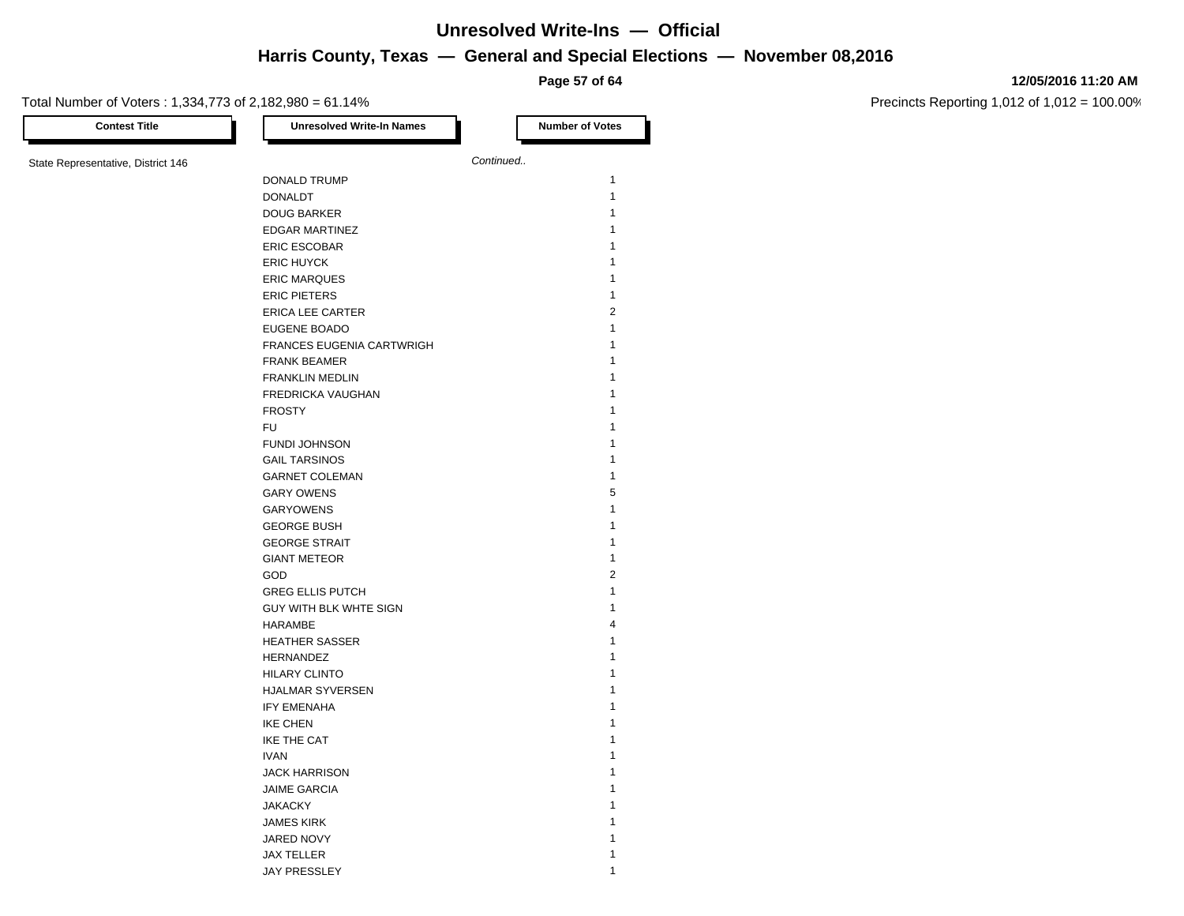**Page 57 of 64**

Precincts Reporting 1,012 of 1,012 = 100.00%

**12/05/2016 11:20 AM**

| <b>Contest Title</b>               | <b>Unresolved Write-In Names</b> |           | <b>Number of Votes</b> |
|------------------------------------|----------------------------------|-----------|------------------------|
| State Representative, District 146 |                                  | Continued |                        |
|                                    | DONALD TRUMP                     |           | $\mathbf{1}$           |
|                                    | <b>DONALDT</b>                   |           | $\mathbf{1}$           |
|                                    | <b>DOUG BARKER</b>               |           | 1                      |
|                                    | <b>EDGAR MARTINEZ</b>            |           | 1                      |
|                                    | <b>ERIC ESCOBAR</b>              |           | 1                      |
|                                    | <b>ERIC HUYCK</b>                |           | 1                      |
|                                    | <b>ERIC MARQUES</b>              |           | 1                      |
|                                    | <b>ERIC PIETERS</b>              |           | 1                      |
|                                    | <b>ERICA LEE CARTER</b>          |           | $\overline{2}$         |
|                                    | EUGENE BOADO                     |           | 1                      |
|                                    | FRANCES EUGENIA CARTWRIGH        |           | 1                      |
|                                    | <b>FRANK BEAMER</b>              |           | 1                      |
|                                    | <b>FRANKLIN MEDLIN</b>           |           | 1                      |
|                                    | FREDRICKA VAUGHAN                |           | 1                      |
|                                    | <b>FROSTY</b>                    |           | 1                      |
|                                    | <b>FU</b>                        |           | 1                      |
|                                    | <b>FUNDI JOHNSON</b>             |           | 1                      |
|                                    | <b>GAIL TARSINOS</b>             |           | 1                      |
|                                    | <b>GARNET COLEMAN</b>            |           | 1                      |
|                                    | <b>GARY OWENS</b>                |           | 5                      |
|                                    | <b>GARYOWENS</b>                 |           | 1                      |
|                                    | <b>GEORGE BUSH</b>               |           | 1                      |
|                                    | <b>GEORGE STRAIT</b>             |           | 1                      |
|                                    | <b>GIANT METEOR</b>              |           | $\mathbf{1}$           |
|                                    | GOD                              |           | $\overline{2}$         |
|                                    | <b>GREG ELLIS PUTCH</b>          |           | $\mathbf{1}$           |
|                                    | GUY WITH BLK WHTE SIGN           |           | 1                      |
|                                    | <b>HARAMBE</b>                   |           | 4                      |
|                                    | <b>HEATHER SASSER</b>            |           | 1                      |
|                                    | HERNANDEZ                        |           | 1                      |
|                                    | <b>HILARY CLINTO</b>             |           | 1                      |
|                                    | HJALMAR SYVERSEN                 |           | 1                      |
|                                    | <b>IFY EMENAHA</b>               |           | 1                      |
|                                    | <b>IKE CHEN</b>                  |           | 1                      |
|                                    | <b>IKE THE CAT</b>               |           | 1                      |
|                                    | <b>IVAN</b>                      |           | 1                      |
|                                    | <b>JACK HARRISON</b>             |           | 1                      |
|                                    | <b>JAIME GARCIA</b>              |           | 1                      |
|                                    | <b>JAKACKY</b>                   |           | 1                      |
|                                    | <b>JAMES KIRK</b>                |           | 1                      |
|                                    | JARED NOVY                       |           | 1                      |
|                                    | <b>JAX TELLER</b>                |           | 1                      |
|                                    |                                  |           |                        |

JAY PRESSLEY 1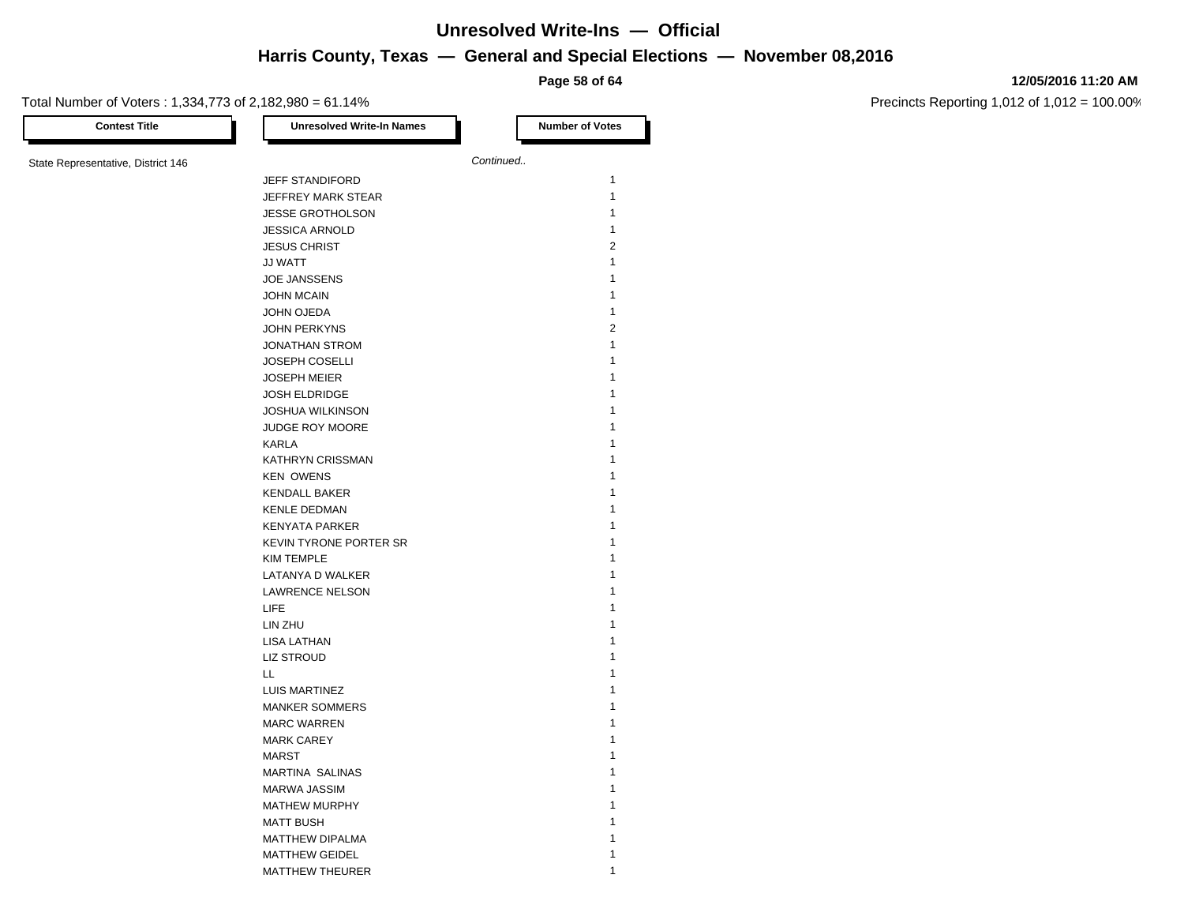**Page 58 of 64**

#### **12/05/2016 11:20 AM**

Precincts Reporting 1,012 of 1,012 = 100.00%

Total Number of Voters : 1,334,773 of 2,182,980 = 61.14% **Contest Title Number of Votes Number of Votes** State Representative, District 146 **Continued.**... JEFF STANDIFORD 1 JEFFREY MARK STEAR 1 JESSE GROTHOLSON 1 JESSICA ARNOLD 1 JESUS CHRIST 2 JJ WATT 1 JOE JANSSENS 1 JOHN MCAIN 1 JOHN OJEDA 1 JOHN PERKYNS 2 JONATHAN STROM 1 JOSEPH COSELLI 1 JOSEPH MEIER 1 JOSH ELDRIDGE 1 JOSHUA WILKINSON 1 JUDGE ROY MOORE 1 KARLA 1 KATHRYN CRISSMAN 1 KEN OWENS 1 KENDALL BAKER 1 KENLE DEDMAN 1 KENYATA PARKER 1 KEVIN TYRONE PORTER SR 1 KIM TEMPLE 1 LATANYA D WALKER 1 LAWRENCE NELSON 1  $\textrm{LIEE}$  1 and 1 and 1 and 1 and 1 and 1 and 1 and 1 and 1 and 1 and 1 and 1 and 1 and 1 and 1 and 1 and 1 and 1 and 1 and 1 and 1 and 1 and 1 and 1 and 1 and 1 and 1 and 1 and 1 and 1 and 1 and 1 and 1 and 1 and 1 and LIN ZHU 1 LISA LATHAN 1 LIZ STROUD **1**  $\mathsf{L}\mathsf{L}$  and  $\mathsf{L}$  1 and  $\mathsf{L}$  1 and  $\mathsf{L}$  1 and  $\mathsf{L}$  1 and  $\mathsf{L}$  1 and  $\mathsf{L}$  1 and  $\mathsf{L}$  1 and  $\mathsf{L}$  1 and  $\mathsf{L}$  1 and  $\mathsf{L}$  1 and  $\mathsf{L}$  1 and  $\mathsf{L}$  1 and  $\mathsf{L}$  1 and  $\mathsf{L}$ LUIS MARTINEZ 1 MANKER SOMMERS 1 MARC WARREN 1 MARK CAREY 1 MARST 2008 and 2008 and 2008 and 2008 and 2008 and 2008 and 2008 and 2008 and 2008 and 2008 and 2008 and 2008 MARTINA SALINAS 1 MARWA JASSIM 1 MATHEW MURPHY 1 MATT BUSH 1 MATTHEW DIPALMA 1 MATTHEW GEIDEL 2002 12 12 13 13 14 15 16 17 18 18 19 19 10 11 12 13 14 15 16 17 18 19 19 19 19 19 19 19 19 19 1 MATTHEW THEURER 1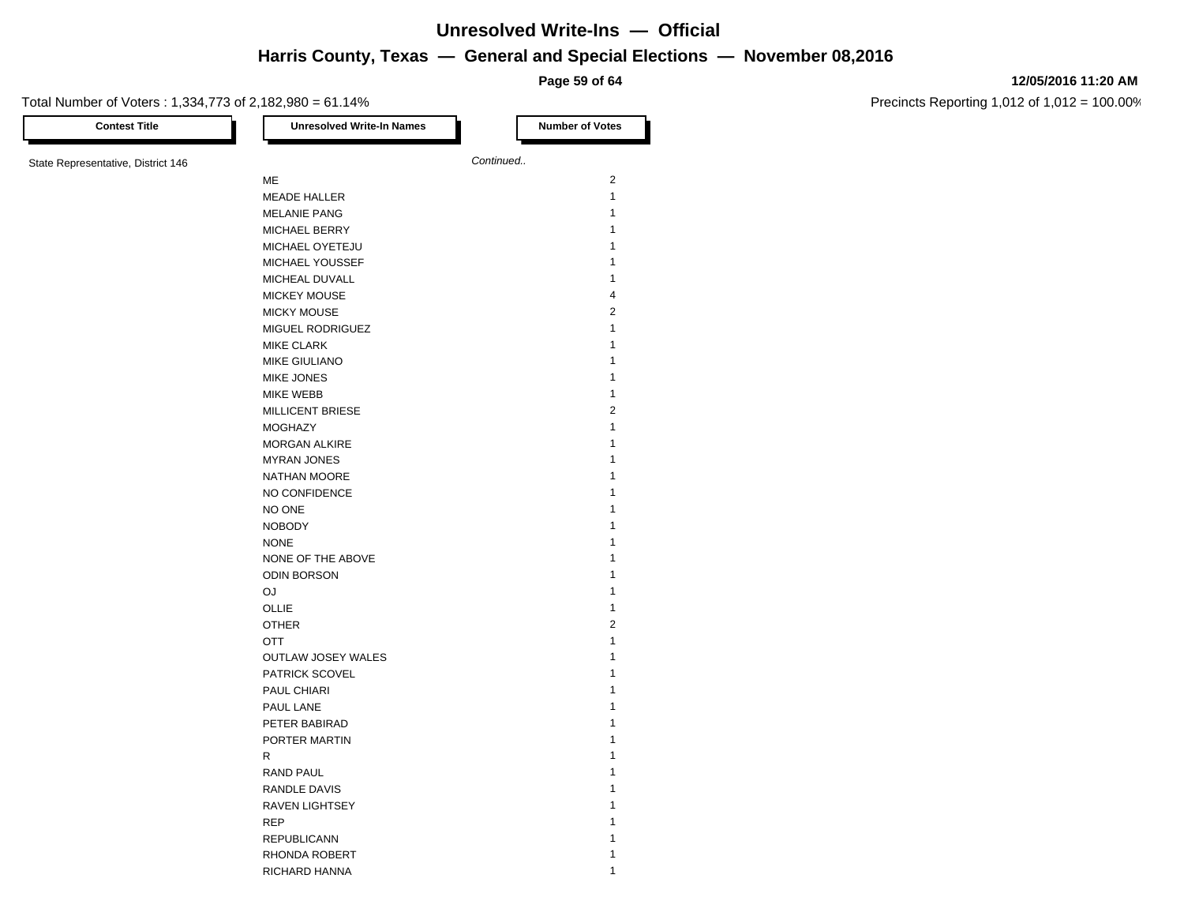**Page 59 of 64**

#### **12/05/2016 11:20 AM**

| <b>Contest Title</b>               | <b>Unresolved Write-In Names</b> | <b>Number of Votes</b> |
|------------------------------------|----------------------------------|------------------------|
| State Representative, District 146 |                                  | Continued              |
|                                    | ME                               | $\overline{c}$         |
|                                    | <b>MEADE HALLER</b>              | $\mathbf{1}$           |
|                                    | <b>MELANIE PANG</b>              | 1                      |
|                                    | MICHAEL BERRY                    | $\mathbf{1}$           |
|                                    | MICHAEL OYETEJU                  | 1                      |
|                                    | MICHAEL YOUSSEF                  | 1                      |
|                                    | MICHEAL DUVALL                   | $\mathbf{1}$           |
|                                    | <b>MICKEY MOUSE</b>              | $\overline{4}$         |
|                                    |                                  | $\overline{c}$         |
|                                    | <b>MICKY MOUSE</b>               | $\mathbf{1}$           |
|                                    | MIGUEL RODRIGUEZ                 | $\mathbf{1}$           |
|                                    | <b>MIKE CLARK</b>                | 1                      |
|                                    | MIKE GIULIANO                    |                        |
|                                    | <b>MIKE JONES</b>                | 1                      |
|                                    | MIKE WEBB                        | 1                      |
|                                    | <b>MILLICENT BRIESE</b>          | $\overline{2}$         |
|                                    | <b>MOGHAZY</b>                   | 1                      |
|                                    | <b>MORGAN ALKIRE</b>             | 1                      |
|                                    | <b>MYRAN JONES</b>               | 1                      |
|                                    | NATHAN MOORE                     | 1                      |
|                                    | NO CONFIDENCE                    | 1                      |
|                                    | NO ONE                           | 1                      |
|                                    | <b>NOBODY</b>                    | 1                      |
|                                    | <b>NONE</b>                      | 1                      |
|                                    | NONE OF THE ABOVE                | 1                      |
|                                    | <b>ODIN BORSON</b>               | 1                      |
|                                    | <b>OJ</b>                        | 1                      |
|                                    | OLLIE                            | $\mathbf{1}$           |
|                                    | <b>OTHER</b>                     | $\overline{2}$         |
|                                    | <b>OTT</b>                       | $\mathbf{1}$           |
|                                    | <b>OUTLAW JOSEY WALES</b>        | 1                      |
|                                    | PATRICK SCOVEL                   | 1                      |
|                                    | PAUL CHIARI                      | 1                      |
|                                    | PAUL LANE                        | 1                      |
|                                    | PETER BABIRAD                    | 1                      |
|                                    | PORTER MARTIN                    | 1                      |
|                                    | R                                | 1                      |
|                                    | <b>RAND PAUL</b>                 | 1                      |
|                                    | <b>RANDLE DAVIS</b>              | 1                      |
|                                    | <b>RAVEN LIGHTSEY</b>            | 1                      |
|                                    | <b>REP</b>                       | 1                      |
|                                    | <b>REPUBLICANN</b>               | 1                      |
|                                    | RHONDA ROBERT                    | 1                      |
|                                    | RICHARD HANNA                    | 1                      |
|                                    |                                  |                        |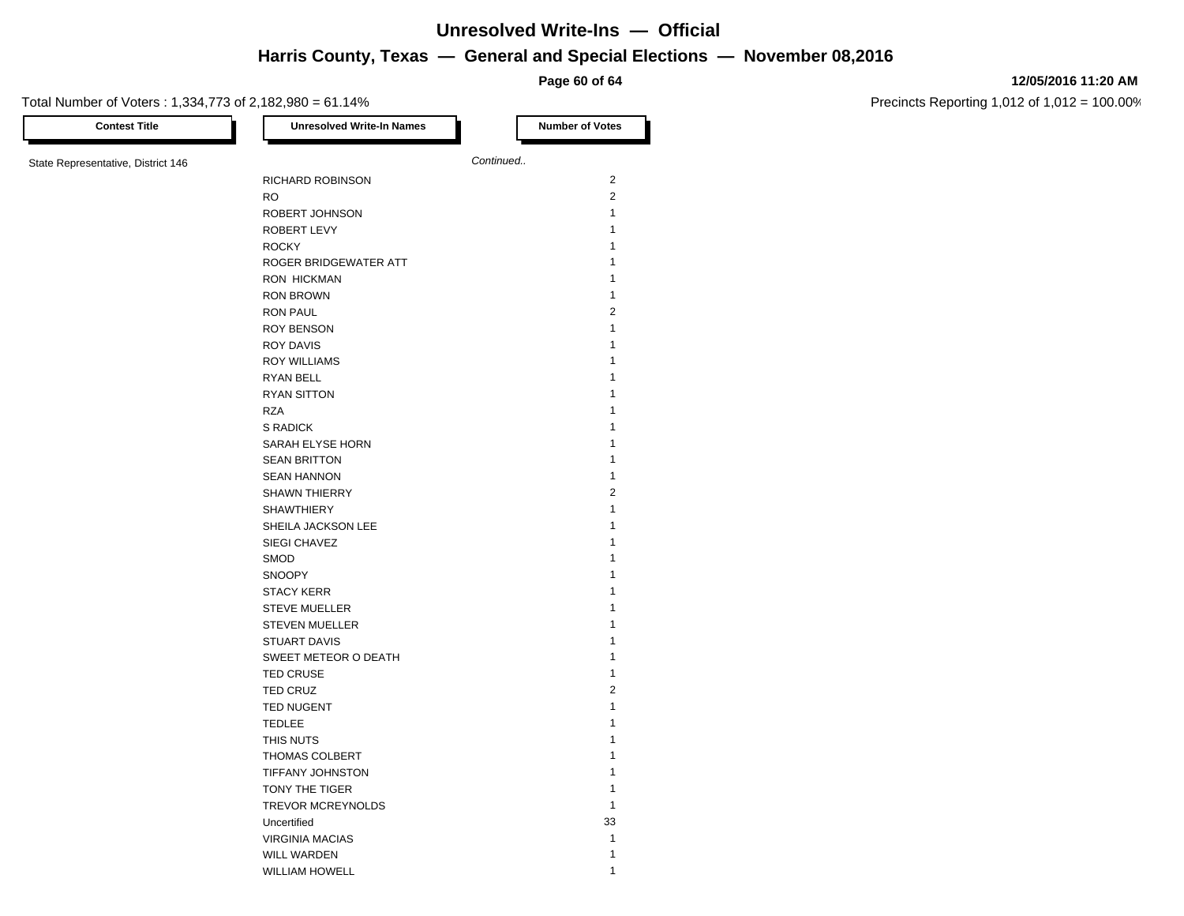**Page 60 of 64**

#### **12/05/2016 11:20 AM**

| <b>Contest Title</b>               | <b>Unresolved Write-In Names</b> | <b>Number of Votes</b> |
|------------------------------------|----------------------------------|------------------------|
| State Representative, District 146 |                                  | Continued              |
|                                    | RICHARD ROBINSON                 | 2                      |
|                                    | <b>RO</b>                        | $\overline{2}$         |
|                                    | ROBERT JOHNSON                   | $\mathbf{1}$           |
|                                    | ROBERT LEVY                      | 1                      |
|                                    | <b>ROCKY</b>                     | 1                      |
|                                    | ROGER BRIDGEWATER ATT            | 1                      |
|                                    | <b>RON HICKMAN</b>               | 1                      |
|                                    | <b>RON BROWN</b>                 | $\mathbf{1}$           |
|                                    |                                  | $\overline{2}$         |
|                                    | <b>RON PAUL</b>                  |                        |
|                                    | <b>ROY BENSON</b>                | 1                      |
|                                    | <b>ROY DAVIS</b>                 | 1                      |
|                                    | <b>ROY WILLIAMS</b>              | 1                      |
|                                    | RYAN BELL                        | 1                      |
|                                    | <b>RYAN SITTON</b>               | 1                      |
|                                    | <b>RZA</b>                       | 1                      |
|                                    | S RADICK                         | 1                      |
|                                    | SARAH ELYSE HORN                 | 1                      |
|                                    | <b>SEAN BRITTON</b>              | $\mathbf{1}$           |
|                                    | <b>SEAN HANNON</b>               | 1                      |
|                                    | <b>SHAWN THIERRY</b>             | $\overline{2}$         |
|                                    | <b>SHAWTHIERY</b>                | $\mathbf{1}$           |
|                                    | SHEILA JACKSON LEE               | 1                      |
|                                    | SIEGI CHAVEZ                     | 1                      |
|                                    | SMOD                             | 1                      |
|                                    | <b>SNOOPY</b>                    | 1                      |
|                                    | <b>STACY KERR</b>                | 1                      |
|                                    | <b>STEVE MUELLER</b>             | 1                      |
|                                    | <b>STEVEN MUELLER</b>            | 1                      |
|                                    | <b>STUART DAVIS</b>              | 1                      |
|                                    | SWEET METEOR O DEATH             | 1                      |
|                                    | <b>TED CRUSE</b>                 | $\mathbf{1}$           |
|                                    | <b>TED CRUZ</b>                  | $\sqrt{2}$             |
|                                    | <b>TED NUGENT</b>                | 1                      |
|                                    | <b>TEDLEE</b>                    | 1                      |
|                                    | THIS NUTS                        | 1                      |
|                                    | <b>THOMAS COLBERT</b>            | 1                      |
|                                    | TIFFANY JOHNSTON                 | 1                      |
|                                    | TONY THE TIGER                   | $\mathbf{1}$           |
|                                    | TREVOR MCREYNOLDS                | $\mathbf{1}$           |
|                                    | Uncertified                      | 33                     |
|                                    | <b>VIRGINIA MACIAS</b>           | $\mathbf{1}$           |
|                                    | <b>WILL WARDEN</b>               | 1                      |
|                                    | <b>WILLIAM HOWELL</b>            | 1                      |
|                                    |                                  |                        |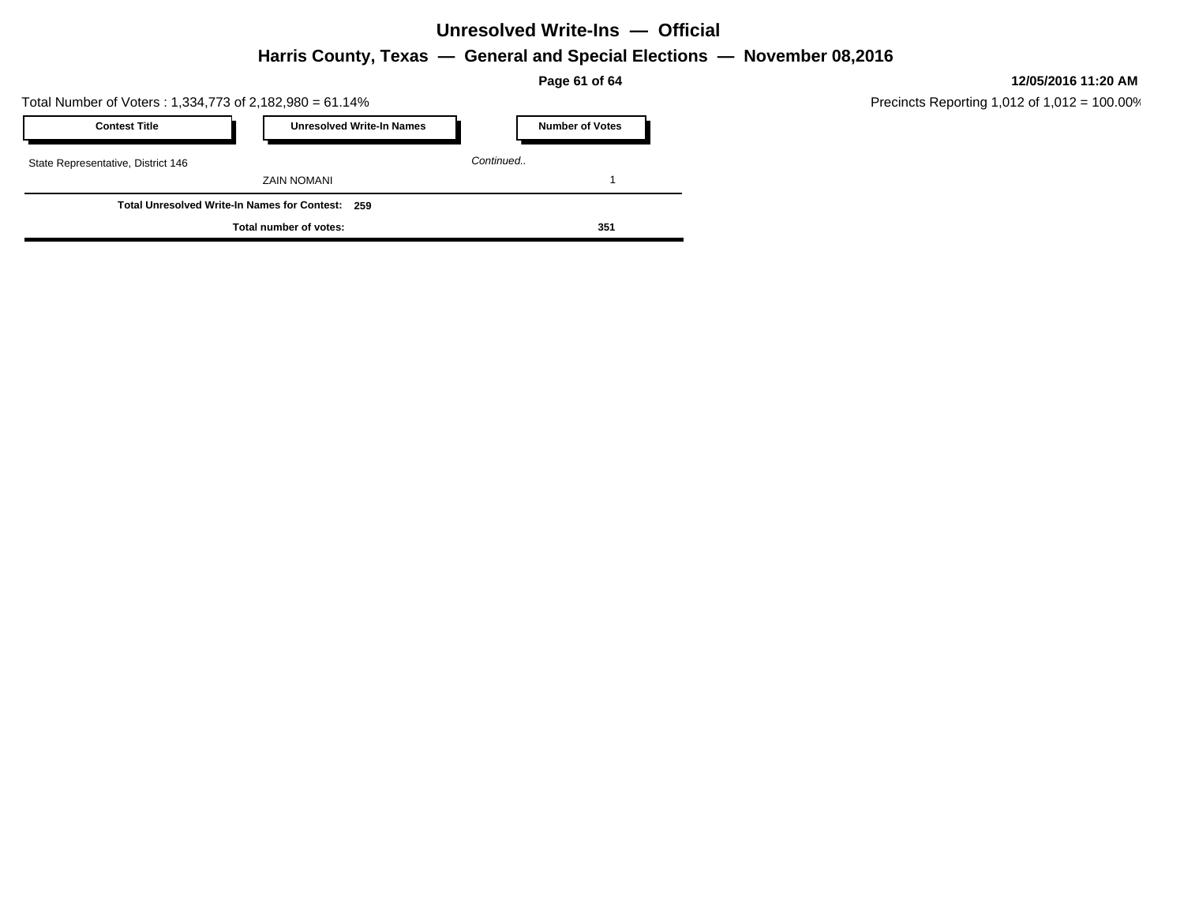# **Unresolved Write-Ins — Official**

**Harris County, Texas — General and Special Elections — November 08,2016**

**Page 61 of 64**

Total Number of Voters : 1,334,773 of 2,182,980 = 61.14%

| <b>Contest Title</b>                             |  | <b>Unresolved Write-In Names</b> |           | <b>Number of Votes</b> |
|--------------------------------------------------|--|----------------------------------|-----------|------------------------|
| State Representative, District 146               |  |                                  | Continued |                        |
|                                                  |  | ZAIN NOMANI                      |           |                        |
| Total Unresolved Write-In Names for Contest: 259 |  |                                  |           |                        |
| Total number of votes:                           |  |                                  |           | 351                    |

**12/05/2016 11:20 AM**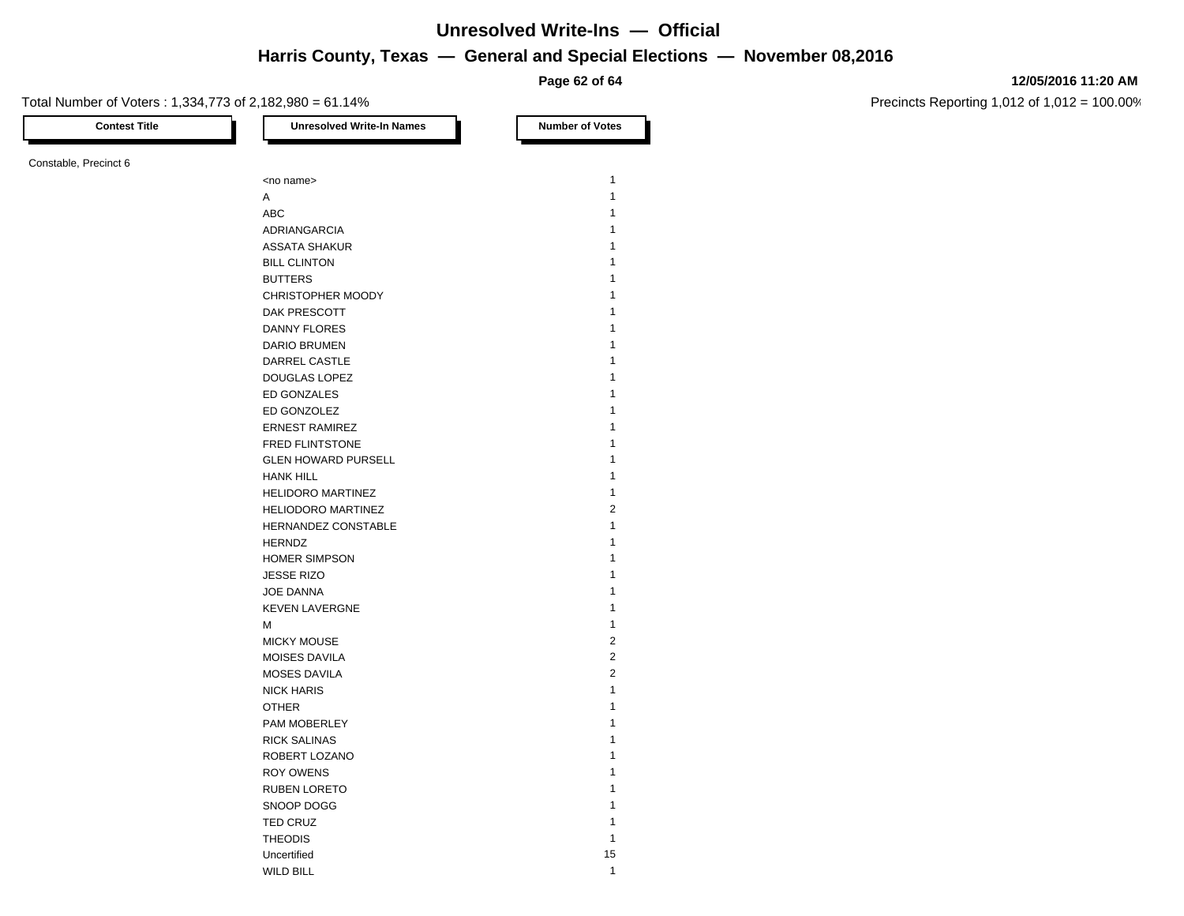**Page 62 of 64**

### **12/05/2016 11:20 AM**

Precincts Reporting 1,012 of 1,012 = 100.00%

| <b>Contest Title</b>  | <b>Unresolved Write-In Names</b> | <b>Number of Votes</b> |
|-----------------------|----------------------------------|------------------------|
| Constable, Precinct 6 |                                  |                        |
|                       | <no name=""></no>                | 1                      |
|                       | Α                                | $\mathbf{1}$           |
|                       | ABC                              | 1                      |
|                       | ADRIANGARCIA                     | 1                      |
|                       | <b>ASSATA SHAKUR</b>             |                        |
|                       | <b>BILL CLINTON</b>              |                        |
|                       | <b>BUTTERS</b>                   |                        |
|                       | CHRISTOPHER MOODY                | 1                      |
|                       |                                  | 1                      |
|                       | DAK PRESCOTT                     |                        |
|                       | DANNY FLORES                     | 1                      |
|                       | DARIO BRUMEN                     |                        |
|                       | DARREL CASTLE                    |                        |
|                       | DOUGLAS LOPEZ                    |                        |
|                       | ED GONZALES                      |                        |
|                       | ED GONZOLEZ                      | 1                      |
|                       | <b>ERNEST RAMIREZ</b>            | 1                      |
|                       | FRED FLINTSTONE                  |                        |
|                       | <b>GLEN HOWARD PURSELL</b>       | 1                      |
|                       | <b>HANK HILL</b>                 | 1                      |
|                       | HELIDORO MARTINEZ                | 1                      |
|                       | HELIODORO MARTINEZ               | $\overline{2}$         |
|                       | HERNANDEZ CONSTABLE              | 1                      |
|                       | <b>HERNDZ</b>                    | 1                      |
|                       | <b>HOMER SIMPSON</b>             |                        |
|                       | <b>JESSE RIZO</b>                | 1                      |
|                       | <b>JOE DANNA</b>                 | 1                      |
|                       | <b>KEVEN LAVERGNE</b>            | 1                      |
|                       | M                                | $\mathbf{1}$           |
|                       | <b>MICKY MOUSE</b>               | $\overline{2}$         |
|                       | MOISES DAVILA                    | $\overline{c}$         |
|                       | MOSES DAVILA                     | $\overline{2}$         |
|                       | <b>NICK HARIS</b>                | 1                      |
|                       | <b>OTHER</b>                     | 1                      |
|                       | PAM MOBERLEY                     |                        |
|                       |                                  | 1                      |
|                       | <b>RICK SALINAS</b>              | 1                      |
|                       | ROBERT LOZANO                    |                        |
|                       | <b>ROY OWENS</b>                 |                        |
|                       | <b>RUBEN LORETO</b>              |                        |
|                       | SNOOP DOGG                       | 1                      |
|                       | TED CRUZ                         | 1                      |
|                       | <b>THEODIS</b>                   | 1                      |
|                       | Uncertified                      | 15                     |
|                       | <b>WILD BILL</b>                 | $\mathbf{1}$           |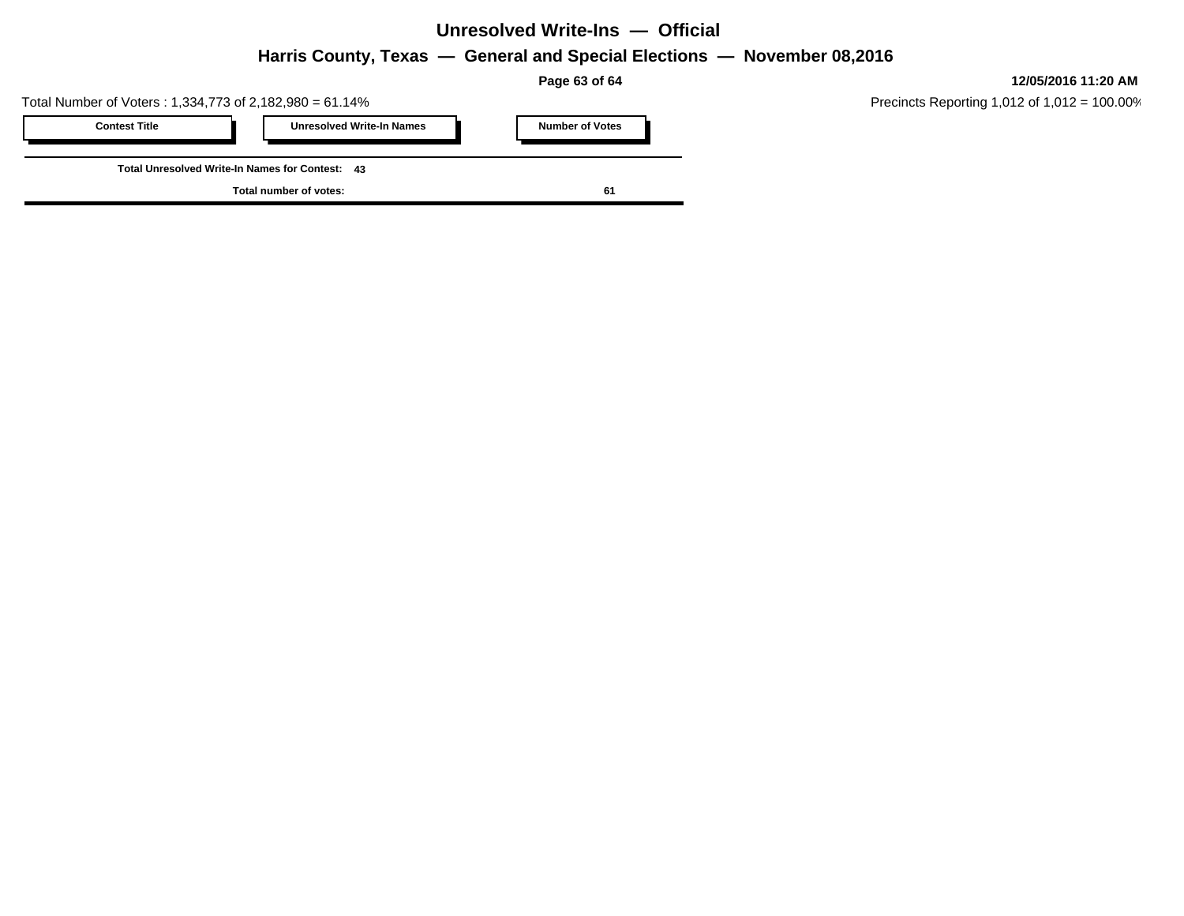**Page 63 of 64**

Total Number of Voters : 1,334,773 of 2,182,980 = 61.14%

| <b>Contest Title</b>                            |  | <b>Unresolved Write-In Names</b> |  | <b>Number of Votes</b> |  |  |  |
|-------------------------------------------------|--|----------------------------------|--|------------------------|--|--|--|
|                                                 |  |                                  |  |                        |  |  |  |
| Total Unresolved Write-In Names for Contest: 43 |  |                                  |  |                        |  |  |  |
| Total number of votes:                          |  |                                  |  | -61                    |  |  |  |

**12/05/2016 11:20 AM**